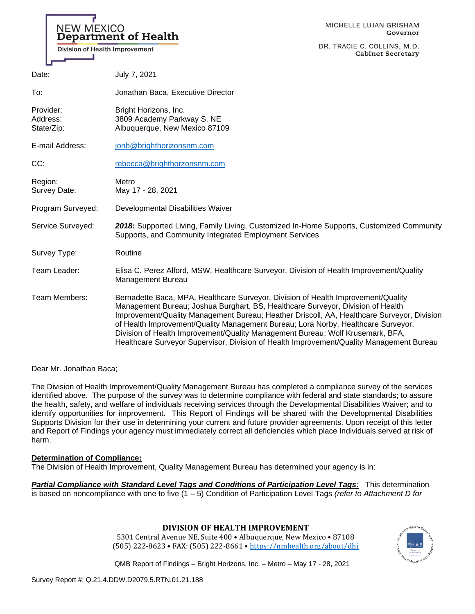| <b>NEW MEXICO</b><br><b>Division of Health Improvement</b> | <b>Department of Health</b>                                                                                                                                                                                                                                                                                                                                                                                                                                                                                                           | MICHELLE LUJAN GRISHAM<br>Governor<br>DR. TRACIE C. COLLINS, M.D.<br><b>Cabinet Secretary</b> |
|------------------------------------------------------------|---------------------------------------------------------------------------------------------------------------------------------------------------------------------------------------------------------------------------------------------------------------------------------------------------------------------------------------------------------------------------------------------------------------------------------------------------------------------------------------------------------------------------------------|-----------------------------------------------------------------------------------------------|
| Date:                                                      | July 7, 2021                                                                                                                                                                                                                                                                                                                                                                                                                                                                                                                          |                                                                                               |
| To:                                                        | Jonathan Baca, Executive Director                                                                                                                                                                                                                                                                                                                                                                                                                                                                                                     |                                                                                               |
| Provider:<br>Address:<br>State/Zip:                        | Bright Horizons, Inc.<br>3809 Academy Parkway S. NE<br>Albuquerque, New Mexico 87109                                                                                                                                                                                                                                                                                                                                                                                                                                                  |                                                                                               |
| E-mail Address:                                            | jonb@brighthorizonsnm.com                                                                                                                                                                                                                                                                                                                                                                                                                                                                                                             |                                                                                               |
| CC:                                                        | rebecca@brighthorzonsnm.com                                                                                                                                                                                                                                                                                                                                                                                                                                                                                                           |                                                                                               |
| Region:<br>Survey Date:                                    | Metro<br>May 17 - 28, 2021                                                                                                                                                                                                                                                                                                                                                                                                                                                                                                            |                                                                                               |
| Program Surveyed:                                          | Developmental Disabilities Waiver                                                                                                                                                                                                                                                                                                                                                                                                                                                                                                     |                                                                                               |
| Service Surveyed:                                          | 2018: Supported Living, Family Living, Customized In-Home Supports, Customized Community<br>Supports, and Community Integrated Employment Services                                                                                                                                                                                                                                                                                                                                                                                    |                                                                                               |
| Survey Type:                                               | Routine                                                                                                                                                                                                                                                                                                                                                                                                                                                                                                                               |                                                                                               |
| Team Leader:                                               | Elisa C. Perez Alford, MSW, Healthcare Surveyor, Division of Health Improvement/Quality<br>Management Bureau                                                                                                                                                                                                                                                                                                                                                                                                                          |                                                                                               |
| Team Members:                                              | Bernadette Baca, MPA, Healthcare Surveyor, Division of Health Improvement/Quality<br>Management Bureau; Joshua Burghart, BS, Healthcare Surveyor, Division of Health<br>Improvement/Quality Management Bureau; Heather Driscoll, AA, Healthcare Surveyor, Division<br>of Health Improvement/Quality Management Bureau; Lora Norby, Healthcare Surveyor,<br>Division of Health Improvement/Quality Management Bureau; Wolf Krusemark, BFA,<br>Healthcare Surveyor Supervisor, Division of Health Improvement/Quality Management Bureau |                                                                                               |

Dear Mr. Jonathan Baca;

The Division of Health Improvement/Quality Management Bureau has completed a compliance survey of the services identified above. The purpose of the survey was to determine compliance with federal and state standards; to assure the health, safety, and welfare of individuals receiving services through the Developmental Disabilities Waiver; and to identify opportunities for improvement. This Report of Findings will be shared with the Developmental Disabilities Supports Division for their use in determining your current and future provider agreements. Upon receipt of this letter and Report of Findings your agency must immediately correct all deficiencies which place Individuals served at risk of harm.

### **Determination of Compliance:**

The Division of Health Improvement, Quality Management Bureau has determined your agency is in:

*Partial Compliance with Standard Level Tags and Conditions of Participation Level Tags:* This determination is based on noncompliance with one to five (1 – 5) Condition of Participation Level Tags *(refer to Attachment D for* 

## **DIVISION OF HEALTH IMPROVEMENT**

5301 Central Avenue NE, Suite 400 • Albuquerque, New Mexico • 87108 (505) 222-8623 • FAX: (505) 222-8661 • <https://nmhealth.org/about/dhi>

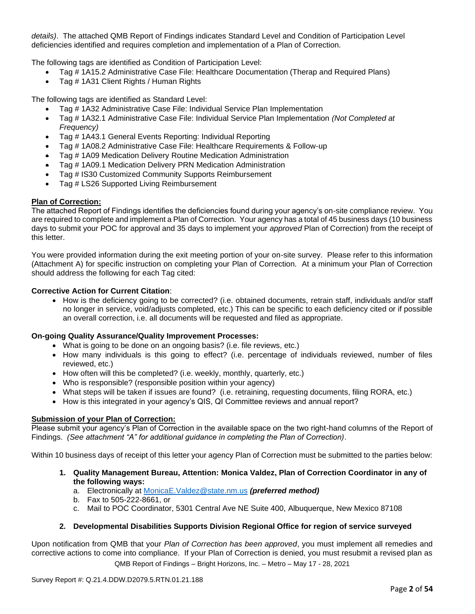*details)*. The attached QMB Report of Findings indicates Standard Level and Condition of Participation Level deficiencies identified and requires completion and implementation of a Plan of Correction.

The following tags are identified as Condition of Participation Level:

- Tag # 1A15.2 Administrative Case File: Healthcare Documentation (Therap and Required Plans)
- Tag # 1A31 Client Rights / Human Rights

The following tags are identified as Standard Level:

- Tag # 1A32 Administrative Case File: Individual Service Plan Implementation
- Tag # 1A32.1 Administrative Case File: Individual Service Plan Implementation *(Not Completed at Frequency)*
- Tag # 1A43.1 General Events Reporting: Individual Reporting
- Tag # 1A08.2 Administrative Case File: Healthcare Requirements & Follow-up
- Tag # 1A09 Medication Delivery Routine Medication Administration
- Tag # 1A09.1 Medication Delivery PRN Medication Administration
- Tag # IS30 Customized Community Supports Reimbursement
- Tag # LS26 Supported Living Reimbursement

## **Plan of Correction:**

The attached Report of Findings identifies the deficiencies found during your agency's on-site compliance review. You are required to complete and implement a Plan of Correction. Your agency has a total of 45 business days (10 business days to submit your POC for approval and 35 days to implement your *approved* Plan of Correction) from the receipt of this letter.

You were provided information during the exit meeting portion of your on-site survey. Please refer to this information (Attachment A) for specific instruction on completing your Plan of Correction. At a minimum your Plan of Correction should address the following for each Tag cited:

## **Corrective Action for Current Citation**:

• How is the deficiency going to be corrected? (i.e. obtained documents, retrain staff, individuals and/or staff no longer in service, void/adjusts completed, etc.) This can be specific to each deficiency cited or if possible an overall correction, i.e. all documents will be requested and filed as appropriate.

### **On-going Quality Assurance/Quality Improvement Processes:**

- What is going to be done on an ongoing basis? (i.e. file reviews, etc.)
- How many individuals is this going to effect? (i.e. percentage of individuals reviewed, number of files reviewed, etc.)
- How often will this be completed? (i.e. weekly, monthly, quarterly, etc.)
- Who is responsible? (responsible position within your agency)
- What steps will be taken if issues are found? (i.e. retraining, requesting documents, filing RORA, etc.)
- How is this integrated in your agency's QIS, QI Committee reviews and annual report?

### **Submission of your Plan of Correction:**

Please submit your agency's Plan of Correction in the available space on the two right-hand columns of the Report of Findings. *(See attachment "A" for additional guidance in completing the Plan of Correction)*.

Within 10 business days of receipt of this letter your agency Plan of Correction must be submitted to the parties below:

- **1. Quality Management Bureau, Attention: Monica Valdez, Plan of Correction Coordinator in any of the following ways:**
	- a. Electronically at [MonicaE.Valdez@state.nm.us](mailto:MonicaE.Valdez@state.nm.us) *(preferred method)*
	- b. Fax to 505-222-8661, or
	- c. Mail to POC Coordinator, 5301 Central Ave NE Suite 400, Albuquerque, New Mexico 87108

## **2. Developmental Disabilities Supports Division Regional Office for region of service surveyed**

QMB Report of Findings – Bright Horizons, Inc. – Metro – May 17 - 28, 2021 Upon notification from QMB that your *Plan of Correction has been approved*, you must implement all remedies and corrective actions to come into compliance. If your Plan of Correction is denied, you must resubmit a revised plan as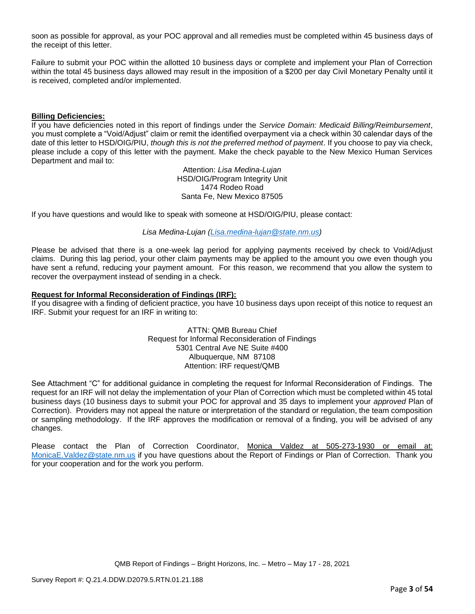soon as possible for approval, as your POC approval and all remedies must be completed within 45 business days of the receipt of this letter.

Failure to submit your POC within the allotted 10 business days or complete and implement your Plan of Correction within the total 45 business days allowed may result in the imposition of a \$200 per day Civil Monetary Penalty until it is received, completed and/or implemented.

#### **Billing Deficiencies:**

If you have deficiencies noted in this report of findings under the *Service Domain: Medicaid Billing/Reimbursement*, you must complete a "Void/Adjust" claim or remit the identified overpayment via a check within 30 calendar days of the date of this letter to HSD/OIG/PIU, *though this is not the preferred method of payment*. If you choose to pay via check, please include a copy of this letter with the payment. Make the check payable to the New Mexico Human Services Department and mail to:

> Attention: *Lisa Medina-Lujan* HSD/OIG/Program Integrity Unit 1474 Rodeo Road Santa Fe, New Mexico 87505

If you have questions and would like to speak with someone at HSD/OIG/PIU, please contact:

#### *Lisa Medina-Lujan [\(Lisa.medina-lujan@state.nm.us\)](mailto:Lisa.medina-lujan@state.nm.us)*

Please be advised that there is a one-week lag period for applying payments received by check to Void/Adjust claims. During this lag period, your other claim payments may be applied to the amount you owe even though you have sent a refund, reducing your payment amount. For this reason, we recommend that you allow the system to recover the overpayment instead of sending in a check.

#### **Request for Informal Reconsideration of Findings (IRF):**

If you disagree with a finding of deficient practice, you have 10 business days upon receipt of this notice to request an IRF. Submit your request for an IRF in writing to:

> ATTN: QMB Bureau Chief Request for Informal Reconsideration of Findings 5301 Central Ave NE Suite #400 Albuquerque, NM 87108 Attention: IRF request/QMB

See Attachment "C" for additional guidance in completing the request for Informal Reconsideration of Findings. The request for an IRF will not delay the implementation of your Plan of Correction which must be completed within 45 total business days (10 business days to submit your POC for approval and 35 days to implement your *approved* Plan of Correction). Providers may not appeal the nature or interpretation of the standard or regulation, the team composition or sampling methodology. If the IRF approves the modification or removal of a finding, you will be advised of any changes.

Please contact the Plan of Correction Coordinator, Monica Valdez at 505-273-1930 or email at: [MonicaE.Valdez@state.nm.us](mailto:MonicaE.Valdez@state.nm.us) if you have questions about the Report of Findings or Plan of Correction. Thank you for your cooperation and for the work you perform.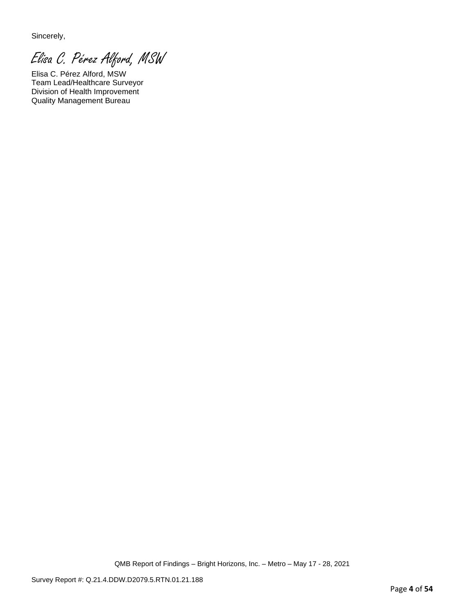Sincerely,

Elisa C. Pérez Alford, MSW

Elisa C. Pérez Alford, MSW Team Lead/Healthcare Surveyor Division of Health Improvement Quality Management Bureau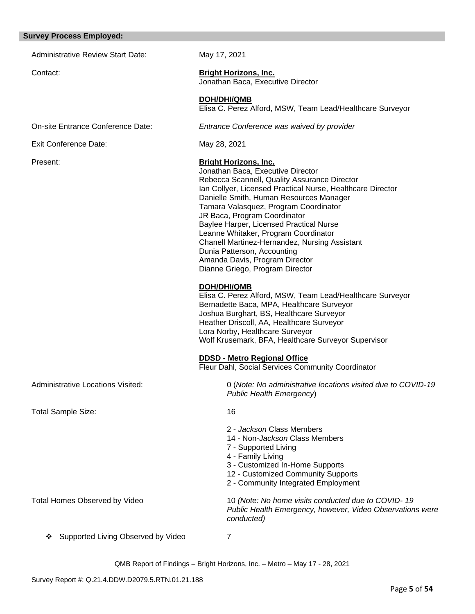#### **Survey Process Employed:**

Administrative Review Start Date: May 17, 2021 Contact: **Bright Horizons, Inc.** Jonathan Baca, Executive Director **DOH/DHI/QMB** Elisa C. Perez Alford, MSW, Team Lead/Healthcare Surveyor On-site Entrance Conference Date: *Entrance Conference was waived by provider*  Exit Conference Date: May 28, 2021 Present: **Bright Horizons, Inc.** Jonathan Baca, Executive Director Rebecca Scannell, Quality Assurance Director Ian Collyer, Licensed Practical Nurse, Healthcare Director Danielle Smith, Human Resources Manager Tamara Valasquez, Program Coordinator JR Baca, Program Coordinator Baylee Harper, Licensed Practical Nurse Leanne Whitaker, Program Coordinator Chanell Martinez-Hernandez, Nursing Assistant Dunia Patterson, Accounting Amanda Davis, Program Director Dianne Griego, Program Director **DOH/DHI/QMB** Elisa C. Perez Alford, MSW, Team Lead/Healthcare Surveyor Bernadette Baca, MPA, Healthcare Surveyor Joshua Burghart, BS, Healthcare Surveyor Heather Driscoll, AA, Healthcare Surveyor Lora Norby, Healthcare Surveyor Wolf Krusemark, BFA, Healthcare Surveyor Supervisor **DDSD - Metro Regional Office**  Fleur Dahl, Social Services Community Coordinator Administrative Locations Visited: 0 (*Note: No administrative locations visited due to COVID-19 Public Health Emergency*) Total Sample Size: 16 2 - *Jackson* Class Members 14 - Non-*Jackson* Class Members 7 - Supported Living 4 - Family Living 3 - Customized In-Home Supports 12 - Customized Community Supports 2 - Community Integrated Employment Total Homes Observed by Video 10 *(Note: No home visits conducted due to COVID- 19 Public Health Emergency, however, Video Observations were conducted)* ❖ Supported Living Observed by Video 7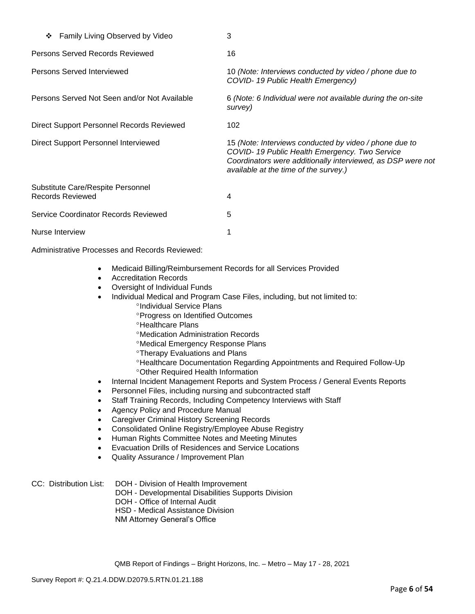| Family Living Observed by Video<br>❖                         | 3                                                                                                                                                                                                               |
|--------------------------------------------------------------|-----------------------------------------------------------------------------------------------------------------------------------------------------------------------------------------------------------------|
| Persons Served Records Reviewed                              | 16                                                                                                                                                                                                              |
| Persons Served Interviewed                                   | 10 (Note: Interviews conducted by video / phone due to<br>COVID-19 Public Health Emergency)                                                                                                                     |
| Persons Served Not Seen and/or Not Available                 | 6 (Note: 6 Individual were not available during the on-site<br>survey)                                                                                                                                          |
| Direct Support Personnel Records Reviewed                    | 102                                                                                                                                                                                                             |
| Direct Support Personnel Interviewed                         | 15 (Note: Interviews conducted by video / phone due to<br>COVID-19 Public Health Emergency. Two Service<br>Coordinators were additionally interviewed, as DSP were not<br>available at the time of the survey.) |
| Substitute Care/Respite Personnel<br><b>Records Reviewed</b> | 4                                                                                                                                                                                                               |
| Service Coordinator Records Reviewed                         | 5                                                                                                                                                                                                               |
| Nurse Interview                                              |                                                                                                                                                                                                                 |

Administrative Processes and Records Reviewed:

- Medicaid Billing/Reimbursement Records for all Services Provided
- Accreditation Records
- Oversight of Individual Funds
- Individual Medical and Program Case Files, including, but not limited to:
	- <sup>o</sup>Individual Service Plans
	- Progress on Identified Outcomes
	- <sup>o</sup>Healthcare Plans
	- Medication Administration Records
	- Medical Emergency Response Plans
	- **<sup>o</sup>Therapy Evaluations and Plans**
	- Healthcare Documentation Regarding Appointments and Required Follow-Up Other Required Health Information
- Internal Incident Management Reports and System Process / General Events Reports
- Personnel Files, including nursing and subcontracted staff
- Staff Training Records, Including Competency Interviews with Staff
- Agency Policy and Procedure Manual
- Caregiver Criminal History Screening Records
- Consolidated Online Registry/Employee Abuse Registry
- Human Rights Committee Notes and Meeting Minutes
- Evacuation Drills of Residences and Service Locations
- Quality Assurance / Improvement Plan

# CC: Distribution List: DOH - Division of Health Improvement

- DOH Developmental Disabilities Supports Division
- DOH Office of Internal Audit
- HSD Medical Assistance Division
- NM Attorney General's Office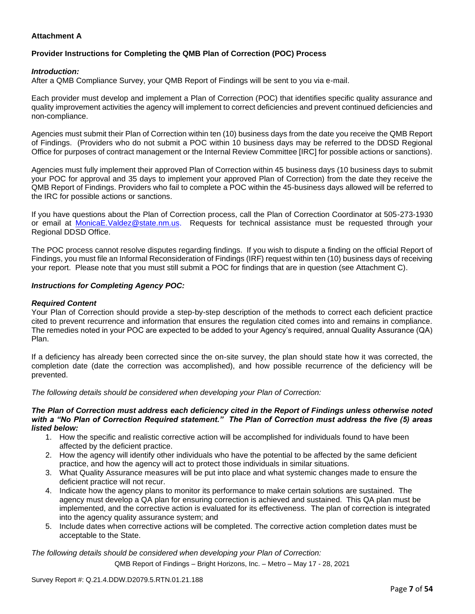## **Attachment A**

## **Provider Instructions for Completing the QMB Plan of Correction (POC) Process**

### *Introduction:*

After a QMB Compliance Survey, your QMB Report of Findings will be sent to you via e-mail.

Each provider must develop and implement a Plan of Correction (POC) that identifies specific quality assurance and quality improvement activities the agency will implement to correct deficiencies and prevent continued deficiencies and non-compliance.

Agencies must submit their Plan of Correction within ten (10) business days from the date you receive the QMB Report of Findings. (Providers who do not submit a POC within 10 business days may be referred to the DDSD Regional Office for purposes of contract management or the Internal Review Committee [IRC] for possible actions or sanctions).

Agencies must fully implement their approved Plan of Correction within 45 business days (10 business days to submit your POC for approval and 35 days to implement your approved Plan of Correction) from the date they receive the QMB Report of Findings. Providers who fail to complete a POC within the 45-business days allowed will be referred to the IRC for possible actions or sanctions.

If you have questions about the Plan of Correction process, call the Plan of Correction Coordinator at 505-273-1930 or email at [MonicaE.Valdez@state.nm.us.](mailto:MonicaE.Valdez@state.nm.us) Requests for technical assistance must be requested through your Regional DDSD Office.

The POC process cannot resolve disputes regarding findings. If you wish to dispute a finding on the official Report of Findings, you must file an Informal Reconsideration of Findings (IRF) request within ten (10) business days of receiving your report. Please note that you must still submit a POC for findings that are in question (see Attachment C).

### *Instructions for Completing Agency POC:*

### *Required Content*

Your Plan of Correction should provide a step-by-step description of the methods to correct each deficient practice cited to prevent recurrence and information that ensures the regulation cited comes into and remains in compliance. The remedies noted in your POC are expected to be added to your Agency's required, annual Quality Assurance (QA) Plan.

If a deficiency has already been corrected since the on-site survey, the plan should state how it was corrected, the completion date (date the correction was accomplished), and how possible recurrence of the deficiency will be prevented.

*The following details should be considered when developing your Plan of Correction:*

#### *The Plan of Correction must address each deficiency cited in the Report of Findings unless otherwise noted with a "No Plan of Correction Required statement." The Plan of Correction must address the five (5) areas listed below:*

- 1. How the specific and realistic corrective action will be accomplished for individuals found to have been affected by the deficient practice.
- 2. How the agency will identify other individuals who have the potential to be affected by the same deficient practice, and how the agency will act to protect those individuals in similar situations.
- 3. What Quality Assurance measures will be put into place and what systemic changes made to ensure the deficient practice will not recur.
- 4. Indicate how the agency plans to monitor its performance to make certain solutions are sustained. The agency must develop a QA plan for ensuring correction is achieved and sustained. This QA plan must be implemented, and the corrective action is evaluated for its effectiveness. The plan of correction is integrated into the agency quality assurance system; and
- 5. Include dates when corrective actions will be completed. The corrective action completion dates must be acceptable to the State.

*The following details should be considered when developing your Plan of Correction:*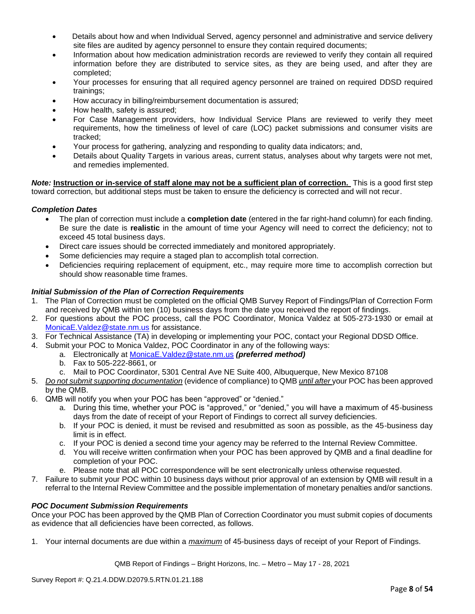- Details about how and when Individual Served, agency personnel and administrative and service delivery site files are audited by agency personnel to ensure they contain required documents;
- Information about how medication administration records are reviewed to verify they contain all required information before they are distributed to service sites, as they are being used, and after they are completed;
- Your processes for ensuring that all required agency personnel are trained on required DDSD required trainings;
- How accuracy in billing/reimbursement documentation is assured;
- How health, safety is assured;
- For Case Management providers, how Individual Service Plans are reviewed to verify they meet requirements, how the timeliness of level of care (LOC) packet submissions and consumer visits are tracked;
- Your process for gathering, analyzing and responding to quality data indicators; and,
- Details about Quality Targets in various areas, current status, analyses about why targets were not met, and remedies implemented.

*Note:* **Instruction or in-service of staff alone may not be a sufficient plan of correction.** This is a good first step toward correction, but additional steps must be taken to ensure the deficiency is corrected and will not recur.

## *Completion Dates*

- The plan of correction must include a **completion date** (entered in the far right-hand column) for each finding. Be sure the date is **realistic** in the amount of time your Agency will need to correct the deficiency; not to exceed 45 total business days.
- Direct care issues should be corrected immediately and monitored appropriately.
- Some deficiencies may require a staged plan to accomplish total correction.
- Deficiencies requiring replacement of equipment, etc., may require more time to accomplish correction but should show reasonable time frames.

## *Initial Submission of the Plan of Correction Requirements*

- 1. The Plan of Correction must be completed on the official QMB Survey Report of Findings/Plan of Correction Form and received by QMB within ten (10) business days from the date you received the report of findings.
- 2. For questions about the POC process, call the POC Coordinator, Monica Valdez at 505-273-1930 or email at [MonicaE.Valdez@state.nm.us](mailto:MonicaE.Valdez@state.nm.us) for assistance.
- 3. For Technical Assistance (TA) in developing or implementing your POC, contact your Regional DDSD Office.
- 4. Submit your POC to Monica Valdez, POC Coordinator in any of the following ways:
	- a. Electronically at [MonicaE.Valdez@state.nm.us](mailto:MonicaE.Valdez@state.nm.us) *(preferred method)*
		- b. Fax to 505-222-8661, or
		- c. Mail to POC Coordinator, 5301 Central Ave NE Suite 400, Albuquerque, New Mexico 87108
- 5. *Do not submit supporting documentation* (evidence of compliance) to QMB *until after* your POC has been approved by the QMB.
- 6. QMB will notify you when your POC has been "approved" or "denied."
	- a. During this time, whether your POC is "approved," or "denied," you will have a maximum of 45-business days from the date of receipt of your Report of Findings to correct all survey deficiencies.
	- b. If your POC is denied, it must be revised and resubmitted as soon as possible, as the 45-business day limit is in effect.
	- c. If your POC is denied a second time your agency may be referred to the Internal Review Committee.
	- d. You will receive written confirmation when your POC has been approved by QMB and a final deadline for completion of your POC.
	- e. Please note that all POC correspondence will be sent electronically unless otherwise requested.
- 7. Failure to submit your POC within 10 business days without prior approval of an extension by QMB will result in a referral to the Internal Review Committee and the possible implementation of monetary penalties and/or sanctions.

### *POC Document Submission Requirements*

Once your POC has been approved by the QMB Plan of Correction Coordinator you must submit copies of documents as evidence that all deficiencies have been corrected, as follows.

1. Your internal documents are due within a *maximum* of 45-business days of receipt of your Report of Findings.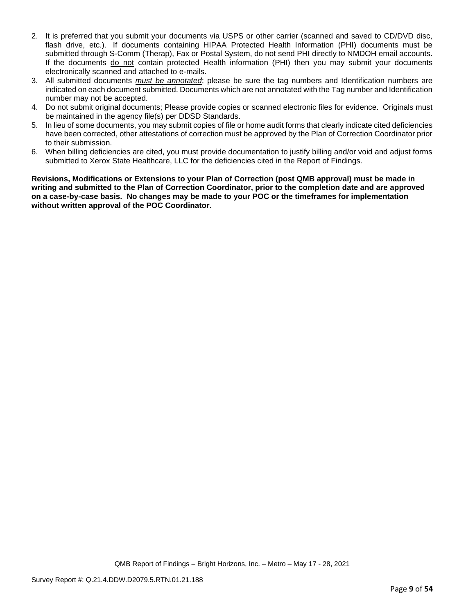- 2. It is preferred that you submit your documents via USPS or other carrier (scanned and saved to CD/DVD disc, flash drive, etc.). If documents containing HIPAA Protected Health Information (PHI) documents must be submitted through S-Comm (Therap), Fax or Postal System, do not send PHI directly to NMDOH email accounts. If the documents do not contain protected Health information (PHI) then you may submit your documents electronically scanned and attached to e-mails.
- 3. All submitted documents *must be annotated*; please be sure the tag numbers and Identification numbers are indicated on each document submitted. Documents which are not annotated with the Tag number and Identification number may not be accepted.
- 4. Do not submit original documents; Please provide copies or scanned electronic files for evidence. Originals must be maintained in the agency file(s) per DDSD Standards.
- 5. In lieu of some documents, you may submit copies of file or home audit forms that clearly indicate cited deficiencies have been corrected, other attestations of correction must be approved by the Plan of Correction Coordinator prior to their submission.
- 6. When billing deficiencies are cited, you must provide documentation to justify billing and/or void and adjust forms submitted to Xerox State Healthcare, LLC for the deficiencies cited in the Report of Findings.

**Revisions, Modifications or Extensions to your Plan of Correction (post QMB approval) must be made in writing and submitted to the Plan of Correction Coordinator, prior to the completion date and are approved on a case-by-case basis. No changes may be made to your POC or the timeframes for implementation without written approval of the POC Coordinator.**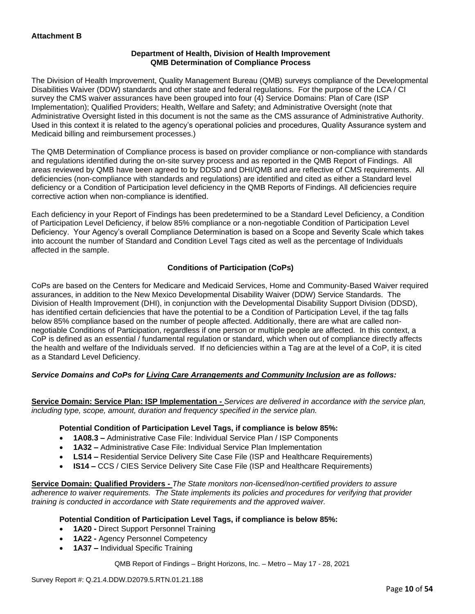## **Department of Health, Division of Health Improvement QMB Determination of Compliance Process**

The Division of Health Improvement, Quality Management Bureau (QMB) surveys compliance of the Developmental Disabilities Waiver (DDW) standards and other state and federal regulations. For the purpose of the LCA / CI survey the CMS waiver assurances have been grouped into four (4) Service Domains: Plan of Care (ISP Implementation); Qualified Providers; Health, Welfare and Safety; and Administrative Oversight (note that Administrative Oversight listed in this document is not the same as the CMS assurance of Administrative Authority. Used in this context it is related to the agency's operational policies and procedures, Quality Assurance system and Medicaid billing and reimbursement processes.)

The QMB Determination of Compliance process is based on provider compliance or non-compliance with standards and regulations identified during the on-site survey process and as reported in the QMB Report of Findings. All areas reviewed by QMB have been agreed to by DDSD and DHI/QMB and are reflective of CMS requirements. All deficiencies (non-compliance with standards and regulations) are identified and cited as either a Standard level deficiency or a Condition of Participation level deficiency in the QMB Reports of Findings. All deficiencies require corrective action when non-compliance is identified.

Each deficiency in your Report of Findings has been predetermined to be a Standard Level Deficiency, a Condition of Participation Level Deficiency, if below 85% compliance or a non-negotiable Condition of Participation Level Deficiency. Your Agency's overall Compliance Determination is based on a Scope and Severity Scale which takes into account the number of Standard and Condition Level Tags cited as well as the percentage of Individuals affected in the sample.

## **Conditions of Participation (CoPs)**

CoPs are based on the Centers for Medicare and Medicaid Services, Home and Community-Based Waiver required assurances, in addition to the New Mexico Developmental Disability Waiver (DDW) Service Standards. The Division of Health Improvement (DHI), in conjunction with the Developmental Disability Support Division (DDSD), has identified certain deficiencies that have the potential to be a Condition of Participation Level, if the tag falls below 85% compliance based on the number of people affected. Additionally, there are what are called nonnegotiable Conditions of Participation, regardless if one person or multiple people are affected. In this context, a CoP is defined as an essential / fundamental regulation or standard, which when out of compliance directly affects the health and welfare of the Individuals served. If no deficiencies within a Tag are at the level of a CoP, it is cited as a Standard Level Deficiency.

## *Service Domains and CoPs for Living Care Arrangements and Community Inclusion are as follows:*

**Service Domain: Service Plan: ISP Implementation -** *Services are delivered in accordance with the service plan, including type, scope, amount, duration and frequency specified in the service plan.*

### **Potential Condition of Participation Level Tags, if compliance is below 85%:**

- **1A08.3 –** Administrative Case File: Individual Service Plan / ISP Components
- **1A32 –** Administrative Case File: Individual Service Plan Implementation
- **LS14 –** Residential Service Delivery Site Case File (ISP and Healthcare Requirements)
- **IS14 –** CCS / CIES Service Delivery Site Case File (ISP and Healthcare Requirements)

**Service Domain: Qualified Providers -** *The State monitors non-licensed/non-certified providers to assure adherence to waiver requirements. The State implements its policies and procedures for verifying that provider training is conducted in accordance with State requirements and the approved waiver.*

### **Potential Condition of Participation Level Tags, if compliance is below 85%:**

- **1A20 -** Direct Support Personnel Training
- **1A22 -** Agency Personnel Competency
- **1A37 –** Individual Specific Training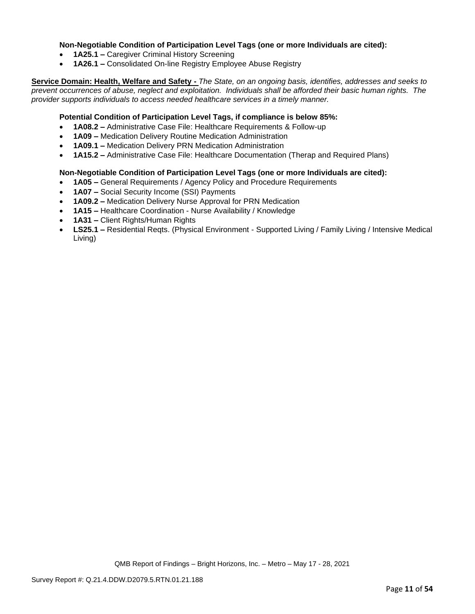### **Non-Negotiable Condition of Participation Level Tags (one or more Individuals are cited):**

- **1A25.1 –** Caregiver Criminal History Screening
- **1A26.1 –** Consolidated On-line Registry Employee Abuse Registry

**Service Domain: Health, Welfare and Safety -** *The State, on an ongoing basis, identifies, addresses and seeks to prevent occurrences of abuse, neglect and exploitation. Individuals shall be afforded their basic human rights. The provider supports individuals to access needed healthcare services in a timely manner.*

### **Potential Condition of Participation Level Tags, if compliance is below 85%:**

- **1A08.2 –** Administrative Case File: Healthcare Requirements & Follow-up
- **1A09 –** Medication Delivery Routine Medication Administration
- **1A09.1 –** Medication Delivery PRN Medication Administration
- **1A15.2 –** Administrative Case File: Healthcare Documentation (Therap and Required Plans)

### **Non-Negotiable Condition of Participation Level Tags (one or more Individuals are cited):**

- **1A05 –** General Requirements / Agency Policy and Procedure Requirements
- **1A07 –** Social Security Income (SSI) Payments
- **1A09.2 –** Medication Delivery Nurse Approval for PRN Medication
- **1A15 –** Healthcare Coordination Nurse Availability / Knowledge
- **1A31 –** Client Rights/Human Rights
- **LS25.1 –** Residential Reqts. (Physical Environment Supported Living / Family Living / Intensive Medical Living)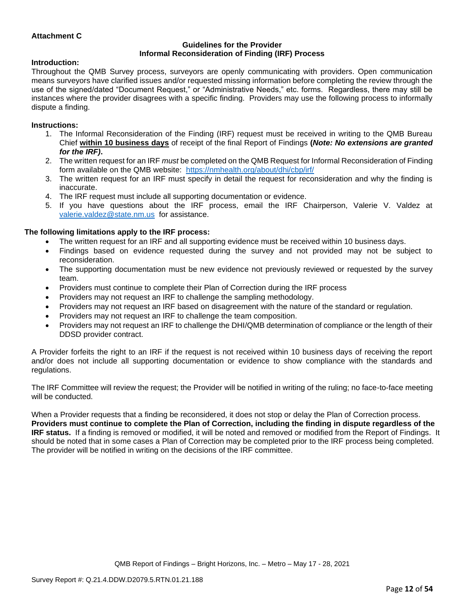## **Attachment C**

#### **Guidelines for the Provider Informal Reconsideration of Finding (IRF) Process**

#### **Introduction:**

Throughout the QMB Survey process, surveyors are openly communicating with providers. Open communication means surveyors have clarified issues and/or requested missing information before completing the review through the use of the signed/dated "Document Request," or "Administrative Needs," etc. forms. Regardless, there may still be instances where the provider disagrees with a specific finding. Providers may use the following process to informally dispute a finding.

#### **Instructions:**

- 1. The Informal Reconsideration of the Finding (IRF) request must be received in writing to the QMB Bureau Chief **within 10 business days** of receipt of the final Report of Findings **(***Note: No extensions are granted for the IRF)***.**
- 2. The written request for an IRF *must* be completed on the QMB Request for Informal Reconsideration of Finding form available on the QMB website: <https://nmhealth.org/about/dhi/cbp/irf/>
- 3. The written request for an IRF must specify in detail the request for reconsideration and why the finding is inaccurate.
- 4. The IRF request must include all supporting documentation or evidence.
- 5. If you have questions about the IRF process, email the IRF Chairperson, Valerie V. Valdez at [valerie.valdez@state.nm.us](mailto:valerie.valdez@state.nm.us) for assistance.

### **The following limitations apply to the IRF process:**

- The written request for an IRF and all supporting evidence must be received within 10 business days.
- Findings based on evidence requested during the survey and not provided may not be subject to reconsideration.
- The supporting documentation must be new evidence not previously reviewed or requested by the survey team.
- Providers must continue to complete their Plan of Correction during the IRF process
- Providers may not request an IRF to challenge the sampling methodology.
- Providers may not request an IRF based on disagreement with the nature of the standard or regulation.
- Providers may not request an IRF to challenge the team composition.
- Providers may not request an IRF to challenge the DHI/QMB determination of compliance or the length of their DDSD provider contract.

A Provider forfeits the right to an IRF if the request is not received within 10 business days of receiving the report and/or does not include all supporting documentation or evidence to show compliance with the standards and regulations.

The IRF Committee will review the request; the Provider will be notified in writing of the ruling; no face-to-face meeting will be conducted.

When a Provider requests that a finding be reconsidered, it does not stop or delay the Plan of Correction process. **Providers must continue to complete the Plan of Correction, including the finding in dispute regardless of the IRF status.** If a finding is removed or modified, it will be noted and removed or modified from the Report of Findings. It should be noted that in some cases a Plan of Correction may be completed prior to the IRF process being completed. The provider will be notified in writing on the decisions of the IRF committee.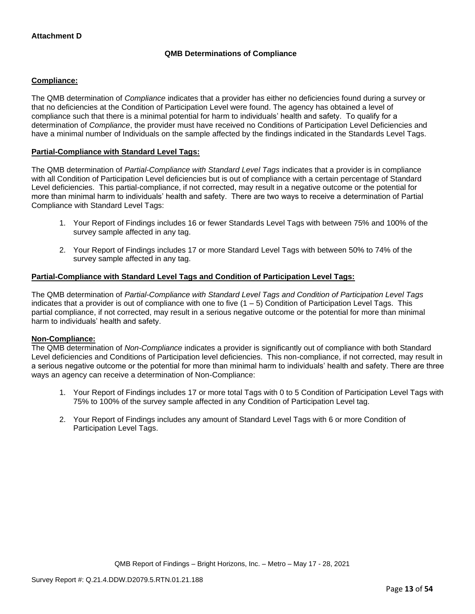## **QMB Determinations of Compliance**

## **Compliance:**

The QMB determination of *Compliance* indicates that a provider has either no deficiencies found during a survey or that no deficiencies at the Condition of Participation Level were found. The agency has obtained a level of compliance such that there is a minimal potential for harm to individuals' health and safety. To qualify for a determination of *Compliance*, the provider must have received no Conditions of Participation Level Deficiencies and have a minimal number of Individuals on the sample affected by the findings indicated in the Standards Level Tags.

## **Partial-Compliance with Standard Level Tags:**

The QMB determination of *Partial-Compliance with Standard Level Tags* indicates that a provider is in compliance with all Condition of Participation Level deficiencies but is out of compliance with a certain percentage of Standard Level deficiencies. This partial-compliance, if not corrected, may result in a negative outcome or the potential for more than minimal harm to individuals' health and safety. There are two ways to receive a determination of Partial Compliance with Standard Level Tags:

- 1. Your Report of Findings includes 16 or fewer Standards Level Tags with between 75% and 100% of the survey sample affected in any tag.
- 2. Your Report of Findings includes 17 or more Standard Level Tags with between 50% to 74% of the survey sample affected in any tag.

## **Partial-Compliance with Standard Level Tags and Condition of Participation Level Tags:**

The QMB determination of *Partial-Compliance with Standard Level Tags and Condition of Participation Level Tags*  indicates that a provider is out of compliance with one to five (1 – 5) Condition of Participation Level Tags. This partial compliance, if not corrected, may result in a serious negative outcome or the potential for more than minimal harm to individuals' health and safety.

### **Non-Compliance:**

The QMB determination of *Non-Compliance* indicates a provider is significantly out of compliance with both Standard Level deficiencies and Conditions of Participation level deficiencies. This non-compliance, if not corrected, may result in a serious negative outcome or the potential for more than minimal harm to individuals' health and safety. There are three ways an agency can receive a determination of Non-Compliance:

- 1. Your Report of Findings includes 17 or more total Tags with 0 to 5 Condition of Participation Level Tags with 75% to 100% of the survey sample affected in any Condition of Participation Level tag.
- 2. Your Report of Findings includes any amount of Standard Level Tags with 6 or more Condition of Participation Level Tags.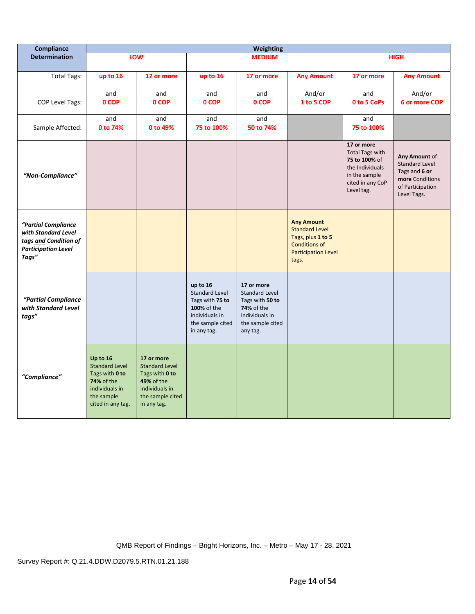| Compliance                                                                                                 |                                                                                                                               |                                                                                                                                 |                                                                                                                          | <b>Weighting</b>                                                                                                              |                                                                                                                                |                                                                                                                             |                                                                                                               |
|------------------------------------------------------------------------------------------------------------|-------------------------------------------------------------------------------------------------------------------------------|---------------------------------------------------------------------------------------------------------------------------------|--------------------------------------------------------------------------------------------------------------------------|-------------------------------------------------------------------------------------------------------------------------------|--------------------------------------------------------------------------------------------------------------------------------|-----------------------------------------------------------------------------------------------------------------------------|---------------------------------------------------------------------------------------------------------------|
| <b>Determination</b>                                                                                       |                                                                                                                               | LOW                                                                                                                             |                                                                                                                          | <b>MEDIUM</b>                                                                                                                 |                                                                                                                                |                                                                                                                             | <b>HIGH</b>                                                                                                   |
| <b>Total Tags:</b>                                                                                         | up to 16                                                                                                                      | 17 or more                                                                                                                      | up to 16                                                                                                                 | 17 or more                                                                                                                    | <b>Any Amount</b>                                                                                                              | 17 or more                                                                                                                  | <b>Any Amount</b>                                                                                             |
|                                                                                                            | and                                                                                                                           | and                                                                                                                             | and                                                                                                                      | and                                                                                                                           | And/or                                                                                                                         | and                                                                                                                         | And/or                                                                                                        |
| COP Level Tags:                                                                                            | 0 COP                                                                                                                         | 0 COP                                                                                                                           | 0 COP                                                                                                                    | 0 COP                                                                                                                         | 1 to 5 COP                                                                                                                     | 0 to 5 CoPs                                                                                                                 | 6 or more COP                                                                                                 |
|                                                                                                            | and                                                                                                                           | and                                                                                                                             | and                                                                                                                      | and                                                                                                                           |                                                                                                                                | and                                                                                                                         |                                                                                                               |
| Sample Affected:                                                                                           | 0 to 74%                                                                                                                      | 0 to 49%                                                                                                                        | 75 to 100%                                                                                                               | 50 to 74%                                                                                                                     |                                                                                                                                | 75 to 100%                                                                                                                  |                                                                                                               |
| "Non-Compliance"                                                                                           |                                                                                                                               |                                                                                                                                 |                                                                                                                          |                                                                                                                               |                                                                                                                                | 17 or more<br><b>Total Tags with</b><br>75 to 100% of<br>the Individuals<br>in the sample<br>cited in any CoP<br>Level tag. | Any Amount of<br><b>Standard Level</b><br>Tags and 6 or<br>more Conditions<br>of Participation<br>Level Tags. |
| "Partial Compliance<br>with Standard Level<br>tags and Condition of<br><b>Participation Level</b><br>Tags" |                                                                                                                               |                                                                                                                                 |                                                                                                                          |                                                                                                                               | <b>Any Amount</b><br><b>Standard Level</b><br>Tags, plus 1 to 5<br><b>Conditions of</b><br><b>Participation Level</b><br>tags. |                                                                                                                             |                                                                                                               |
| "Partial Compliance<br>with Standard Level<br>tags"                                                        |                                                                                                                               |                                                                                                                                 | up to 16<br><b>Standard Level</b><br>Tags with 75 to<br>100% of the<br>individuals in<br>the sample cited<br>in any tag. | 17 or more<br><b>Standard Level</b><br>Tags with 50 to<br><b>74%</b> of the<br>individuals in<br>the sample cited<br>any tag. |                                                                                                                                |                                                                                                                             |                                                                                                               |
| "Compliance"                                                                                               | Up to 16<br><b>Standard Level</b><br>Tags with 0 to<br><b>74% of the</b><br>individuals in<br>the sample<br>cited in any tag. | 17 or more<br><b>Standard Level</b><br>Tags with 0 to<br><b>49% of the</b><br>individuals in<br>the sample cited<br>in any tag. |                                                                                                                          |                                                                                                                               |                                                                                                                                |                                                                                                                             |                                                                                                               |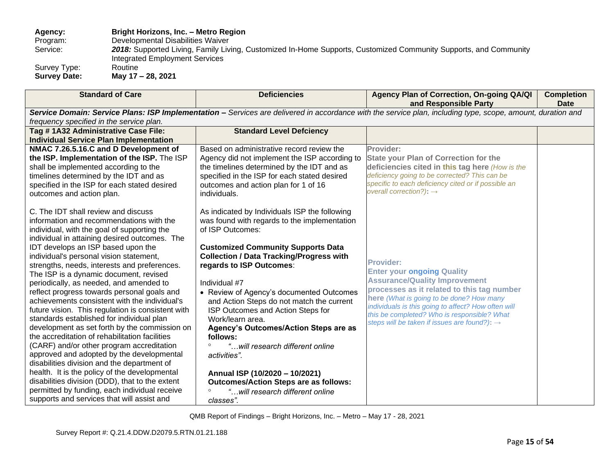**Agency: Bright Horizons, Inc. – Metro Region** 

Program: Developmental Disabilities Waiver<br>Service: 2018: Supported Living, Family Liv

2018: Supported Living, Family Living, Customized In-Home Supports, Customized Community Supports, and Community Integrated Employment Services

Survey Type:<br>Survey Date:

**Survey Date: May 17 – 28, 2021**

| <b>Standard of Care</b>                                                                  | <b>Deficiencies</b>                                                                                                                                         | Agency Plan of Correction, On-going QA/QI<br>and Responsible Party                              | <b>Completion</b><br><b>Date</b> |  |  |
|------------------------------------------------------------------------------------------|-------------------------------------------------------------------------------------------------------------------------------------------------------------|-------------------------------------------------------------------------------------------------|----------------------------------|--|--|
|                                                                                          |                                                                                                                                                             |                                                                                                 |                                  |  |  |
| frequency specified in the service plan.                                                 | Service Domain: Service Plans: ISP Implementation - Services are delivered in accordance with the service plan, including type, scope, amount, duration and |                                                                                                 |                                  |  |  |
| Tag #1A32 Administrative Case File:                                                      | <b>Standard Level Defciency</b>                                                                                                                             |                                                                                                 |                                  |  |  |
| <b>Individual Service Plan Implementation</b>                                            |                                                                                                                                                             |                                                                                                 |                                  |  |  |
| NMAC 7.26.5.16.C and D Development of                                                    | Based on administrative record review the                                                                                                                   | Provider:                                                                                       |                                  |  |  |
| the ISP. Implementation of the ISP. The ISP                                              | Agency did not implement the ISP according to                                                                                                               | <b>State your Plan of Correction for the</b>                                                    |                                  |  |  |
| shall be implemented according to the                                                    | the timelines determined by the IDT and as                                                                                                                  | deficiencies cited in this tag here (How is the                                                 |                                  |  |  |
| timelines determined by the IDT and as                                                   | specified in the ISP for each stated desired                                                                                                                | deficiency going to be corrected? This can be                                                   |                                  |  |  |
| specified in the ISP for each stated desired                                             | outcomes and action plan for 1 of 16                                                                                                                        | specific to each deficiency cited or if possible an                                             |                                  |  |  |
| outcomes and action plan.                                                                | individuals.                                                                                                                                                | overall correction?): $\rightarrow$                                                             |                                  |  |  |
| C. The IDT shall review and discuss                                                      | As indicated by Individuals ISP the following                                                                                                               |                                                                                                 |                                  |  |  |
| information and recommendations with the                                                 | was found with regards to the implementation                                                                                                                |                                                                                                 |                                  |  |  |
| individual, with the goal of supporting the                                              | of ISP Outcomes:                                                                                                                                            |                                                                                                 |                                  |  |  |
| individual in attaining desired outcomes. The                                            |                                                                                                                                                             |                                                                                                 |                                  |  |  |
| IDT develops an ISP based upon the                                                       | <b>Customized Community Supports Data</b>                                                                                                                   |                                                                                                 |                                  |  |  |
| individual's personal vision statement,                                                  | <b>Collection / Data Tracking/Progress with</b>                                                                                                             |                                                                                                 |                                  |  |  |
| strengths, needs, interests and preferences.                                             | regards to ISP Outcomes:                                                                                                                                    | <b>Provider:</b>                                                                                |                                  |  |  |
| The ISP is a dynamic document, revised                                                   |                                                                                                                                                             | <b>Enter your ongoing Quality</b>                                                               |                                  |  |  |
| periodically, as needed, and amended to                                                  | Individual #7                                                                                                                                               | <b>Assurance/Quality Improvement</b>                                                            |                                  |  |  |
| reflect progress towards personal goals and                                              | • Review of Agency's documented Outcomes                                                                                                                    | processes as it related to this tag number                                                      |                                  |  |  |
| achievements consistent with the individual's                                            | and Action Steps do not match the current                                                                                                                   | here (What is going to be done? How many<br>individuals is this going to affect? How often will |                                  |  |  |
| future vision. This regulation is consistent with                                        | ISP Outcomes and Action Steps for                                                                                                                           | this be completed? Who is responsible? What                                                     |                                  |  |  |
| standards established for individual plan                                                | Work/learn area.                                                                                                                                            | steps will be taken if issues are found?): $\rightarrow$                                        |                                  |  |  |
| development as set forth by the commission on                                            | Agency's Outcomes/Action Steps are as                                                                                                                       |                                                                                                 |                                  |  |  |
| the accreditation of rehabilitation facilities                                           | follows:                                                                                                                                                    |                                                                                                 |                                  |  |  |
| (CARF) and/or other program accreditation                                                | "will research different online                                                                                                                             |                                                                                                 |                                  |  |  |
| approved and adopted by the developmental<br>disabilities division and the department of | activities".                                                                                                                                                |                                                                                                 |                                  |  |  |
| health. It is the policy of the developmental                                            |                                                                                                                                                             |                                                                                                 |                                  |  |  |
| disabilities division (DDD), that to the extent                                          | Annual ISP (10/2020 - 10/2021)<br><b>Outcomes/Action Steps are as follows:</b>                                                                              |                                                                                                 |                                  |  |  |
| permitted by funding, each individual receive                                            | "will research different online                                                                                                                             |                                                                                                 |                                  |  |  |
| supports and services that will assist and                                               | classes".                                                                                                                                                   |                                                                                                 |                                  |  |  |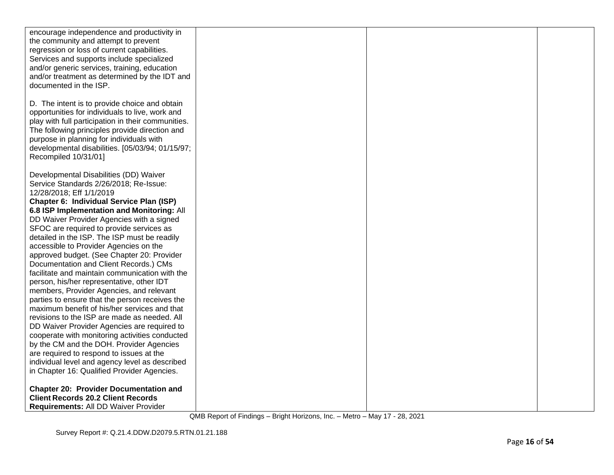| encourage independence and productivity in<br>the community and attempt to prevent<br>regression or loss of current capabilities.<br>Services and supports include specialized<br>and/or generic services, training, education<br>and/or treatment as determined by the IDT and<br>documented in the ISP.                        |  |  |
|----------------------------------------------------------------------------------------------------------------------------------------------------------------------------------------------------------------------------------------------------------------------------------------------------------------------------------|--|--|
| D. The intent is to provide choice and obtain<br>opportunities for individuals to live, work and<br>play with full participation in their communities.<br>The following principles provide direction and<br>purpose in planning for individuals with<br>developmental disabilities. [05/03/94; 01/15/97;<br>Recompiled 10/31/01] |  |  |
| Developmental Disabilities (DD) Waiver<br>Service Standards 2/26/2018; Re-Issue:<br>12/28/2018; Eff 1/1/2019<br>Chapter 6: Individual Service Plan (ISP)<br>6.8 ISP Implementation and Monitoring: All<br>DD Waiver Provider Agencies with a signed                                                                              |  |  |
| SFOC are required to provide services as<br>detailed in the ISP. The ISP must be readily<br>accessible to Provider Agencies on the<br>approved budget. (See Chapter 20: Provider<br>Documentation and Client Records.) CMs<br>facilitate and maintain communication with the<br>person, his/her representative, other IDT        |  |  |
| members, Provider Agencies, and relevant<br>parties to ensure that the person receives the<br>maximum benefit of his/her services and that<br>revisions to the ISP are made as needed. All<br>DD Waiver Provider Agencies are required to<br>cooperate with monitoring activities conducted                                      |  |  |
| by the CM and the DOH. Provider Agencies<br>are required to respond to issues at the<br>individual level and agency level as described<br>in Chapter 16: Qualified Provider Agencies.<br><b>Chapter 20: Provider Documentation and</b>                                                                                           |  |  |
| <b>Client Records 20.2 Client Records</b><br><b>Requirements: All DD Waiver Provider</b>                                                                                                                                                                                                                                         |  |  |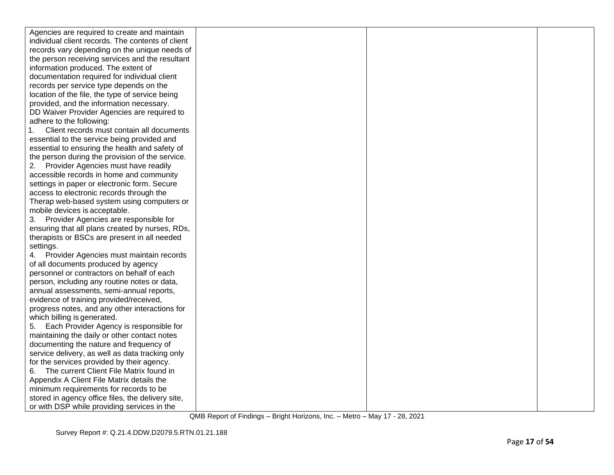| Agencies are required to create and maintain      |  |  |
|---------------------------------------------------|--|--|
| individual client records. The contents of client |  |  |
| records vary depending on the unique needs of     |  |  |
| the person receiving services and the resultant   |  |  |
| information produced. The extent of               |  |  |
| documentation required for individual client      |  |  |
| records per service type depends on the           |  |  |
| location of the file, the type of service being   |  |  |
| provided, and the information necessary.          |  |  |
| DD Waiver Provider Agencies are required to       |  |  |
| adhere to the following:                          |  |  |
| Client records must contain all documents         |  |  |
| essential to the service being provided and       |  |  |
| essential to ensuring the health and safety of    |  |  |
| the person during the provision of the service.   |  |  |
| Provider Agencies must have readily               |  |  |
| accessible records in home and community          |  |  |
| settings in paper or electronic form. Secure      |  |  |
| access to electronic records through the          |  |  |
| Therap web-based system using computers or        |  |  |
| mobile devices is acceptable.                     |  |  |
| 3. Provider Agencies are responsible for          |  |  |
| ensuring that all plans created by nurses, RDs,   |  |  |
| therapists or BSCs are present in all needed      |  |  |
| settings.                                         |  |  |
| Provider Agencies must maintain records           |  |  |
| of all documents produced by agency               |  |  |
| personnel or contractors on behalf of each        |  |  |
| person, including any routine notes or data,      |  |  |
| annual assessments, semi-annual reports,          |  |  |
| evidence of training provided/received,           |  |  |
| progress notes, and any other interactions for    |  |  |
| which billing is generated.                       |  |  |
| Each Provider Agency is responsible for           |  |  |
| maintaining the daily or other contact notes      |  |  |
| documenting the nature and frequency of           |  |  |
| service delivery, as well as data tracking only   |  |  |
| for the services provided by their agency.        |  |  |
| The current Client File Matrix found in<br>6.     |  |  |
| Appendix A Client File Matrix details the         |  |  |
| minimum requirements for records to be            |  |  |
| stored in agency office files, the delivery site, |  |  |
| or with DSP while providing services in the       |  |  |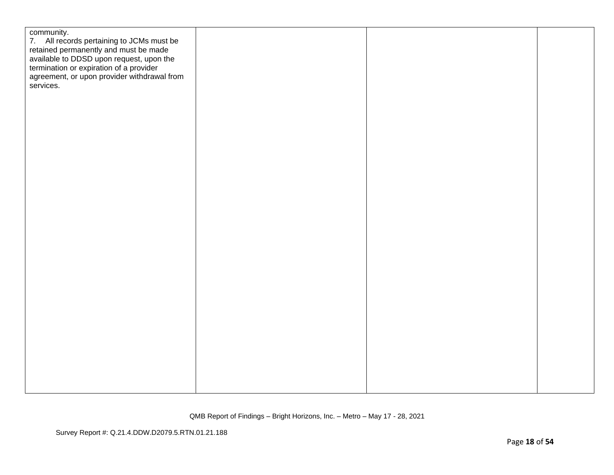| community.<br>7. All records pertaining to JCMs must be<br>retained permanently and must be made<br>available to DDSD upon request, upon the<br>termination or expiration of a provider<br>agreement, or upon provider withdrawal from<br>services. |  |  |
|-----------------------------------------------------------------------------------------------------------------------------------------------------------------------------------------------------------------------------------------------------|--|--|
|                                                                                                                                                                                                                                                     |  |  |
|                                                                                                                                                                                                                                                     |  |  |
|                                                                                                                                                                                                                                                     |  |  |
|                                                                                                                                                                                                                                                     |  |  |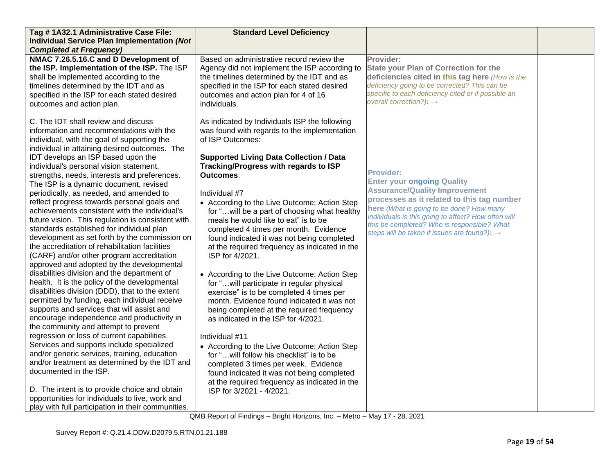| Tag #1A32.1 Administrative Case File:<br>Individual Service Plan Implementation (Not                                                                                                                                                                                                                                                                                                                                                                                                                                                                                                                                                                                                                                                                                                                                                                                                                                                                                                                                                                                                                                                                                                                                                                                                                                                                                                                                                                                                                                          | <b>Standard Level Deficiency</b>                                                                                                                                                                                                                                                                                                                                                                                                                                                                                                                                                                                                                                                                                                                                                                                                                                                                                                                                                                                                                                                                            |                                                                                                                                                                                                                                                                                                                                                           |  |
|-------------------------------------------------------------------------------------------------------------------------------------------------------------------------------------------------------------------------------------------------------------------------------------------------------------------------------------------------------------------------------------------------------------------------------------------------------------------------------------------------------------------------------------------------------------------------------------------------------------------------------------------------------------------------------------------------------------------------------------------------------------------------------------------------------------------------------------------------------------------------------------------------------------------------------------------------------------------------------------------------------------------------------------------------------------------------------------------------------------------------------------------------------------------------------------------------------------------------------------------------------------------------------------------------------------------------------------------------------------------------------------------------------------------------------------------------------------------------------------------------------------------------------|-------------------------------------------------------------------------------------------------------------------------------------------------------------------------------------------------------------------------------------------------------------------------------------------------------------------------------------------------------------------------------------------------------------------------------------------------------------------------------------------------------------------------------------------------------------------------------------------------------------------------------------------------------------------------------------------------------------------------------------------------------------------------------------------------------------------------------------------------------------------------------------------------------------------------------------------------------------------------------------------------------------------------------------------------------------------------------------------------------------|-----------------------------------------------------------------------------------------------------------------------------------------------------------------------------------------------------------------------------------------------------------------------------------------------------------------------------------------------------------|--|
| <b>Completed at Frequency)</b>                                                                                                                                                                                                                                                                                                                                                                                                                                                                                                                                                                                                                                                                                                                                                                                                                                                                                                                                                                                                                                                                                                                                                                                                                                                                                                                                                                                                                                                                                                |                                                                                                                                                                                                                                                                                                                                                                                                                                                                                                                                                                                                                                                                                                                                                                                                                                                                                                                                                                                                                                                                                                             |                                                                                                                                                                                                                                                                                                                                                           |  |
| NMAC 7.26.5.16.C and D Development of<br>the ISP. Implementation of the ISP. The ISP<br>shall be implemented according to the<br>timelines determined by the IDT and as<br>specified in the ISP for each stated desired<br>outcomes and action plan.                                                                                                                                                                                                                                                                                                                                                                                                                                                                                                                                                                                                                                                                                                                                                                                                                                                                                                                                                                                                                                                                                                                                                                                                                                                                          | Based on administrative record review the<br>Agency did not implement the ISP according to<br>the timelines determined by the IDT and as<br>specified in the ISP for each stated desired<br>outcomes and action plan for 4 of 16<br>individuals.                                                                                                                                                                                                                                                                                                                                                                                                                                                                                                                                                                                                                                                                                                                                                                                                                                                            | Provider:<br><b>State your Plan of Correction for the</b><br>deficiencies cited in this tag here (How is the<br>deficiency going to be corrected? This can be<br>specific to each deficiency cited or if possible an<br>overall correction?): $\rightarrow$                                                                                               |  |
| C. The IDT shall review and discuss<br>information and recommendations with the<br>individual, with the goal of supporting the<br>individual in attaining desired outcomes. The<br>IDT develops an ISP based upon the<br>individual's personal vision statement,<br>strengths, needs, interests and preferences.<br>The ISP is a dynamic document, revised<br>periodically, as needed, and amended to<br>reflect progress towards personal goals and<br>achievements consistent with the individual's<br>future vision. This regulation is consistent with<br>standards established for individual plan<br>development as set forth by the commission on<br>the accreditation of rehabilitation facilities<br>(CARF) and/or other program accreditation<br>approved and adopted by the developmental<br>disabilities division and the department of<br>health. It is the policy of the developmental<br>disabilities division (DDD), that to the extent<br>permitted by funding, each individual receive<br>supports and services that will assist and<br>encourage independence and productivity in<br>the community and attempt to prevent<br>regression or loss of current capabilities.<br>Services and supports include specialized<br>and/or generic services, training, education<br>and/or treatment as determined by the IDT and<br>documented in the ISP.<br>D. The intent is to provide choice and obtain<br>opportunities for individuals to live, work and<br>play with full participation in their communities. | As indicated by Individuals ISP the following<br>was found with regards to the implementation<br>of ISP Outcomes:<br><b>Supported Living Data Collection / Data</b><br>Tracking/Progress with regards to ISP<br>Outcomes∶<br>Individual #7<br>• According to the Live Outcome; Action Step<br>for " will be a part of choosing what healthy<br>meals he would like to eat" is to be<br>completed 4 times per month. Evidence<br>found indicated it was not being completed<br>at the required frequency as indicated in the<br>ISP for 4/2021.<br>• According to the Live Outcome; Action Step<br>for "will participate in regular physical<br>exercise" is to be completed 4 times per<br>month. Evidence found indicated it was not<br>being completed at the required frequency<br>as indicated in the ISP for 4/2021.<br>Individual #11<br>• According to the Live Outcome; Action Step<br>for " will follow his checklist" is to be<br>completed 3 times per week. Evidence<br>found indicated it was not being completed<br>at the required frequency as indicated in the<br>ISP for 3/2021 - 4/2021. | <b>Provider:</b><br><b>Enter your ongoing Quality</b><br><b>Assurance/Quality Improvement</b><br>processes as it related to this tag number<br>here (What is going to be done? How many<br>individuals is this going to affect? How often will<br>this be completed? Who is responsible? What<br>steps will be taken if issues are found?): $\rightarrow$ |  |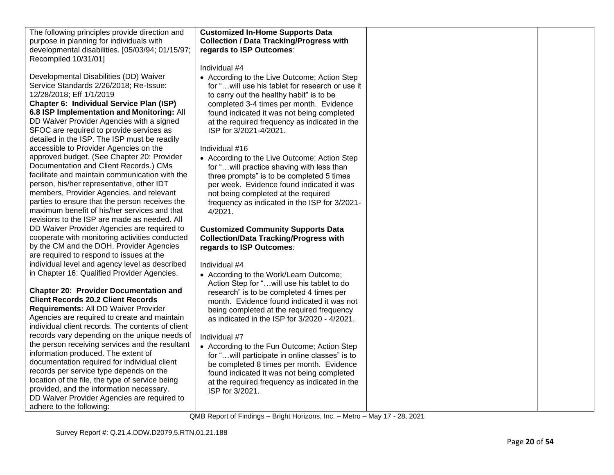| <b>Customized In-Home Supports Data</b><br>The following principles provide direction and<br>purpose in planning for individuals with<br><b>Collection / Data Tracking/Progress with</b><br>developmental disabilities. [05/03/94; 01/15/97;<br>regards to ISP Outcomes:<br>Recompiled 10/31/01]<br>Individual #4<br>Developmental Disabilities (DD) Waiver<br>• According to the Live Outcome; Action Step<br>Service Standards 2/26/2018; Re-Issue:<br>for " will use his tablet for research or use it<br>12/28/2018; Eff 1/1/2019<br>to carry out the healthy habit" is to be<br>Chapter 6: Individual Service Plan (ISP)<br>completed 3-4 times per month. Evidence<br>6.8 ISP Implementation and Monitoring: All<br>found indicated it was not being completed<br>DD Waiver Provider Agencies with a signed<br>at the required frequency as indicated in the<br>SFOC are required to provide services as<br>ISP for 3/2021-4/2021.<br>detailed in the ISP. The ISP must be readily<br>accessible to Provider Agencies on the<br>Individual #16<br>approved budget. (See Chapter 20: Provider<br>• According to the Live Outcome; Action Step<br>Documentation and Client Records.) CMs<br>for "will practice shaving with less than<br>facilitate and maintain communication with the<br>three prompts" is to be completed 5 times<br>person, his/her representative, other IDT<br>per week. Evidence found indicated it was<br>members, Provider Agencies, and relevant<br>not being completed at the required<br>parties to ensure that the person receives the<br>frequency as indicated in the ISP for 3/2021-<br>maximum benefit of his/her services and that<br>4/2021.<br>revisions to the ISP are made as needed. All<br>DD Waiver Provider Agencies are required to<br><b>Customized Community Supports Data</b><br>cooperate with monitoring activities conducted<br><b>Collection/Data Tracking/Progress with</b><br>by the CM and the DOH. Provider Agencies<br>regards to ISP Outcomes:<br>are required to respond to issues at the<br>individual level and agency level as described<br>Individual #4<br>in Chapter 16: Qualified Provider Agencies.<br>• According to the Work/Learn Outcome;<br>Action Step for " will use his tablet to do<br><b>Chapter 20: Provider Documentation and</b><br>research" is to be completed 4 times per<br><b>Client Records 20.2 Client Records</b><br>month. Evidence found indicated it was not<br>Requirements: All DD Waiver Provider<br>being completed at the required frequency<br>Agencies are required to create and maintain<br>as indicated in the ISP for 3/2020 - 4/2021.<br>individual client records. The contents of client<br>records vary depending on the unique needs of<br>Individual #7<br>the person receiving services and the resultant<br>• According to the Fun Outcome; Action Step<br>information produced. The extent of<br>for " will participate in online classes" is to<br>documentation required for individual client<br>be completed 8 times per month. Evidence<br>records per service type depends on the<br>found indicated it was not being completed<br>location of the file, the type of service being<br>at the required frequency as indicated in the<br>provided, and the information necessary.<br>ISP for 3/2021.<br>DD Waiver Provider Agencies are required to |                          |  |  |
|--------------------------------------------------------------------------------------------------------------------------------------------------------------------------------------------------------------------------------------------------------------------------------------------------------------------------------------------------------------------------------------------------------------------------------------------------------------------------------------------------------------------------------------------------------------------------------------------------------------------------------------------------------------------------------------------------------------------------------------------------------------------------------------------------------------------------------------------------------------------------------------------------------------------------------------------------------------------------------------------------------------------------------------------------------------------------------------------------------------------------------------------------------------------------------------------------------------------------------------------------------------------------------------------------------------------------------------------------------------------------------------------------------------------------------------------------------------------------------------------------------------------------------------------------------------------------------------------------------------------------------------------------------------------------------------------------------------------------------------------------------------------------------------------------------------------------------------------------------------------------------------------------------------------------------------------------------------------------------------------------------------------------------------------------------------------------------------------------------------------------------------------------------------------------------------------------------------------------------------------------------------------------------------------------------------------------------------------------------------------------------------------------------------------------------------------------------------------------------------------------------------------------------------------------------------------------------------------------------------------------------------------------------------------------------------------------------------------------------------------------------------------------------------------------------------------------------------------------------------------------------------------------------------------------------------------------------------------------------------------------------------------------------------------------------------------------------------------------------------------------------------------------------------------------------------------------------------------------------------------------------------------------------------------------------------------------------------------------------------------------|--------------------------|--|--|
|                                                                                                                                                                                                                                                                                                                                                                                                                                                                                                                                                                                                                                                                                                                                                                                                                                                                                                                                                                                                                                                                                                                                                                                                                                                                                                                                                                                                                                                                                                                                                                                                                                                                                                                                                                                                                                                                                                                                                                                                                                                                                                                                                                                                                                                                                                                                                                                                                                                                                                                                                                                                                                                                                                                                                                                                                                                                                                                                                                                                                                                                                                                                                                                                                                                                                                                                                                          |                          |  |  |
|                                                                                                                                                                                                                                                                                                                                                                                                                                                                                                                                                                                                                                                                                                                                                                                                                                                                                                                                                                                                                                                                                                                                                                                                                                                                                                                                                                                                                                                                                                                                                                                                                                                                                                                                                                                                                                                                                                                                                                                                                                                                                                                                                                                                                                                                                                                                                                                                                                                                                                                                                                                                                                                                                                                                                                                                                                                                                                                                                                                                                                                                                                                                                                                                                                                                                                                                                                          |                          |  |  |
|                                                                                                                                                                                                                                                                                                                                                                                                                                                                                                                                                                                                                                                                                                                                                                                                                                                                                                                                                                                                                                                                                                                                                                                                                                                                                                                                                                                                                                                                                                                                                                                                                                                                                                                                                                                                                                                                                                                                                                                                                                                                                                                                                                                                                                                                                                                                                                                                                                                                                                                                                                                                                                                                                                                                                                                                                                                                                                                                                                                                                                                                                                                                                                                                                                                                                                                                                                          |                          |  |  |
|                                                                                                                                                                                                                                                                                                                                                                                                                                                                                                                                                                                                                                                                                                                                                                                                                                                                                                                                                                                                                                                                                                                                                                                                                                                                                                                                                                                                                                                                                                                                                                                                                                                                                                                                                                                                                                                                                                                                                                                                                                                                                                                                                                                                                                                                                                                                                                                                                                                                                                                                                                                                                                                                                                                                                                                                                                                                                                                                                                                                                                                                                                                                                                                                                                                                                                                                                                          |                          |  |  |
|                                                                                                                                                                                                                                                                                                                                                                                                                                                                                                                                                                                                                                                                                                                                                                                                                                                                                                                                                                                                                                                                                                                                                                                                                                                                                                                                                                                                                                                                                                                                                                                                                                                                                                                                                                                                                                                                                                                                                                                                                                                                                                                                                                                                                                                                                                                                                                                                                                                                                                                                                                                                                                                                                                                                                                                                                                                                                                                                                                                                                                                                                                                                                                                                                                                                                                                                                                          |                          |  |  |
|                                                                                                                                                                                                                                                                                                                                                                                                                                                                                                                                                                                                                                                                                                                                                                                                                                                                                                                                                                                                                                                                                                                                                                                                                                                                                                                                                                                                                                                                                                                                                                                                                                                                                                                                                                                                                                                                                                                                                                                                                                                                                                                                                                                                                                                                                                                                                                                                                                                                                                                                                                                                                                                                                                                                                                                                                                                                                                                                                                                                                                                                                                                                                                                                                                                                                                                                                                          |                          |  |  |
|                                                                                                                                                                                                                                                                                                                                                                                                                                                                                                                                                                                                                                                                                                                                                                                                                                                                                                                                                                                                                                                                                                                                                                                                                                                                                                                                                                                                                                                                                                                                                                                                                                                                                                                                                                                                                                                                                                                                                                                                                                                                                                                                                                                                                                                                                                                                                                                                                                                                                                                                                                                                                                                                                                                                                                                                                                                                                                                                                                                                                                                                                                                                                                                                                                                                                                                                                                          |                          |  |  |
|                                                                                                                                                                                                                                                                                                                                                                                                                                                                                                                                                                                                                                                                                                                                                                                                                                                                                                                                                                                                                                                                                                                                                                                                                                                                                                                                                                                                                                                                                                                                                                                                                                                                                                                                                                                                                                                                                                                                                                                                                                                                                                                                                                                                                                                                                                                                                                                                                                                                                                                                                                                                                                                                                                                                                                                                                                                                                                                                                                                                                                                                                                                                                                                                                                                                                                                                                                          |                          |  |  |
|                                                                                                                                                                                                                                                                                                                                                                                                                                                                                                                                                                                                                                                                                                                                                                                                                                                                                                                                                                                                                                                                                                                                                                                                                                                                                                                                                                                                                                                                                                                                                                                                                                                                                                                                                                                                                                                                                                                                                                                                                                                                                                                                                                                                                                                                                                                                                                                                                                                                                                                                                                                                                                                                                                                                                                                                                                                                                                                                                                                                                                                                                                                                                                                                                                                                                                                                                                          |                          |  |  |
|                                                                                                                                                                                                                                                                                                                                                                                                                                                                                                                                                                                                                                                                                                                                                                                                                                                                                                                                                                                                                                                                                                                                                                                                                                                                                                                                                                                                                                                                                                                                                                                                                                                                                                                                                                                                                                                                                                                                                                                                                                                                                                                                                                                                                                                                                                                                                                                                                                                                                                                                                                                                                                                                                                                                                                                                                                                                                                                                                                                                                                                                                                                                                                                                                                                                                                                                                                          |                          |  |  |
|                                                                                                                                                                                                                                                                                                                                                                                                                                                                                                                                                                                                                                                                                                                                                                                                                                                                                                                                                                                                                                                                                                                                                                                                                                                                                                                                                                                                                                                                                                                                                                                                                                                                                                                                                                                                                                                                                                                                                                                                                                                                                                                                                                                                                                                                                                                                                                                                                                                                                                                                                                                                                                                                                                                                                                                                                                                                                                                                                                                                                                                                                                                                                                                                                                                                                                                                                                          |                          |  |  |
|                                                                                                                                                                                                                                                                                                                                                                                                                                                                                                                                                                                                                                                                                                                                                                                                                                                                                                                                                                                                                                                                                                                                                                                                                                                                                                                                                                                                                                                                                                                                                                                                                                                                                                                                                                                                                                                                                                                                                                                                                                                                                                                                                                                                                                                                                                                                                                                                                                                                                                                                                                                                                                                                                                                                                                                                                                                                                                                                                                                                                                                                                                                                                                                                                                                                                                                                                                          |                          |  |  |
|                                                                                                                                                                                                                                                                                                                                                                                                                                                                                                                                                                                                                                                                                                                                                                                                                                                                                                                                                                                                                                                                                                                                                                                                                                                                                                                                                                                                                                                                                                                                                                                                                                                                                                                                                                                                                                                                                                                                                                                                                                                                                                                                                                                                                                                                                                                                                                                                                                                                                                                                                                                                                                                                                                                                                                                                                                                                                                                                                                                                                                                                                                                                                                                                                                                                                                                                                                          |                          |  |  |
|                                                                                                                                                                                                                                                                                                                                                                                                                                                                                                                                                                                                                                                                                                                                                                                                                                                                                                                                                                                                                                                                                                                                                                                                                                                                                                                                                                                                                                                                                                                                                                                                                                                                                                                                                                                                                                                                                                                                                                                                                                                                                                                                                                                                                                                                                                                                                                                                                                                                                                                                                                                                                                                                                                                                                                                                                                                                                                                                                                                                                                                                                                                                                                                                                                                                                                                                                                          |                          |  |  |
|                                                                                                                                                                                                                                                                                                                                                                                                                                                                                                                                                                                                                                                                                                                                                                                                                                                                                                                                                                                                                                                                                                                                                                                                                                                                                                                                                                                                                                                                                                                                                                                                                                                                                                                                                                                                                                                                                                                                                                                                                                                                                                                                                                                                                                                                                                                                                                                                                                                                                                                                                                                                                                                                                                                                                                                                                                                                                                                                                                                                                                                                                                                                                                                                                                                                                                                                                                          |                          |  |  |
|                                                                                                                                                                                                                                                                                                                                                                                                                                                                                                                                                                                                                                                                                                                                                                                                                                                                                                                                                                                                                                                                                                                                                                                                                                                                                                                                                                                                                                                                                                                                                                                                                                                                                                                                                                                                                                                                                                                                                                                                                                                                                                                                                                                                                                                                                                                                                                                                                                                                                                                                                                                                                                                                                                                                                                                                                                                                                                                                                                                                                                                                                                                                                                                                                                                                                                                                                                          |                          |  |  |
|                                                                                                                                                                                                                                                                                                                                                                                                                                                                                                                                                                                                                                                                                                                                                                                                                                                                                                                                                                                                                                                                                                                                                                                                                                                                                                                                                                                                                                                                                                                                                                                                                                                                                                                                                                                                                                                                                                                                                                                                                                                                                                                                                                                                                                                                                                                                                                                                                                                                                                                                                                                                                                                                                                                                                                                                                                                                                                                                                                                                                                                                                                                                                                                                                                                                                                                                                                          |                          |  |  |
|                                                                                                                                                                                                                                                                                                                                                                                                                                                                                                                                                                                                                                                                                                                                                                                                                                                                                                                                                                                                                                                                                                                                                                                                                                                                                                                                                                                                                                                                                                                                                                                                                                                                                                                                                                                                                                                                                                                                                                                                                                                                                                                                                                                                                                                                                                                                                                                                                                                                                                                                                                                                                                                                                                                                                                                                                                                                                                                                                                                                                                                                                                                                                                                                                                                                                                                                                                          |                          |  |  |
|                                                                                                                                                                                                                                                                                                                                                                                                                                                                                                                                                                                                                                                                                                                                                                                                                                                                                                                                                                                                                                                                                                                                                                                                                                                                                                                                                                                                                                                                                                                                                                                                                                                                                                                                                                                                                                                                                                                                                                                                                                                                                                                                                                                                                                                                                                                                                                                                                                                                                                                                                                                                                                                                                                                                                                                                                                                                                                                                                                                                                                                                                                                                                                                                                                                                                                                                                                          |                          |  |  |
|                                                                                                                                                                                                                                                                                                                                                                                                                                                                                                                                                                                                                                                                                                                                                                                                                                                                                                                                                                                                                                                                                                                                                                                                                                                                                                                                                                                                                                                                                                                                                                                                                                                                                                                                                                                                                                                                                                                                                                                                                                                                                                                                                                                                                                                                                                                                                                                                                                                                                                                                                                                                                                                                                                                                                                                                                                                                                                                                                                                                                                                                                                                                                                                                                                                                                                                                                                          |                          |  |  |
|                                                                                                                                                                                                                                                                                                                                                                                                                                                                                                                                                                                                                                                                                                                                                                                                                                                                                                                                                                                                                                                                                                                                                                                                                                                                                                                                                                                                                                                                                                                                                                                                                                                                                                                                                                                                                                                                                                                                                                                                                                                                                                                                                                                                                                                                                                                                                                                                                                                                                                                                                                                                                                                                                                                                                                                                                                                                                                                                                                                                                                                                                                                                                                                                                                                                                                                                                                          |                          |  |  |
|                                                                                                                                                                                                                                                                                                                                                                                                                                                                                                                                                                                                                                                                                                                                                                                                                                                                                                                                                                                                                                                                                                                                                                                                                                                                                                                                                                                                                                                                                                                                                                                                                                                                                                                                                                                                                                                                                                                                                                                                                                                                                                                                                                                                                                                                                                                                                                                                                                                                                                                                                                                                                                                                                                                                                                                                                                                                                                                                                                                                                                                                                                                                                                                                                                                                                                                                                                          |                          |  |  |
|                                                                                                                                                                                                                                                                                                                                                                                                                                                                                                                                                                                                                                                                                                                                                                                                                                                                                                                                                                                                                                                                                                                                                                                                                                                                                                                                                                                                                                                                                                                                                                                                                                                                                                                                                                                                                                                                                                                                                                                                                                                                                                                                                                                                                                                                                                                                                                                                                                                                                                                                                                                                                                                                                                                                                                                                                                                                                                                                                                                                                                                                                                                                                                                                                                                                                                                                                                          |                          |  |  |
|                                                                                                                                                                                                                                                                                                                                                                                                                                                                                                                                                                                                                                                                                                                                                                                                                                                                                                                                                                                                                                                                                                                                                                                                                                                                                                                                                                                                                                                                                                                                                                                                                                                                                                                                                                                                                                                                                                                                                                                                                                                                                                                                                                                                                                                                                                                                                                                                                                                                                                                                                                                                                                                                                                                                                                                                                                                                                                                                                                                                                                                                                                                                                                                                                                                                                                                                                                          |                          |  |  |
|                                                                                                                                                                                                                                                                                                                                                                                                                                                                                                                                                                                                                                                                                                                                                                                                                                                                                                                                                                                                                                                                                                                                                                                                                                                                                                                                                                                                                                                                                                                                                                                                                                                                                                                                                                                                                                                                                                                                                                                                                                                                                                                                                                                                                                                                                                                                                                                                                                                                                                                                                                                                                                                                                                                                                                                                                                                                                                                                                                                                                                                                                                                                                                                                                                                                                                                                                                          |                          |  |  |
|                                                                                                                                                                                                                                                                                                                                                                                                                                                                                                                                                                                                                                                                                                                                                                                                                                                                                                                                                                                                                                                                                                                                                                                                                                                                                                                                                                                                                                                                                                                                                                                                                                                                                                                                                                                                                                                                                                                                                                                                                                                                                                                                                                                                                                                                                                                                                                                                                                                                                                                                                                                                                                                                                                                                                                                                                                                                                                                                                                                                                                                                                                                                                                                                                                                                                                                                                                          |                          |  |  |
|                                                                                                                                                                                                                                                                                                                                                                                                                                                                                                                                                                                                                                                                                                                                                                                                                                                                                                                                                                                                                                                                                                                                                                                                                                                                                                                                                                                                                                                                                                                                                                                                                                                                                                                                                                                                                                                                                                                                                                                                                                                                                                                                                                                                                                                                                                                                                                                                                                                                                                                                                                                                                                                                                                                                                                                                                                                                                                                                                                                                                                                                                                                                                                                                                                                                                                                                                                          |                          |  |  |
|                                                                                                                                                                                                                                                                                                                                                                                                                                                                                                                                                                                                                                                                                                                                                                                                                                                                                                                                                                                                                                                                                                                                                                                                                                                                                                                                                                                                                                                                                                                                                                                                                                                                                                                                                                                                                                                                                                                                                                                                                                                                                                                                                                                                                                                                                                                                                                                                                                                                                                                                                                                                                                                                                                                                                                                                                                                                                                                                                                                                                                                                                                                                                                                                                                                                                                                                                                          |                          |  |  |
|                                                                                                                                                                                                                                                                                                                                                                                                                                                                                                                                                                                                                                                                                                                                                                                                                                                                                                                                                                                                                                                                                                                                                                                                                                                                                                                                                                                                                                                                                                                                                                                                                                                                                                                                                                                                                                                                                                                                                                                                                                                                                                                                                                                                                                                                                                                                                                                                                                                                                                                                                                                                                                                                                                                                                                                                                                                                                                                                                                                                                                                                                                                                                                                                                                                                                                                                                                          |                          |  |  |
|                                                                                                                                                                                                                                                                                                                                                                                                                                                                                                                                                                                                                                                                                                                                                                                                                                                                                                                                                                                                                                                                                                                                                                                                                                                                                                                                                                                                                                                                                                                                                                                                                                                                                                                                                                                                                                                                                                                                                                                                                                                                                                                                                                                                                                                                                                                                                                                                                                                                                                                                                                                                                                                                                                                                                                                                                                                                                                                                                                                                                                                                                                                                                                                                                                                                                                                                                                          |                          |  |  |
|                                                                                                                                                                                                                                                                                                                                                                                                                                                                                                                                                                                                                                                                                                                                                                                                                                                                                                                                                                                                                                                                                                                                                                                                                                                                                                                                                                                                                                                                                                                                                                                                                                                                                                                                                                                                                                                                                                                                                                                                                                                                                                                                                                                                                                                                                                                                                                                                                                                                                                                                                                                                                                                                                                                                                                                                                                                                                                                                                                                                                                                                                                                                                                                                                                                                                                                                                                          |                          |  |  |
|                                                                                                                                                                                                                                                                                                                                                                                                                                                                                                                                                                                                                                                                                                                                                                                                                                                                                                                                                                                                                                                                                                                                                                                                                                                                                                                                                                                                                                                                                                                                                                                                                                                                                                                                                                                                                                                                                                                                                                                                                                                                                                                                                                                                                                                                                                                                                                                                                                                                                                                                                                                                                                                                                                                                                                                                                                                                                                                                                                                                                                                                                                                                                                                                                                                                                                                                                                          |                          |  |  |
|                                                                                                                                                                                                                                                                                                                                                                                                                                                                                                                                                                                                                                                                                                                                                                                                                                                                                                                                                                                                                                                                                                                                                                                                                                                                                                                                                                                                                                                                                                                                                                                                                                                                                                                                                                                                                                                                                                                                                                                                                                                                                                                                                                                                                                                                                                                                                                                                                                                                                                                                                                                                                                                                                                                                                                                                                                                                                                                                                                                                                                                                                                                                                                                                                                                                                                                                                                          |                          |  |  |
|                                                                                                                                                                                                                                                                                                                                                                                                                                                                                                                                                                                                                                                                                                                                                                                                                                                                                                                                                                                                                                                                                                                                                                                                                                                                                                                                                                                                                                                                                                                                                                                                                                                                                                                                                                                                                                                                                                                                                                                                                                                                                                                                                                                                                                                                                                                                                                                                                                                                                                                                                                                                                                                                                                                                                                                                                                                                                                                                                                                                                                                                                                                                                                                                                                                                                                                                                                          |                          |  |  |
|                                                                                                                                                                                                                                                                                                                                                                                                                                                                                                                                                                                                                                                                                                                                                                                                                                                                                                                                                                                                                                                                                                                                                                                                                                                                                                                                                                                                                                                                                                                                                                                                                                                                                                                                                                                                                                                                                                                                                                                                                                                                                                                                                                                                                                                                                                                                                                                                                                                                                                                                                                                                                                                                                                                                                                                                                                                                                                                                                                                                                                                                                                                                                                                                                                                                                                                                                                          |                          |  |  |
|                                                                                                                                                                                                                                                                                                                                                                                                                                                                                                                                                                                                                                                                                                                                                                                                                                                                                                                                                                                                                                                                                                                                                                                                                                                                                                                                                                                                                                                                                                                                                                                                                                                                                                                                                                                                                                                                                                                                                                                                                                                                                                                                                                                                                                                                                                                                                                                                                                                                                                                                                                                                                                                                                                                                                                                                                                                                                                                                                                                                                                                                                                                                                                                                                                                                                                                                                                          |                          |  |  |
|                                                                                                                                                                                                                                                                                                                                                                                                                                                                                                                                                                                                                                                                                                                                                                                                                                                                                                                                                                                                                                                                                                                                                                                                                                                                                                                                                                                                                                                                                                                                                                                                                                                                                                                                                                                                                                                                                                                                                                                                                                                                                                                                                                                                                                                                                                                                                                                                                                                                                                                                                                                                                                                                                                                                                                                                                                                                                                                                                                                                                                                                                                                                                                                                                                                                                                                                                                          |                          |  |  |
|                                                                                                                                                                                                                                                                                                                                                                                                                                                                                                                                                                                                                                                                                                                                                                                                                                                                                                                                                                                                                                                                                                                                                                                                                                                                                                                                                                                                                                                                                                                                                                                                                                                                                                                                                                                                                                                                                                                                                                                                                                                                                                                                                                                                                                                                                                                                                                                                                                                                                                                                                                                                                                                                                                                                                                                                                                                                                                                                                                                                                                                                                                                                                                                                                                                                                                                                                                          |                          |  |  |
|                                                                                                                                                                                                                                                                                                                                                                                                                                                                                                                                                                                                                                                                                                                                                                                                                                                                                                                                                                                                                                                                                                                                                                                                                                                                                                                                                                                                                                                                                                                                                                                                                                                                                                                                                                                                                                                                                                                                                                                                                                                                                                                                                                                                                                                                                                                                                                                                                                                                                                                                                                                                                                                                                                                                                                                                                                                                                                                                                                                                                                                                                                                                                                                                                                                                                                                                                                          | adhere to the following: |  |  |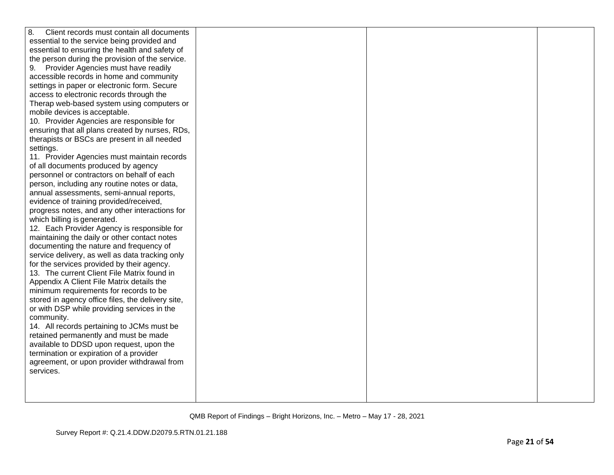| 8.<br>Client records must contain all documents   |  |  |
|---------------------------------------------------|--|--|
| essential to the service being provided and       |  |  |
| essential to ensuring the health and safety of    |  |  |
| the person during the provision of the service.   |  |  |
| 9. Provider Agencies must have readily            |  |  |
| accessible records in home and community          |  |  |
| settings in paper or electronic form. Secure      |  |  |
| access to electronic records through the          |  |  |
| Therap web-based system using computers or        |  |  |
| mobile devices is acceptable.                     |  |  |
| 10. Provider Agencies are responsible for         |  |  |
| ensuring that all plans created by nurses, RDs,   |  |  |
| therapists or BSCs are present in all needed      |  |  |
| settings.                                         |  |  |
| 11. Provider Agencies must maintain records       |  |  |
| of all documents produced by agency               |  |  |
| personnel or contractors on behalf of each        |  |  |
| person, including any routine notes or data,      |  |  |
| annual assessments, semi-annual reports,          |  |  |
| evidence of training provided/received,           |  |  |
| progress notes, and any other interactions for    |  |  |
| which billing is generated.                       |  |  |
| 12. Each Provider Agency is responsible for       |  |  |
| maintaining the daily or other contact notes      |  |  |
| documenting the nature and frequency of           |  |  |
| service delivery, as well as data tracking only   |  |  |
| for the services provided by their agency.        |  |  |
| 13. The current Client File Matrix found in       |  |  |
| Appendix A Client File Matrix details the         |  |  |
| minimum requirements for records to be            |  |  |
| stored in agency office files, the delivery site, |  |  |
| or with DSP while providing services in the       |  |  |
| community.                                        |  |  |
| 14. All records pertaining to JCMs must be        |  |  |
| retained permanently and must be made             |  |  |
| available to DDSD upon request, upon the          |  |  |
| termination or expiration of a provider           |  |  |
| agreement, or upon provider withdrawal from       |  |  |
| services.                                         |  |  |
|                                                   |  |  |
|                                                   |  |  |
|                                                   |  |  |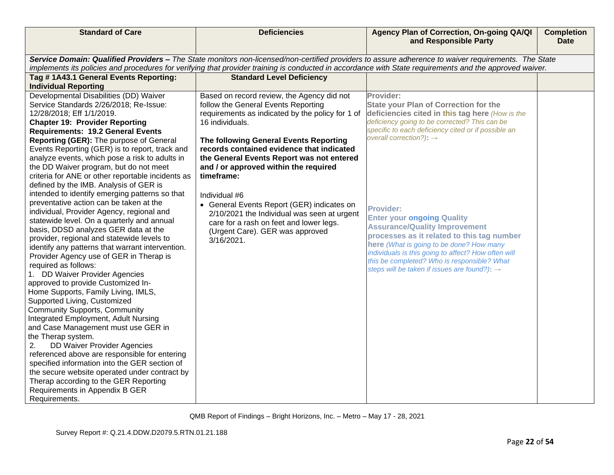| <b>Standard of Care</b>                                                                  | <b>Deficiencies</b>                                                                | Agency Plan of Correction, On-going QA/QI<br>and Responsible Party                                                                                      | <b>Completion</b><br><b>Date</b> |
|------------------------------------------------------------------------------------------|------------------------------------------------------------------------------------|---------------------------------------------------------------------------------------------------------------------------------------------------------|----------------------------------|
|                                                                                          |                                                                                    | Service Domain: Qualified Providers - The State monitors non-licensed/non-certified providers to assure adherence to waiver requirements. The State     |                                  |
|                                                                                          |                                                                                    | implements its policies and procedures for verifying that provider training is conducted in accordance with State requirements and the approved waiver. |                                  |
| Tag #1A43.1 General Events Reporting:                                                    | <b>Standard Level Deficiency</b>                                                   |                                                                                                                                                         |                                  |
| <b>Individual Reporting</b>                                                              |                                                                                    |                                                                                                                                                         |                                  |
| Developmental Disabilities (DD) Waiver                                                   | Based on record review, the Agency did not                                         | Provider:                                                                                                                                               |                                  |
| Service Standards 2/26/2018; Re-Issue:                                                   | follow the General Events Reporting                                                | <b>State your Plan of Correction for the</b>                                                                                                            |                                  |
| 12/28/2018; Eff 1/1/2019.                                                                | requirements as indicated by the policy for 1 of                                   | deficiencies cited in this tag here (How is the                                                                                                         |                                  |
| <b>Chapter 19: Provider Reporting</b>                                                    | 16 individuals.                                                                    | deficiency going to be corrected? This can be                                                                                                           |                                  |
| <b>Requirements: 19.2 General Events</b>                                                 |                                                                                    | specific to each deficiency cited or if possible an<br>overall correction?): $\rightarrow$                                                              |                                  |
| Reporting (GER): The purpose of General                                                  | The following General Events Reporting                                             |                                                                                                                                                         |                                  |
| Events Reporting (GER) is to report, track and                                           | records contained evidence that indicated                                          |                                                                                                                                                         |                                  |
| analyze events, which pose a risk to adults in<br>the DD Waiver program, but do not meet | the General Events Report was not entered<br>and / or approved within the required |                                                                                                                                                         |                                  |
| criteria for ANE or other reportable incidents as                                        | timeframe:                                                                         |                                                                                                                                                         |                                  |
| defined by the IMB. Analysis of GER is                                                   |                                                                                    |                                                                                                                                                         |                                  |
| intended to identify emerging patterns so that                                           | Individual #6                                                                      |                                                                                                                                                         |                                  |
| preventative action can be taken at the                                                  | • General Events Report (GER) indicates on                                         |                                                                                                                                                         |                                  |
| individual, Provider Agency, regional and                                                | 2/10/2021 the Individual was seen at urgent                                        | <b>Provider:</b>                                                                                                                                        |                                  |
| statewide level. On a quarterly and annual                                               | care for a rash on feet and lower legs.                                            | <b>Enter your ongoing Quality</b>                                                                                                                       |                                  |
| basis, DDSD analyzes GER data at the                                                     | (Urgent Care). GER was approved                                                    | <b>Assurance/Quality Improvement</b>                                                                                                                    |                                  |
| provider, regional and statewide levels to                                               | 3/16/2021.                                                                         | processes as it related to this tag number                                                                                                              |                                  |
| identify any patterns that warrant intervention.                                         |                                                                                    | here (What is going to be done? How many<br>individuals is this going to affect? How often will                                                         |                                  |
| Provider Agency use of GER in Therap is                                                  |                                                                                    | this be completed? Who is responsible? What                                                                                                             |                                  |
| required as follows:                                                                     |                                                                                    | steps will be taken if issues are found?): $\rightarrow$                                                                                                |                                  |
| 1. DD Waiver Provider Agencies                                                           |                                                                                    |                                                                                                                                                         |                                  |
| approved to provide Customized In-                                                       |                                                                                    |                                                                                                                                                         |                                  |
| Home Supports, Family Living, IMLS,<br>Supported Living, Customized                      |                                                                                    |                                                                                                                                                         |                                  |
| <b>Community Supports, Community</b>                                                     |                                                                                    |                                                                                                                                                         |                                  |
| Integrated Employment, Adult Nursing                                                     |                                                                                    |                                                                                                                                                         |                                  |
| and Case Management must use GER in                                                      |                                                                                    |                                                                                                                                                         |                                  |
| the Therap system.                                                                       |                                                                                    |                                                                                                                                                         |                                  |
| <b>DD Waiver Provider Agencies</b><br>2.                                                 |                                                                                    |                                                                                                                                                         |                                  |
| referenced above are responsible for entering                                            |                                                                                    |                                                                                                                                                         |                                  |
| specified information into the GER section of                                            |                                                                                    |                                                                                                                                                         |                                  |
| the secure website operated under contract by                                            |                                                                                    |                                                                                                                                                         |                                  |
| Therap according to the GER Reporting                                                    |                                                                                    |                                                                                                                                                         |                                  |
| Requirements in Appendix B GER                                                           |                                                                                    |                                                                                                                                                         |                                  |
| Requirements.                                                                            |                                                                                    |                                                                                                                                                         |                                  |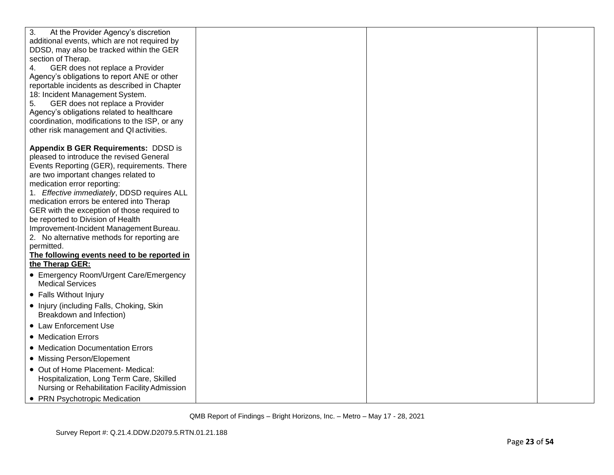| 3.<br>At the Provider Agency's discretion                      |  |  |
|----------------------------------------------------------------|--|--|
| additional events, which are not required by                   |  |  |
| DDSD, may also be tracked within the GER                       |  |  |
| section of Therap.                                             |  |  |
| GER does not replace a Provider<br>4.                          |  |  |
| Agency's obligations to report ANE or other                    |  |  |
| reportable incidents as described in Chapter                   |  |  |
| 18: Incident Management System.                                |  |  |
| GER does not replace a Provider<br>5.                          |  |  |
| Agency's obligations related to healthcare                     |  |  |
| coordination, modifications to the ISP, or any                 |  |  |
| other risk management and QI activities.                       |  |  |
|                                                                |  |  |
| <b>Appendix B GER Requirements: DDSD is</b>                    |  |  |
| pleased to introduce the revised General                       |  |  |
| Events Reporting (GER), requirements. There                    |  |  |
| are two important changes related to                           |  |  |
| medication error reporting:                                    |  |  |
| 1. Effective immediately, DDSD requires ALL                    |  |  |
| medication errors be entered into Therap                       |  |  |
| GER with the exception of those required to                    |  |  |
| be reported to Division of Health                              |  |  |
| Improvement-Incident Management Bureau.                        |  |  |
| 2. No alternative methods for reporting are                    |  |  |
| permitted.                                                     |  |  |
| The following events need to be reported in<br>the Therap GER: |  |  |
| • Emergency Room/Urgent Care/Emergency                         |  |  |
| <b>Medical Services</b>                                        |  |  |
| • Falls Without Injury                                         |  |  |
| • Injury (including Falls, Choking, Skin                       |  |  |
| Breakdown and Infection)                                       |  |  |
| • Law Enforcement Use                                          |  |  |
| • Medication Errors                                            |  |  |
| • Medication Documentation Errors                              |  |  |
| • Missing Person/Elopement                                     |  |  |
| • Out of Home Placement- Medical:                              |  |  |
| Hospitalization, Long Term Care, Skilled                       |  |  |
| Nursing or Rehabilitation Facility Admission                   |  |  |
| • PRN Psychotropic Medication                                  |  |  |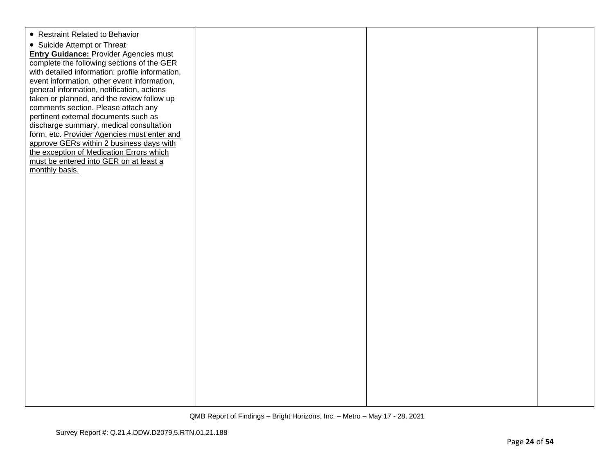| • Restraint Related to Behavior<br>• Suicide Attempt or Threat<br><b>Entry Guidance: Provider Agencies must</b><br>complete the following sections of the GER<br>with detailed information: profile information,<br>event information, other event information,<br>general information, notification, actions<br>taken or planned, and the review follow up |  |  |
|-------------------------------------------------------------------------------------------------------------------------------------------------------------------------------------------------------------------------------------------------------------------------------------------------------------------------------------------------------------|--|--|
| comments section. Please attach any<br>pertinent external documents such as<br>discharge summary, medical consultation<br>form, etc. Provider Agencies must enter and<br>approve GERs within 2 business days with<br>the exception of Medication Errors which<br>must be entered into GER on at least a<br>monthly basis.                                   |  |  |
|                                                                                                                                                                                                                                                                                                                                                             |  |  |
|                                                                                                                                                                                                                                                                                                                                                             |  |  |
|                                                                                                                                                                                                                                                                                                                                                             |  |  |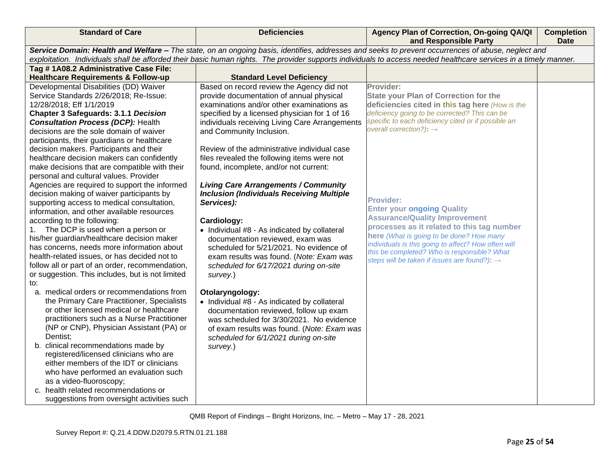| <b>Standard of Care</b>                                                          | <b>Deficiencies</b>                                                                   | Agency Plan of Correction, On-going QA/QI<br>and Responsible Party                                                                                               | <b>Completion</b><br><b>Date</b> |
|----------------------------------------------------------------------------------|---------------------------------------------------------------------------------------|------------------------------------------------------------------------------------------------------------------------------------------------------------------|----------------------------------|
|                                                                                  |                                                                                       | Service Domain: Health and Welfare - The state, on an ongoing basis, identifies, addresses and seeks to prevent occurrences of abuse, neglect and                |                                  |
|                                                                                  |                                                                                       | exploitation. Individuals shall be afforded their basic human rights. The provider supports individuals to access needed healthcare services in a timely manner. |                                  |
| Tag #1A08.2 Administrative Case File:                                            |                                                                                       |                                                                                                                                                                  |                                  |
| <b>Healthcare Requirements &amp; Follow-up</b>                                   | <b>Standard Level Deficiency</b>                                                      | Provider:                                                                                                                                                        |                                  |
| Developmental Disabilities (DD) Waiver<br>Service Standards 2/26/2018; Re-Issue: | Based on record review the Agency did not<br>provide documentation of annual physical | <b>State your Plan of Correction for the</b>                                                                                                                     |                                  |
| 12/28/2018; Eff 1/1/2019                                                         | examinations and/or other examinations as                                             | deficiencies cited in this tag here (How is the                                                                                                                  |                                  |
| <b>Chapter 3 Safeguards: 3.1.1 Decision</b>                                      | specified by a licensed physician for 1 of 16                                         | deficiency going to be corrected? This can be                                                                                                                    |                                  |
| <b>Consultation Process (DCP): Health</b>                                        | individuals receiving Living Care Arrangements                                        | specific to each deficiency cited or if possible an                                                                                                              |                                  |
| decisions are the sole domain of waiver                                          | and Community Inclusion.                                                              | overall correction?): $\rightarrow$                                                                                                                              |                                  |
| participants, their guardians or healthcare                                      |                                                                                       |                                                                                                                                                                  |                                  |
| decision makers. Participants and their                                          | Review of the administrative individual case                                          |                                                                                                                                                                  |                                  |
| healthcare decision makers can confidently                                       | files revealed the following items were not                                           |                                                                                                                                                                  |                                  |
| make decisions that are compatible with their                                    | found, incomplete, and/or not current:                                                |                                                                                                                                                                  |                                  |
| personal and cultural values. Provider                                           |                                                                                       |                                                                                                                                                                  |                                  |
| Agencies are required to support the informed                                    | <b>Living Care Arrangements / Community</b>                                           |                                                                                                                                                                  |                                  |
| decision making of waiver participants by                                        | <b>Inclusion (Individuals Receiving Multiple</b>                                      | <b>Provider:</b>                                                                                                                                                 |                                  |
| supporting access to medical consultation,                                       | Services):                                                                            | <b>Enter your ongoing Quality</b>                                                                                                                                |                                  |
| information, and other available resources                                       |                                                                                       | <b>Assurance/Quality Improvement</b>                                                                                                                             |                                  |
| according to the following:<br>1. The DCP is used when a person or               | Cardiology:                                                                           | processes as it related to this tag number                                                                                                                       |                                  |
| his/her guardian/healthcare decision maker                                       | • Individual #8 - As indicated by collateral<br>documentation reviewed, exam was      | here (What is going to be done? How many                                                                                                                         |                                  |
| has concerns, needs more information about                                       | scheduled for 5/21/2021. No evidence of                                               | individuals is this going to affect? How often will                                                                                                              |                                  |
| health-related issues, or has decided not to                                     | exam results was found. (Note: Exam was                                               | this be completed? Who is responsible? What                                                                                                                      |                                  |
| follow all or part of an order, recommendation,                                  | scheduled for 6/17/2021 during on-site                                                | steps will be taken if issues are found?): $\rightarrow$                                                                                                         |                                  |
| or suggestion. This includes, but is not limited                                 | survey.)                                                                              |                                                                                                                                                                  |                                  |
| to:                                                                              |                                                                                       |                                                                                                                                                                  |                                  |
| a. medical orders or recommendations from                                        | Otolaryngology:                                                                       |                                                                                                                                                                  |                                  |
| the Primary Care Practitioner, Specialists                                       | • Individual #8 - As indicated by collateral                                          |                                                                                                                                                                  |                                  |
| or other licensed medical or healthcare                                          | documentation reviewed, follow up exam                                                |                                                                                                                                                                  |                                  |
| practitioners such as a Nurse Practitioner                                       | was scheduled for 3/30/2021. No evidence                                              |                                                                                                                                                                  |                                  |
| (NP or CNP), Physician Assistant (PA) or                                         | of exam results was found. (Note: Exam was                                            |                                                                                                                                                                  |                                  |
| Dentist:                                                                         | scheduled for 6/1/2021 during on-site                                                 |                                                                                                                                                                  |                                  |
| b. clinical recommendations made by<br>registered/licensed clinicians who are    | survey.)                                                                              |                                                                                                                                                                  |                                  |
| either members of the IDT or clinicians                                          |                                                                                       |                                                                                                                                                                  |                                  |
| who have performed an evaluation such                                            |                                                                                       |                                                                                                                                                                  |                                  |
| as a video-fluoroscopy;                                                          |                                                                                       |                                                                                                                                                                  |                                  |
| c. health related recommendations or                                             |                                                                                       |                                                                                                                                                                  |                                  |
| suggestions from oversight activities such                                       |                                                                                       |                                                                                                                                                                  |                                  |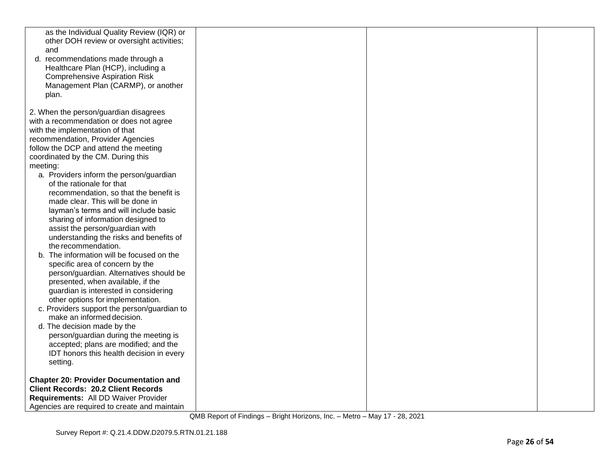| as the Individual Quality Review (IQR) or<br>other DOH review or oversight activities;<br>and<br>d. recommendations made through a<br>Healthcare Plan (HCP), including a<br><b>Comprehensive Aspiration Risk</b><br>Management Plan (CARMP), or another<br>plan.                                                                                                                                                                                                                                                                                                                                                                                                                                                                                                                                                                                                                                                                                                                                                                                                                                  |  |  |
|---------------------------------------------------------------------------------------------------------------------------------------------------------------------------------------------------------------------------------------------------------------------------------------------------------------------------------------------------------------------------------------------------------------------------------------------------------------------------------------------------------------------------------------------------------------------------------------------------------------------------------------------------------------------------------------------------------------------------------------------------------------------------------------------------------------------------------------------------------------------------------------------------------------------------------------------------------------------------------------------------------------------------------------------------------------------------------------------------|--|--|
| 2. When the person/guardian disagrees<br>with a recommendation or does not agree<br>with the implementation of that<br>recommendation, Provider Agencies<br>follow the DCP and attend the meeting<br>coordinated by the CM. During this<br>meeting:<br>a. Providers inform the person/guardian<br>of the rationale for that<br>recommendation, so that the benefit is<br>made clear. This will be done in<br>layman's terms and will include basic<br>sharing of information designed to<br>assist the person/guardian with<br>understanding the risks and benefits of<br>the recommendation.<br>b. The information will be focused on the<br>specific area of concern by the<br>person/guardian. Alternatives should be<br>presented, when available, if the<br>guardian is interested in considering<br>other options for implementation.<br>c. Providers support the person/guardian to<br>make an informed decision.<br>d. The decision made by the<br>person/guardian during the meeting is<br>accepted; plans are modified; and the<br>IDT honors this health decision in every<br>setting. |  |  |
| <b>Chapter 20: Provider Documentation and</b><br><b>Client Records: 20.2 Client Records</b><br>Requirements: All DD Waiver Provider<br>Agencies are required to create and maintain                                                                                                                                                                                                                                                                                                                                                                                                                                                                                                                                                                                                                                                                                                                                                                                                                                                                                                               |  |  |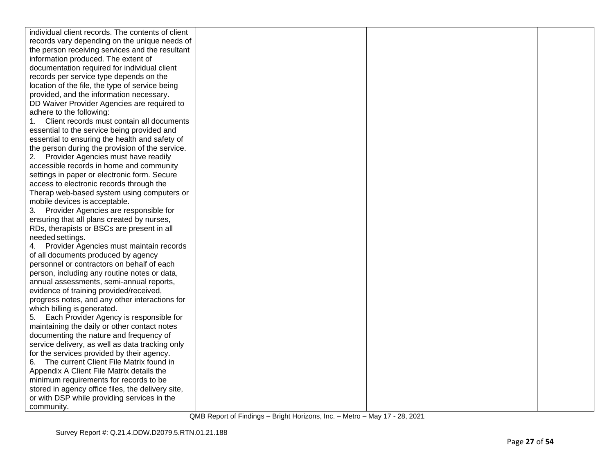| individual client records. The contents of client |  |  |
|---------------------------------------------------|--|--|
| records vary depending on the unique needs of     |  |  |
| the person receiving services and the resultant   |  |  |
| information produced. The extent of               |  |  |
| documentation required for individual client      |  |  |
| records per service type depends on the           |  |  |
| location of the file, the type of service being   |  |  |
| provided, and the information necessary.          |  |  |
| DD Waiver Provider Agencies are required to       |  |  |
| adhere to the following:                          |  |  |
| Client records must contain all documents         |  |  |
| essential to the service being provided and       |  |  |
| essential to ensuring the health and safety of    |  |  |
| the person during the provision of the service.   |  |  |
| 2. Provider Agencies must have readily            |  |  |
| accessible records in home and community          |  |  |
| settings in paper or electronic form. Secure      |  |  |
| access to electronic records through the          |  |  |
| Therap web-based system using computers or        |  |  |
| mobile devices is acceptable.                     |  |  |
| 3. Provider Agencies are responsible for          |  |  |
| ensuring that all plans created by nurses,        |  |  |
| RDs, therapists or BSCs are present in all        |  |  |
| needed settings.                                  |  |  |
| Provider Agencies must maintain records<br>4.     |  |  |
| of all documents produced by agency               |  |  |
| personnel or contractors on behalf of each        |  |  |
| person, including any routine notes or data,      |  |  |
| annual assessments, semi-annual reports,          |  |  |
| evidence of training provided/received,           |  |  |
| progress notes, and any other interactions for    |  |  |
| which billing is generated.                       |  |  |
| Each Provider Agency is responsible for<br>5.     |  |  |
| maintaining the daily or other contact notes      |  |  |
| documenting the nature and frequency of           |  |  |
| service delivery, as well as data tracking only   |  |  |
| for the services provided by their agency.        |  |  |
| The current Client File Matrix found in<br>6.     |  |  |
| Appendix A Client File Matrix details the         |  |  |
| minimum requirements for records to be            |  |  |
| stored in agency office files, the delivery site, |  |  |
| or with DSP while providing services in the       |  |  |
| community.                                        |  |  |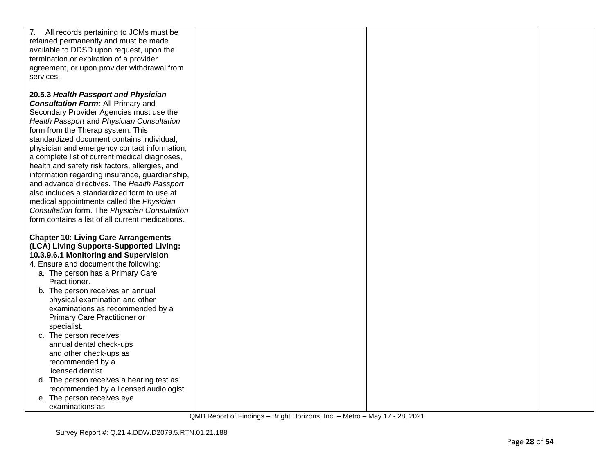| 7. All records pertaining to JCMs must be<br>retained permanently and must be made<br>available to DDSD upon request, upon the<br>termination or expiration of a provider<br>agreement, or upon provider withdrawal from |  |  |
|--------------------------------------------------------------------------------------------------------------------------------------------------------------------------------------------------------------------------|--|--|
| services.                                                                                                                                                                                                                |  |  |
| 20.5.3 Health Passport and Physician<br><b>Consultation Form: All Primary and</b><br>Secondary Provider Agencies must use the                                                                                            |  |  |
| Health Passport and Physician Consultation<br>form from the Therap system. This<br>standardized document contains individual,                                                                                            |  |  |
| physician and emergency contact information,<br>a complete list of current medical diagnoses,<br>health and safety risk factors, allergies, and                                                                          |  |  |
| information regarding insurance, guardianship,<br>and advance directives. The Health Passport<br>also includes a standardized form to use at                                                                             |  |  |
| medical appointments called the Physician<br>Consultation form. The Physician Consultation<br>form contains a list of all current medications.                                                                           |  |  |
| <b>Chapter 10: Living Care Arrangements</b><br>(LCA) Living Supports-Supported Living:<br>10.3.9.6.1 Monitoring and Supervision                                                                                          |  |  |
| 4. Ensure and document the following:<br>a. The person has a Primary Care<br>Practitioner.                                                                                                                               |  |  |
| b. The person receives an annual<br>physical examination and other<br>examinations as recommended by a                                                                                                                   |  |  |
| Primary Care Practitioner or<br>specialist.<br>c. The person receives                                                                                                                                                    |  |  |
| annual dental check-ups<br>and other check-ups as                                                                                                                                                                        |  |  |
| recommended by a<br>licensed dentist.<br>d. The person receives a hearing test as                                                                                                                                        |  |  |
| recommended by a licensed audiologist.<br>e. The person receives eye<br>examinations as                                                                                                                                  |  |  |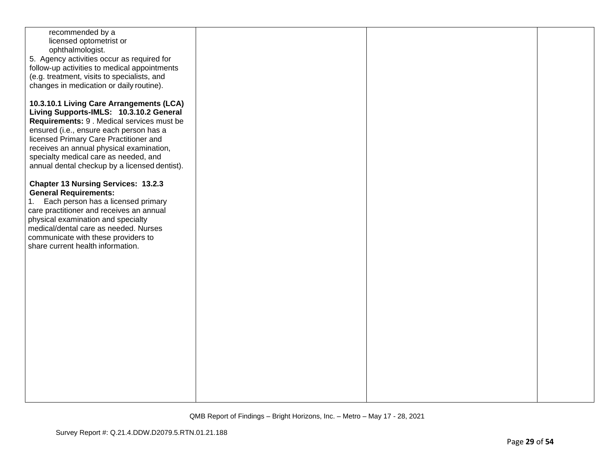| recommended by a                              |  |  |
|-----------------------------------------------|--|--|
|                                               |  |  |
| licensed optometrist or                       |  |  |
| ophthalmologist.                              |  |  |
|                                               |  |  |
| 5. Agency activities occur as required for    |  |  |
| follow-up activities to medical appointments  |  |  |
|                                               |  |  |
| (e.g. treatment, visits to specialists, and   |  |  |
| changes in medication or daily routine).      |  |  |
|                                               |  |  |
|                                               |  |  |
| 10.3.10.1 Living Care Arrangements (LCA)      |  |  |
|                                               |  |  |
| Living Supports-IMLS: 10.3.10.2 General       |  |  |
| Requirements: 9 . Medical services must be    |  |  |
|                                               |  |  |
| ensured (i.e., ensure each person has a       |  |  |
| licensed Primary Care Practitioner and        |  |  |
|                                               |  |  |
| receives an annual physical examination,      |  |  |
| specialty medical care as needed, and         |  |  |
|                                               |  |  |
| annual dental checkup by a licensed dentist). |  |  |
|                                               |  |  |
|                                               |  |  |
| <b>Chapter 13 Nursing Services: 13.2.3</b>    |  |  |
| <b>General Requirements:</b>                  |  |  |
|                                               |  |  |
| Each person has a licensed primary<br>1.      |  |  |
| care practitioner and receives an annual      |  |  |
|                                               |  |  |
| physical examination and specialty            |  |  |
| medical/dental care as needed. Nurses         |  |  |
|                                               |  |  |
| communicate with these providers to           |  |  |
| share current health information.             |  |  |
|                                               |  |  |
|                                               |  |  |
|                                               |  |  |
|                                               |  |  |
|                                               |  |  |
|                                               |  |  |
|                                               |  |  |
|                                               |  |  |
|                                               |  |  |
|                                               |  |  |
|                                               |  |  |
|                                               |  |  |
|                                               |  |  |
|                                               |  |  |
|                                               |  |  |
|                                               |  |  |
|                                               |  |  |
|                                               |  |  |
|                                               |  |  |
|                                               |  |  |
|                                               |  |  |
|                                               |  |  |
|                                               |  |  |
|                                               |  |  |
|                                               |  |  |
|                                               |  |  |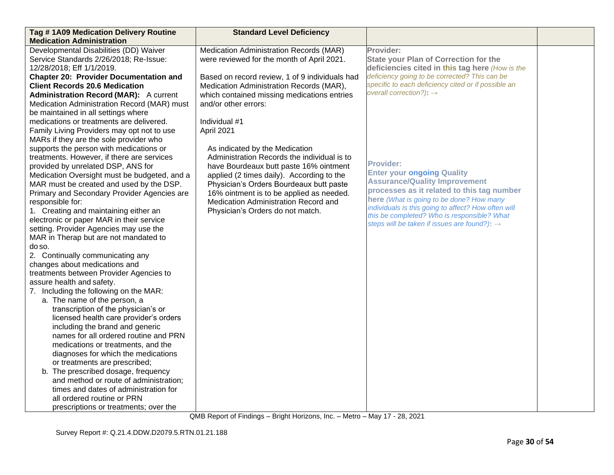| Tag #1A09 Medication Delivery Routine         | <b>Standard Level Deficiency</b>               |                                                                                                    |  |
|-----------------------------------------------|------------------------------------------------|----------------------------------------------------------------------------------------------------|--|
| <b>Medication Administration</b>              |                                                |                                                                                                    |  |
| Developmental Disabilities (DD) Waiver        | Medication Administration Records (MAR)        | Provider:                                                                                          |  |
| Service Standards 2/26/2018; Re-Issue:        | were reviewed for the month of April 2021.     | <b>State your Plan of Correction for the</b>                                                       |  |
| 12/28/2018; Eff 1/1/2019.                     |                                                | deficiencies cited in this tag here (How is the                                                    |  |
| <b>Chapter 20: Provider Documentation and</b> | Based on record review, 1 of 9 individuals had | deficiency going to be corrected? This can be                                                      |  |
| <b>Client Records 20.6 Medication</b>         | Medication Administration Records (MAR),       | specific to each deficiency cited or if possible an                                                |  |
| <b>Administration Record (MAR):</b> A current | which contained missing medications entries    | overall correction?): $\rightarrow$                                                                |  |
| Medication Administration Record (MAR) must   | and/or other errors:                           |                                                                                                    |  |
| be maintained in all settings where           |                                                |                                                                                                    |  |
| medications or treatments are delivered.      | Individual #1                                  |                                                                                                    |  |
| Family Living Providers may opt not to use    | April 2021                                     |                                                                                                    |  |
| MARs if they are the sole provider who        |                                                |                                                                                                    |  |
| supports the person with medications or       | As indicated by the Medication                 |                                                                                                    |  |
| treatments. However, if there are services    | Administration Records the individual is to    |                                                                                                    |  |
| provided by unrelated DSP, ANS for            | have Bourdeaux butt paste 16% ointment         | <b>Provider:</b>                                                                                   |  |
| Medication Oversight must be budgeted, and a  | applied (2 times daily). According to the      | <b>Enter your ongoing Quality</b>                                                                  |  |
| MAR must be created and used by the DSP.      | Physician's Orders Bourdeaux butt paste        | <b>Assurance/Quality Improvement</b>                                                               |  |
| Primary and Secondary Provider Agencies are   | 16% ointment is to be applied as needed.       | processes as it related to this tag number                                                         |  |
| responsible for:                              | Medication Administration Record and           | here (What is going to be done? How many                                                           |  |
| 1. Creating and maintaining either an         | Physician's Orders do not match.               | individuals is this going to affect? How often will<br>this be completed? Who is responsible? What |  |
| electronic or paper MAR in their service      |                                                | steps will be taken if issues are found?): $\rightarrow$                                           |  |
| setting. Provider Agencies may use the        |                                                |                                                                                                    |  |
| MAR in Therap but are not mandated to         |                                                |                                                                                                    |  |
| do so.                                        |                                                |                                                                                                    |  |
| 2. Continually communicating any              |                                                |                                                                                                    |  |
| changes about medications and                 |                                                |                                                                                                    |  |
| treatments between Provider Agencies to       |                                                |                                                                                                    |  |
| assure health and safety.                     |                                                |                                                                                                    |  |
| 7. Including the following on the MAR:        |                                                |                                                                                                    |  |
| a. The name of the person, a                  |                                                |                                                                                                    |  |
| transcription of the physician's or           |                                                |                                                                                                    |  |
| licensed health care provider's orders        |                                                |                                                                                                    |  |
| including the brand and generic               |                                                |                                                                                                    |  |
| names for all ordered routine and PRN         |                                                |                                                                                                    |  |
| medications or treatments, and the            |                                                |                                                                                                    |  |
| diagnoses for which the medications           |                                                |                                                                                                    |  |
| or treatments are prescribed;                 |                                                |                                                                                                    |  |
| b. The prescribed dosage, frequency           |                                                |                                                                                                    |  |
| and method or route of administration;        |                                                |                                                                                                    |  |
| times and dates of administration for         |                                                |                                                                                                    |  |
| all ordered routine or PRN                    |                                                |                                                                                                    |  |
| prescriptions or treatments; over the         |                                                |                                                                                                    |  |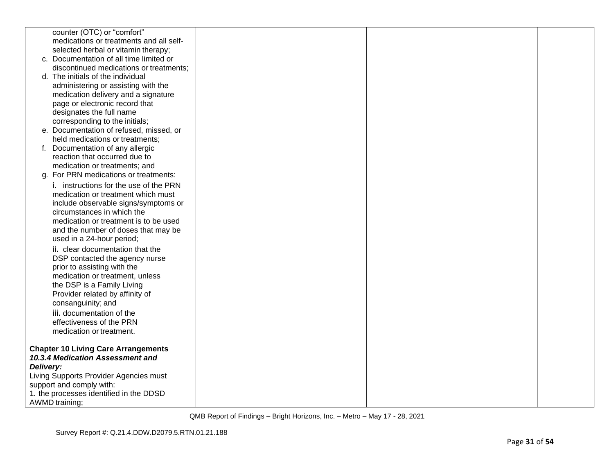|           | counter (OTC) or "comfort"                                                     |  |  |
|-----------|--------------------------------------------------------------------------------|--|--|
|           | medications or treatments and all self-                                        |  |  |
|           | selected herbal or vitamin therapy;<br>c. Documentation of all time limited or |  |  |
|           |                                                                                |  |  |
|           | discontinued medications or treatments;<br>d. The initials of the individual   |  |  |
|           |                                                                                |  |  |
|           | administering or assisting with the                                            |  |  |
|           | medication delivery and a signature<br>page or electronic record that          |  |  |
|           | designates the full name                                                       |  |  |
|           | corresponding to the initials;                                                 |  |  |
|           | e. Documentation of refused, missed, or                                        |  |  |
|           | held medications or treatments;                                                |  |  |
|           | Documentation of any allergic                                                  |  |  |
|           | reaction that occurred due to                                                  |  |  |
|           | medication or treatments; and                                                  |  |  |
|           | g. For PRN medications or treatments:                                          |  |  |
|           | i. instructions for the use of the PRN                                         |  |  |
|           | medication or treatment which must                                             |  |  |
|           | include observable signs/symptoms or                                           |  |  |
|           | circumstances in which the                                                     |  |  |
|           | medication or treatment is to be used                                          |  |  |
|           | and the number of doses that may be                                            |  |  |
|           | used in a 24-hour period;                                                      |  |  |
|           | ii. clear documentation that the                                               |  |  |
|           | DSP contacted the agency nurse                                                 |  |  |
|           | prior to assisting with the                                                    |  |  |
|           | medication or treatment, unless                                                |  |  |
|           | the DSP is a Family Living                                                     |  |  |
|           | Provider related by affinity of                                                |  |  |
|           | consanguinity; and                                                             |  |  |
|           | iii. documentation of the                                                      |  |  |
|           | effectiveness of the PRN                                                       |  |  |
|           | medication or treatment.                                                       |  |  |
|           |                                                                                |  |  |
|           | <b>Chapter 10 Living Care Arrangements</b>                                     |  |  |
|           | 10.3.4 Medication Assessment and                                               |  |  |
| Delivery: |                                                                                |  |  |
|           | Living Supports Provider Agencies must<br>support and comply with:             |  |  |
|           | 1. the processes identified in the DDSD                                        |  |  |
|           | <b>AWMD</b> training;                                                          |  |  |
|           |                                                                                |  |  |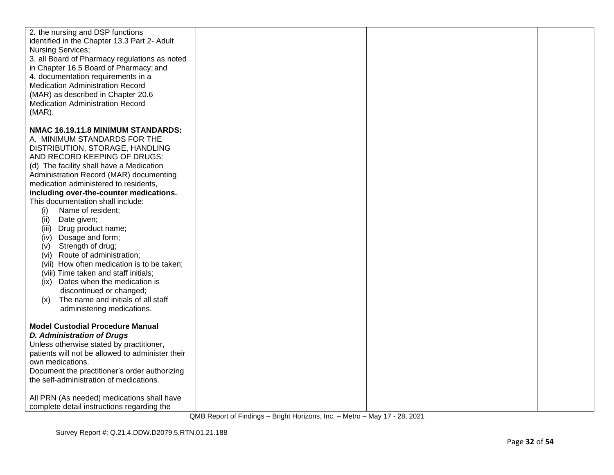| 2. the nursing and DSP functions<br>identified in the Chapter 13.3 Part 2- Adult<br><b>Nursing Services;</b><br>3. all Board of Pharmacy regulations as noted<br>in Chapter 16.5 Board of Pharmacy; and<br>4. documentation requirements in a<br><b>Medication Administration Record</b><br>(MAR) as described in Chapter 20.6<br><b>Medication Administration Record</b><br>$(MAR)$ .                                                                                                                                                                                                                                                                                                                                                                                 |  |  |
|------------------------------------------------------------------------------------------------------------------------------------------------------------------------------------------------------------------------------------------------------------------------------------------------------------------------------------------------------------------------------------------------------------------------------------------------------------------------------------------------------------------------------------------------------------------------------------------------------------------------------------------------------------------------------------------------------------------------------------------------------------------------|--|--|
| NMAC 16.19.11.8 MINIMUM STANDARDS:<br>A. MINIMUM STANDARDS FOR THE<br>DISTRIBUTION, STORAGE, HANDLING<br>AND RECORD KEEPING OF DRUGS:<br>(d) The facility shall have a Medication<br>Administration Record (MAR) documenting<br>medication administered to residents,<br>including over-the-counter medications.<br>This documentation shall include:<br>(i)<br>Name of resident;<br>(ii)<br>Date given;<br>Drug product name;<br>(iii)<br>Dosage and form;<br>(iv)<br>Strength of drug;<br>(v)<br>(vi) Route of administration;<br>(vii) How often medication is to be taken;<br>(viii) Time taken and staff initials;<br>Dates when the medication is<br>(ix)<br>discontinued or changed;<br>The name and initials of all staff<br>(x)<br>administering medications. |  |  |
| <b>Model Custodial Procedure Manual</b><br><b>D. Administration of Drugs</b><br>Unless otherwise stated by practitioner,<br>patients will not be allowed to administer their<br>own medications.<br>Document the practitioner's order authorizing<br>the self-administration of medications.<br>All PRN (As needed) medications shall have<br>complete detail instructions regarding the                                                                                                                                                                                                                                                                                                                                                                               |  |  |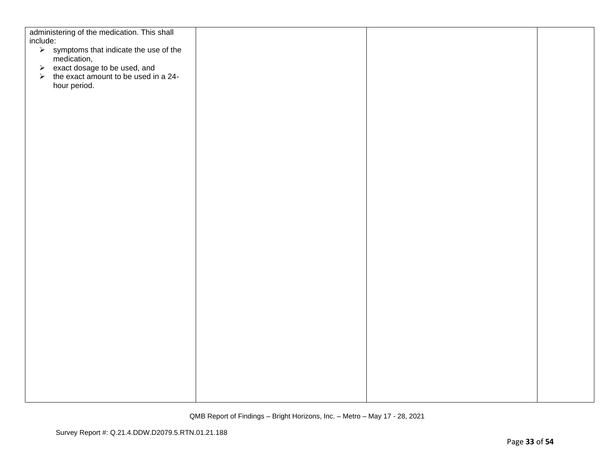| administering of the medication. This shall<br>include:                  |  |  |
|--------------------------------------------------------------------------|--|--|
| $\triangleright$ symptoms that indicate the use of the                   |  |  |
| medication,                                                              |  |  |
| → exact dosage to be used, and<br>→ the exact amount to be used in a 24- |  |  |
| hour period.                                                             |  |  |
|                                                                          |  |  |
|                                                                          |  |  |
|                                                                          |  |  |
|                                                                          |  |  |
|                                                                          |  |  |
|                                                                          |  |  |
|                                                                          |  |  |
|                                                                          |  |  |
|                                                                          |  |  |
|                                                                          |  |  |
|                                                                          |  |  |
|                                                                          |  |  |
|                                                                          |  |  |
|                                                                          |  |  |
|                                                                          |  |  |
|                                                                          |  |  |
|                                                                          |  |  |
|                                                                          |  |  |
|                                                                          |  |  |
|                                                                          |  |  |
|                                                                          |  |  |
|                                                                          |  |  |
|                                                                          |  |  |
|                                                                          |  |  |
|                                                                          |  |  |
|                                                                          |  |  |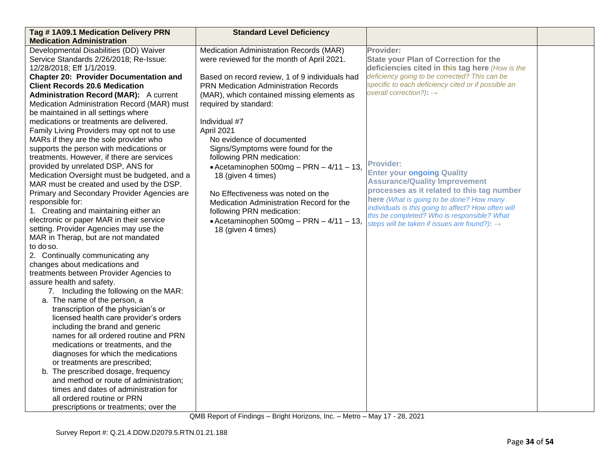| Tag #1A09.1 Medication Delivery PRN           | <b>Standard Level Deficiency</b>                 |                                                                                                    |  |
|-----------------------------------------------|--------------------------------------------------|----------------------------------------------------------------------------------------------------|--|
| <b>Medication Administration</b>              |                                                  |                                                                                                    |  |
| Developmental Disabilities (DD) Waiver        | Medication Administration Records (MAR)          | Provider:                                                                                          |  |
| Service Standards 2/26/2018; Re-Issue:        | were reviewed for the month of April 2021.       | <b>State your Plan of Correction for the</b>                                                       |  |
| 12/28/2018; Eff 1/1/2019.                     |                                                  | deficiencies cited in this tag here (How is the                                                    |  |
| <b>Chapter 20: Provider Documentation and</b> | Based on record review, 1 of 9 individuals had   | deficiency going to be corrected? This can be                                                      |  |
| <b>Client Records 20.6 Medication</b>         | <b>PRN Medication Administration Records</b>     | specific to each deficiency cited or if possible an                                                |  |
| <b>Administration Record (MAR):</b> A current | (MAR), which contained missing elements as       | overall correction?): $\rightarrow$                                                                |  |
| Medication Administration Record (MAR) must   | required by standard:                            |                                                                                                    |  |
| be maintained in all settings where           |                                                  |                                                                                                    |  |
| medications or treatments are delivered.      | Individual #7                                    |                                                                                                    |  |
| Family Living Providers may opt not to use    | April 2021                                       |                                                                                                    |  |
| MARs if they are the sole provider who        | No evidence of documented                        |                                                                                                    |  |
| supports the person with medications or       | Signs/Symptoms were found for the                |                                                                                                    |  |
| treatments. However, if there are services    | following PRN medication:                        |                                                                                                    |  |
| provided by unrelated DSP, ANS for            | • Acetaminophen $500mg - PRN - 4/11 - 13$ ,      | <b>Provider:</b>                                                                                   |  |
| Medication Oversight must be budgeted, and a  | 18 (given 4 times)                               | <b>Enter your ongoing Quality</b>                                                                  |  |
| MAR must be created and used by the DSP.      |                                                  | <b>Assurance/Quality Improvement</b>                                                               |  |
| Primary and Secondary Provider Agencies are   | No Effectiveness was noted on the                | processes as it related to this tag number                                                         |  |
| responsible for:                              | Medication Administration Record for the         | here (What is going to be done? How many                                                           |  |
| 1. Creating and maintaining either an         | following PRN medication:                        | individuals is this going to affect? How often will<br>this be completed? Who is responsible? What |  |
| electronic or paper MAR in their service      | $\bullet$ Acetaminophen 500mg - PRN - 4/11 - 13, | steps will be taken if issues are found?): $\rightarrow$                                           |  |
| setting. Provider Agencies may use the        | 18 (given 4 times)                               |                                                                                                    |  |
| MAR in Therap, but are not mandated           |                                                  |                                                                                                    |  |
| to do so.                                     |                                                  |                                                                                                    |  |
| 2. Continually communicating any              |                                                  |                                                                                                    |  |
| changes about medications and                 |                                                  |                                                                                                    |  |
| treatments between Provider Agencies to       |                                                  |                                                                                                    |  |
| assure health and safety.                     |                                                  |                                                                                                    |  |
| 7. Including the following on the MAR:        |                                                  |                                                                                                    |  |
| a. The name of the person, a                  |                                                  |                                                                                                    |  |
| transcription of the physician's or           |                                                  |                                                                                                    |  |
| licensed health care provider's orders        |                                                  |                                                                                                    |  |
| including the brand and generic               |                                                  |                                                                                                    |  |
| names for all ordered routine and PRN         |                                                  |                                                                                                    |  |
| medications or treatments, and the            |                                                  |                                                                                                    |  |
| diagnoses for which the medications           |                                                  |                                                                                                    |  |
| or treatments are prescribed;                 |                                                  |                                                                                                    |  |
| b. The prescribed dosage, frequency           |                                                  |                                                                                                    |  |
| and method or route of administration;        |                                                  |                                                                                                    |  |
| times and dates of administration for         |                                                  |                                                                                                    |  |
| all ordered routine or PRN                    |                                                  |                                                                                                    |  |
| prescriptions or treatments; over the         |                                                  |                                                                                                    |  |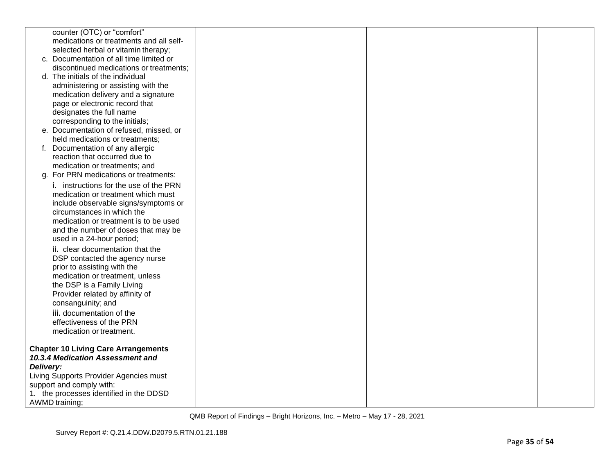|           | counter (OTC) or "comfort"                                            |  |  |
|-----------|-----------------------------------------------------------------------|--|--|
|           | medications or treatments and all self-                               |  |  |
|           | selected herbal or vitamin therapy;                                   |  |  |
|           | c. Documentation of all time limited or                               |  |  |
|           | discontinued medications or treatments;                               |  |  |
|           | d. The initials of the individual                                     |  |  |
|           | administering or assisting with the                                   |  |  |
|           | medication delivery and a signature<br>page or electronic record that |  |  |
|           | designates the full name                                              |  |  |
|           | corresponding to the initials;                                        |  |  |
|           | e. Documentation of refused, missed, or                               |  |  |
|           | held medications or treatments;                                       |  |  |
|           | Documentation of any allergic                                         |  |  |
|           | reaction that occurred due to                                         |  |  |
|           | medication or treatments; and                                         |  |  |
|           | g. For PRN medications or treatments:                                 |  |  |
|           | i. instructions for the use of the PRN                                |  |  |
|           | medication or treatment which must                                    |  |  |
|           | include observable signs/symptoms or                                  |  |  |
|           | circumstances in which the                                            |  |  |
|           | medication or treatment is to be used                                 |  |  |
|           | and the number of doses that may be                                   |  |  |
|           | used in a 24-hour period;                                             |  |  |
|           | ii. clear documentation that the                                      |  |  |
|           | DSP contacted the agency nurse                                        |  |  |
|           | prior to assisting with the                                           |  |  |
|           | medication or treatment, unless                                       |  |  |
|           | the DSP is a Family Living                                            |  |  |
|           | Provider related by affinity of                                       |  |  |
|           | consanguinity; and                                                    |  |  |
|           | iii. documentation of the                                             |  |  |
|           | effectiveness of the PRN                                              |  |  |
|           | medication or treatment.                                              |  |  |
|           | <b>Chapter 10 Living Care Arrangements</b>                            |  |  |
|           | 10.3.4 Medication Assessment and                                      |  |  |
| Delivery: |                                                                       |  |  |
|           | Living Supports Provider Agencies must                                |  |  |
|           | support and comply with:                                              |  |  |
|           | 1. the processes identified in the DDSD                               |  |  |
|           | <b>AWMD</b> training;                                                 |  |  |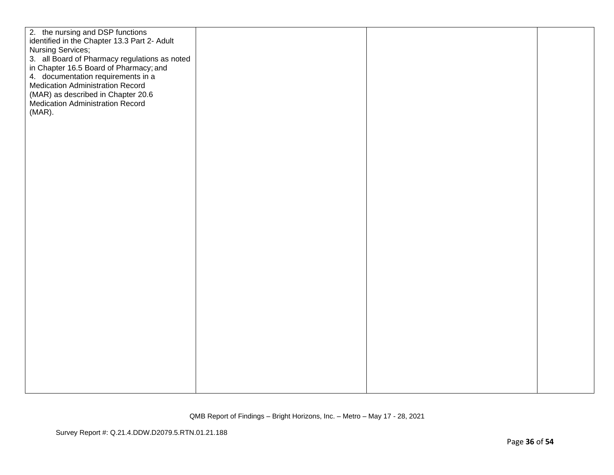| 2. the nursing and DSP functions<br>identified in the Chapter 13.3 Part 2- Adult<br>3. all Board of Pharmacy regulations as noted<br>in Chapter 16.5 Board of Pharmacy; and<br>4. documentation requirements in a<br><b>Medication Administration Record</b><br>(MAR) as described in Chapter 20.6<br>Medication Administration Record |  |
|----------------------------------------------------------------------------------------------------------------------------------------------------------------------------------------------------------------------------------------------------------------------------------------------------------------------------------------|--|
| Nursing Services;<br>$(MAR)$ .                                                                                                                                                                                                                                                                                                         |  |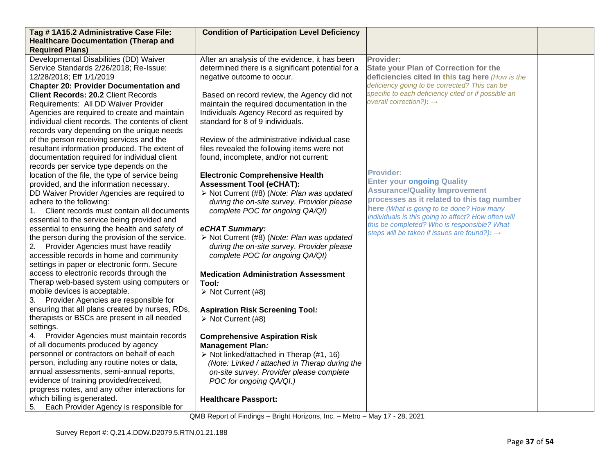| Tag #1A15.2 Administrative Case File:                                                       | <b>Condition of Participation Level Deficiency</b>                                                       |                                                     |  |
|---------------------------------------------------------------------------------------------|----------------------------------------------------------------------------------------------------------|-----------------------------------------------------|--|
| <b>Healthcare Documentation (Therap and</b><br><b>Required Plans)</b>                       |                                                                                                          |                                                     |  |
| Developmental Disabilities (DD) Waiver                                                      | After an analysis of the evidence, it has been                                                           | Provider:                                           |  |
| Service Standards 2/26/2018; Re-Issue:                                                      | determined there is a significant potential for a                                                        | <b>State your Plan of Correction for the</b>        |  |
| 12/28/2018; Eff 1/1/2019                                                                    | negative outcome to occur.                                                                               | deficiencies cited in this tag here (How is the     |  |
| <b>Chapter 20: Provider Documentation and</b>                                               |                                                                                                          | deficiency going to be corrected? This can be       |  |
| <b>Client Records: 20.2 Client Records</b>                                                  | Based on record review, the Agency did not                                                               | specific to each deficiency cited or if possible an |  |
| Requirements: All DD Waiver Provider                                                        | maintain the required documentation in the                                                               | overall correction?): $\rightarrow$                 |  |
| Agencies are required to create and maintain                                                | Individuals Agency Record as required by                                                                 |                                                     |  |
| individual client records. The contents of client                                           | standard for 8 of 9 individuals.                                                                         |                                                     |  |
| records vary depending on the unique needs                                                  |                                                                                                          |                                                     |  |
| of the person receiving services and the                                                    | Review of the administrative individual case                                                             |                                                     |  |
| resultant information produced. The extent of                                               | files revealed the following items were not                                                              |                                                     |  |
| documentation required for individual client                                                | found, incomplete, and/or not current:                                                                   |                                                     |  |
| records per service type depends on the                                                     |                                                                                                          | <b>Provider:</b>                                    |  |
| location of the file, the type of service being<br>provided, and the information necessary. | <b>Electronic Comprehensive Health</b><br><b>Assessment Tool (eCHAT):</b>                                | <b>Enter your ongoing Quality</b>                   |  |
| DD Waiver Provider Agencies are required to                                                 | > Not Current (#8) (Note: Plan was updated                                                               | <b>Assurance/Quality Improvement</b>                |  |
| adhere to the following:                                                                    | during the on-site survey. Provider please                                                               | processes as it related to this tag number          |  |
| Client records must contain all documents<br>1.                                             | complete POC for ongoing QA/QI)                                                                          | here (What is going to be done? How many            |  |
| essential to the service being provided and                                                 |                                                                                                          | individuals is this going to affect? How often will |  |
| essential to ensuring the health and safety of                                              | eCHAT Summary:                                                                                           | this be completed? Who is responsible? What         |  |
| the person during the provision of the service.                                             | > Not Current (#8) (Note: Plan was updated                                                               | steps will be taken if issues are found?): →        |  |
| 2. Provider Agencies must have readily                                                      | during the on-site survey. Provider please                                                               |                                                     |  |
| accessible records in home and community                                                    | complete POC for ongoing QA/QI)                                                                          |                                                     |  |
| settings in paper or electronic form. Secure                                                |                                                                                                          |                                                     |  |
| access to electronic records through the                                                    | <b>Medication Administration Assessment</b>                                                              |                                                     |  |
| Therap web-based system using computers or                                                  | Tool <i>:</i>                                                                                            |                                                     |  |
| mobile devices is acceptable.                                                               | $\triangleright$ Not Current (#8)                                                                        |                                                     |  |
| 3. Provider Agencies are responsible for                                                    |                                                                                                          |                                                     |  |
| ensuring that all plans created by nurses, RDs,                                             | <b>Aspiration Risk Screening Tool:</b>                                                                   |                                                     |  |
| therapists or BSCs are present in all needed                                                | $\triangleright$ Not Current (#8)                                                                        |                                                     |  |
| settings.                                                                                   |                                                                                                          |                                                     |  |
| Provider Agencies must maintain records<br>4.                                               | <b>Comprehensive Aspiration Risk</b>                                                                     |                                                     |  |
| of all documents produced by agency<br>personnel or contractors on behalf of each           | <b>Management Plan:</b>                                                                                  |                                                     |  |
| person, including any routine notes or data,                                                | $\triangleright$ Not linked/attached in Therap (#1, 16)<br>(Note: Linked / attached in Therap during the |                                                     |  |
| annual assessments, semi-annual reports,                                                    | on-site survey. Provider please complete                                                                 |                                                     |  |
| evidence of training provided/received,                                                     | POC for ongoing QA/QI.)                                                                                  |                                                     |  |
| progress notes, and any other interactions for                                              |                                                                                                          |                                                     |  |
| which billing is generated.                                                                 | <b>Healthcare Passport:</b>                                                                              |                                                     |  |
| Each Provider Agency is responsible for<br>5.                                               |                                                                                                          |                                                     |  |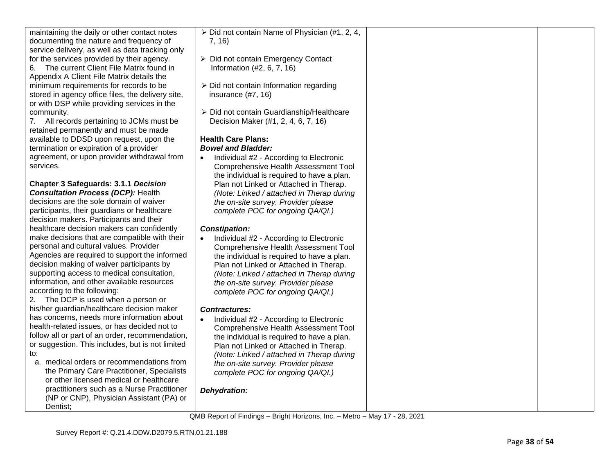| maintaining the daily or other contact notes      | $\triangleright$ Did not contain Name of Physician (#1, 2, 4, |  |
|---------------------------------------------------|---------------------------------------------------------------|--|
| documenting the nature and frequency of           | 7, 16)                                                        |  |
| service delivery, as well as data tracking only   |                                                               |  |
| for the services provided by their agency.        | $\triangleright$ Did not contain Emergency Contact            |  |
| The current Client File Matrix found in<br>6.     | Information (#2, 6, 7, 16)                                    |  |
| Appendix A Client File Matrix details the         |                                                               |  |
| minimum requirements for records to be            | > Did not contain Information regarding                       |  |
| stored in agency office files, the delivery site, | insurance $(\#7, 16)$                                         |  |
| or with DSP while providing services in the       |                                                               |  |
| community.                                        | > Did not contain Guardianship/Healthcare                     |  |
| 7. All records pertaining to JCMs must be         | Decision Maker (#1, 2, 4, 6, 7, 16)                           |  |
| retained permanently and must be made             |                                                               |  |
| available to DDSD upon request, upon the          | <b>Health Care Plans:</b>                                     |  |
| termination or expiration of a provider           | <b>Bowel and Bladder:</b>                                     |  |
| agreement, or upon provider withdrawal from       | Individual #2 - According to Electronic<br>$\bullet$          |  |
| services.                                         | Comprehensive Health Assessment Tool                          |  |
|                                                   | the individual is required to have a plan.                    |  |
| <b>Chapter 3 Safeguards: 3.1.1 Decision</b>       | Plan not Linked or Attached in Therap.                        |  |
| <b>Consultation Process (DCP): Health</b>         | (Note: Linked / attached in Therap during                     |  |
| decisions are the sole domain of waiver           | the on-site survey. Provider please                           |  |
| participants, their guardians or healthcare       | complete POC for ongoing QA/QI.)                              |  |
| decision makers. Participants and their           |                                                               |  |
| healthcare decision makers can confidently        | <b>Constipation:</b>                                          |  |
| make decisions that are compatible with their     | Individual #2 - According to Electronic<br>$\bullet$          |  |
| personal and cultural values. Provider            | <b>Comprehensive Health Assessment Tool</b>                   |  |
| Agencies are required to support the informed     | the individual is required to have a plan.                    |  |
| decision making of waiver participants by         | Plan not Linked or Attached in Therap.                        |  |
| supporting access to medical consultation,        | (Note: Linked / attached in Therap during                     |  |
| information, and other available resources        | the on-site survey. Provider please                           |  |
| according to the following:                       | complete POC for ongoing QA/QI.)                              |  |
| 2. The DCP is used when a person or               |                                                               |  |
| his/her guardian/healthcare decision maker        | <b>Contractures:</b>                                          |  |
| has concerns, needs more information about        | Individual #2 - According to Electronic<br>$\bullet$          |  |
| health-related issues, or has decided not to      | <b>Comprehensive Health Assessment Tool</b>                   |  |
| follow all or part of an order, recommendation,   | the individual is required to have a plan.                    |  |
| or suggestion. This includes, but is not limited  | Plan not Linked or Attached in Therap.                        |  |
| to:                                               | (Note: Linked / attached in Therap during                     |  |
| a. medical orders or recommendations from         | the on-site survey. Provider please                           |  |
| the Primary Care Practitioner, Specialists        | complete POC for ongoing QA/QI.)                              |  |
| or other licensed medical or healthcare           |                                                               |  |
| practitioners such as a Nurse Practitioner        | Dehydration:                                                  |  |
| (NP or CNP), Physician Assistant (PA) or          |                                                               |  |
| Dentist:                                          |                                                               |  |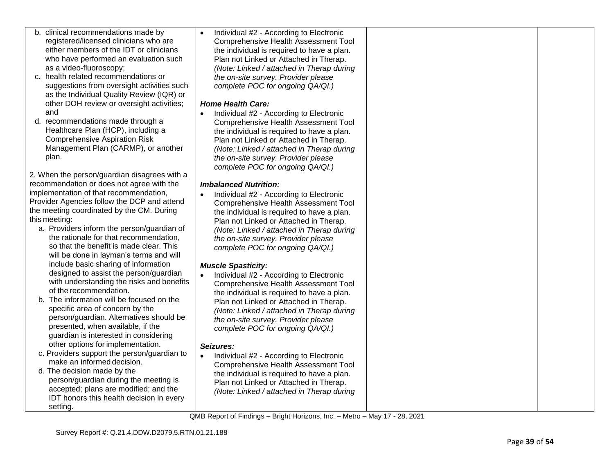| b. clinical recommendations made by<br>registered/licensed clinicians who are | Individual #2 - According to Electronic<br><b>Comprehensive Health Assessment Tool</b> |  |
|-------------------------------------------------------------------------------|----------------------------------------------------------------------------------------|--|
| either members of the IDT or clinicians                                       |                                                                                        |  |
|                                                                               | the individual is required to have a plan.                                             |  |
| who have performed an evaluation such                                         | Plan not Linked or Attached in Therap.                                                 |  |
| as a video-fluoroscopy;                                                       | (Note: Linked / attached in Therap during                                              |  |
| c. health related recommendations or                                          | the on-site survey. Provider please                                                    |  |
| suggestions from oversight activities such                                    | complete POC for ongoing QA/QI.)                                                       |  |
| as the Individual Quality Review (IQR) or                                     |                                                                                        |  |
| other DOH review or oversight activities;                                     | <b>Home Health Care:</b>                                                               |  |
| and                                                                           | Individual #2 - According to Electronic                                                |  |
| d. recommendations made through a                                             | <b>Comprehensive Health Assessment Tool</b>                                            |  |
| Healthcare Plan (HCP), including a                                            | the individual is required to have a plan.                                             |  |
| <b>Comprehensive Aspiration Risk</b>                                          | Plan not Linked or Attached in Therap.                                                 |  |
| Management Plan (CARMP), or another                                           | (Note: Linked / attached in Therap during                                              |  |
| plan.                                                                         | the on-site survey. Provider please                                                    |  |
|                                                                               | complete POC for ongoing QA/QI.)                                                       |  |
| 2. When the person/guardian disagrees with a                                  |                                                                                        |  |
| recommendation or does not agree with the                                     |                                                                                        |  |
| implementation of that recommendation,                                        | <b>Imbalanced Nutrition:</b>                                                           |  |
|                                                                               | Individual #2 - According to Electronic                                                |  |
| Provider Agencies follow the DCP and attend                                   | <b>Comprehensive Health Assessment Tool</b>                                            |  |
| the meeting coordinated by the CM. During                                     | the individual is required to have a plan.                                             |  |
| this meeting:                                                                 | Plan not Linked or Attached in Therap.                                                 |  |
| a. Providers inform the person/guardian of                                    | (Note: Linked / attached in Therap during                                              |  |
| the rationale for that recommendation,                                        | the on-site survey. Provider please                                                    |  |
| so that the benefit is made clear. This                                       | complete POC for ongoing QA/QI.)                                                       |  |
| will be done in layman's terms and will                                       |                                                                                        |  |
| include basic sharing of information                                          | <b>Muscle Spasticity:</b>                                                              |  |
| designed to assist the person/guardian                                        | Individual #2 - According to Electronic<br>$\bullet$                                   |  |
| with understanding the risks and benefits                                     | Comprehensive Health Assessment Tool                                                   |  |
| of the recommendation.                                                        | the individual is required to have a plan.                                             |  |
| b. The information will be focused on the                                     | Plan not Linked or Attached in Therap.                                                 |  |
| specific area of concern by the                                               | (Note: Linked / attached in Therap during                                              |  |
| person/guardian. Alternatives should be                                       | the on-site survey. Provider please                                                    |  |
| presented, when available, if the                                             | complete POC for ongoing QA/QI.)                                                       |  |
| guardian is interested in considering                                         |                                                                                        |  |
| other options for implementation.                                             | Seizures:                                                                              |  |
| c. Providers support the person/guardian to                                   |                                                                                        |  |
| make an informed decision.                                                    | Individual #2 - According to Electronic                                                |  |
| d. The decision made by the                                                   | Comprehensive Health Assessment Tool                                                   |  |
| person/guardian during the meeting is                                         | the individual is required to have a plan.                                             |  |
| accepted; plans are modified; and the                                         | Plan not Linked or Attached in Therap.                                                 |  |
| IDT honors this health decision in every                                      | (Note: Linked / attached in Therap during                                              |  |
| setting.                                                                      |                                                                                        |  |
|                                                                               |                                                                                        |  |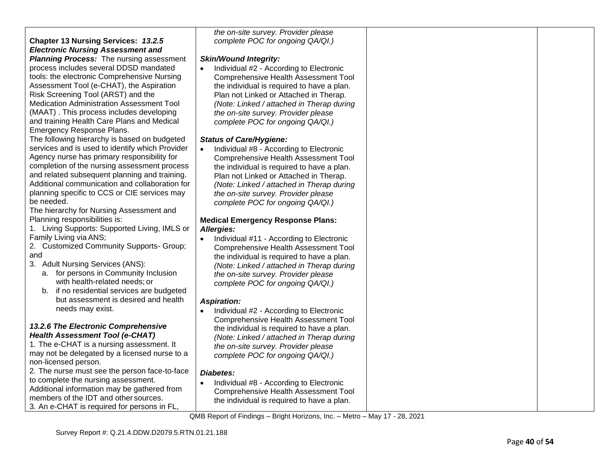|                                                 | the on-site survey. Provider please                  |  |
|-------------------------------------------------|------------------------------------------------------|--|
| <b>Chapter 13 Nursing Services: 13.2.5</b>      | complete POC for ongoing QA/QI.)                     |  |
| <b>Electronic Nursing Assessment and</b>        |                                                      |  |
| <b>Planning Process:</b> The nursing assessment | <b>Skin/Wound Integrity:</b>                         |  |
| process includes several DDSD mandated          | Individual #2 - According to Electronic              |  |
| tools: the electronic Comprehensive Nursing     | Comprehensive Health Assessment Tool                 |  |
| Assessment Tool (e-CHAT), the Aspiration        | the individual is required to have a plan.           |  |
| Risk Screening Tool (ARST) and the              | Plan not Linked or Attached in Therap.               |  |
| Medication Administration Assessment Tool       | (Note: Linked / attached in Therap during            |  |
| (MAAT). This process includes developing        | the on-site survey. Provider please                  |  |
| and training Health Care Plans and Medical      |                                                      |  |
|                                                 | complete POC for ongoing QA/QI.)                     |  |
| Emergency Response Plans.                       |                                                      |  |
| The following hierarchy is based on budgeted    | <b>Status of Care/Hygiene:</b>                       |  |
| services and is used to identify which Provider | Individual #8 - According to Electronic              |  |
| Agency nurse has primary responsibility for     | Comprehensive Health Assessment Tool                 |  |
| completion of the nursing assessment process    | the individual is required to have a plan.           |  |
| and related subsequent planning and training.   | Plan not Linked or Attached in Therap.               |  |
| Additional communication and collaboration for  | (Note: Linked / attached in Therap during            |  |
| planning specific to CCS or CIE services may    | the on-site survey. Provider please                  |  |
| be needed.                                      | complete POC for ongoing QA/QI.)                     |  |
| The hierarchy for Nursing Assessment and        |                                                      |  |
| Planning responsibilities is:                   | <b>Medical Emergency Response Plans:</b>             |  |
| 1. Living Supports: Supported Living, IMLS or   | Allergies:                                           |  |
| Family Living via ANS;                          | Individual #11 - According to Electronic             |  |
| 2. Customized Community Supports- Group;        | <b>Comprehensive Health Assessment Tool</b>          |  |
| and                                             | the individual is required to have a plan.           |  |
| 3. Adult Nursing Services (ANS):                | (Note: Linked / attached in Therap during            |  |
| a. for persons in Community Inclusion           | the on-site survey. Provider please                  |  |
| with health-related needs; or                   | complete POC for ongoing QA/QI.)                     |  |
| b. if no residential services are budgeted      |                                                      |  |
| but assessment is desired and health            |                                                      |  |
| needs may exist.                                | <b>Aspiration:</b>                                   |  |
|                                                 | Individual #2 - According to Electronic              |  |
| 13.2.6 The Electronic Comprehensive             | <b>Comprehensive Health Assessment Tool</b>          |  |
| <b>Health Assessment Tool (e-CHAT)</b>          | the individual is required to have a plan.           |  |
| 1. The e-CHAT is a nursing assessment. It       | (Note: Linked / attached in Therap during            |  |
| may not be delegated by a licensed nurse to a   | the on-site survey. Provider please                  |  |
| non-licensed person.                            | complete POC for ongoing QA/QI.)                     |  |
| 2. The nurse must see the person face-to-face   | Diabetes:                                            |  |
| to complete the nursing assessment.             |                                                      |  |
| Additional information may be gathered from     | Individual #8 - According to Electronic<br>$\bullet$ |  |
| members of the IDT and other sources.           | <b>Comprehensive Health Assessment Tool</b>          |  |
| 3. An e-CHAT is required for persons in FL,     | the individual is required to have a plan.           |  |
|                                                 |                                                      |  |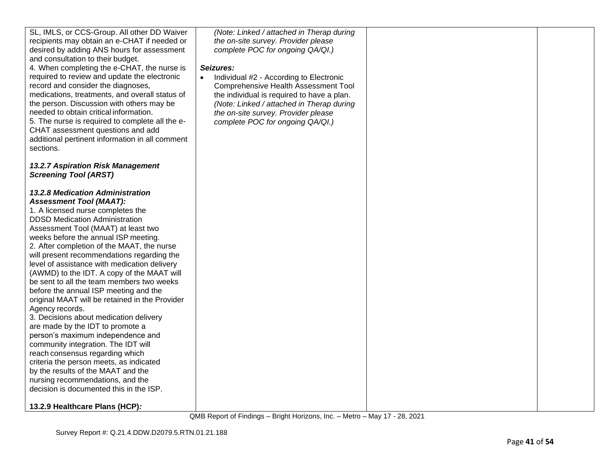| SL, IMLS, or CCS-Group. All other DD Waiver<br>recipients may obtain an e-CHAT if needed or<br>desired by adding ANS hours for assessment<br>and consultation to their budget. | (Note: Linked / attached in Therap during<br>the on-site survey. Provider please<br>complete POC for ongoing QA/QI.) |  |
|--------------------------------------------------------------------------------------------------------------------------------------------------------------------------------|----------------------------------------------------------------------------------------------------------------------|--|
| 4. When completing the e-CHAT, the nurse is                                                                                                                                    | Seizures:                                                                                                            |  |
| required to review and update the electronic<br>record and consider the diagnoses,                                                                                             | Individual #2 - According to Electronic<br><b>Comprehensive Health Assessment Tool</b>                               |  |
| medications, treatments, and overall status of                                                                                                                                 | the individual is required to have a plan.                                                                           |  |
| the person. Discussion with others may be<br>needed to obtain critical information.                                                                                            | (Note: Linked / attached in Therap during                                                                            |  |
| 5. The nurse is required to complete all the e-                                                                                                                                | the on-site survey. Provider please<br>complete POC for ongoing QA/QI.)                                              |  |
| CHAT assessment questions and add                                                                                                                                              |                                                                                                                      |  |
| additional pertinent information in all comment<br>sections.                                                                                                                   |                                                                                                                      |  |
|                                                                                                                                                                                |                                                                                                                      |  |
| 13.2.7 Aspiration Risk Management<br><b>Screening Tool (ARST)</b>                                                                                                              |                                                                                                                      |  |
|                                                                                                                                                                                |                                                                                                                      |  |
| <b>13.2.8 Medication Administration</b><br><b>Assessment Tool (MAAT):</b>                                                                                                      |                                                                                                                      |  |
| 1. A licensed nurse completes the                                                                                                                                              |                                                                                                                      |  |
| <b>DDSD Medication Administration</b>                                                                                                                                          |                                                                                                                      |  |
| Assessment Tool (MAAT) at least two<br>weeks before the annual ISP meeting.                                                                                                    |                                                                                                                      |  |
| 2. After completion of the MAAT, the nurse                                                                                                                                     |                                                                                                                      |  |
| will present recommendations regarding the                                                                                                                                     |                                                                                                                      |  |
| level of assistance with medication delivery<br>(AWMD) to the IDT. A copy of the MAAT will                                                                                     |                                                                                                                      |  |
| be sent to all the team members two weeks                                                                                                                                      |                                                                                                                      |  |
| before the annual ISP meeting and the<br>original MAAT will be retained in the Provider                                                                                        |                                                                                                                      |  |
| Agency records.                                                                                                                                                                |                                                                                                                      |  |
| 3. Decisions about medication delivery                                                                                                                                         |                                                                                                                      |  |
| are made by the IDT to promote a<br>person's maximum independence and                                                                                                          |                                                                                                                      |  |
| community integration. The IDT will                                                                                                                                            |                                                                                                                      |  |
| reach consensus regarding which<br>criteria the person meets, as indicated                                                                                                     |                                                                                                                      |  |
| by the results of the MAAT and the                                                                                                                                             |                                                                                                                      |  |
| nursing recommendations, and the                                                                                                                                               |                                                                                                                      |  |
| decision is documented this in the ISP.                                                                                                                                        |                                                                                                                      |  |
| 13.2.9 Healthcare Plans (HCP):                                                                                                                                                 |                                                                                                                      |  |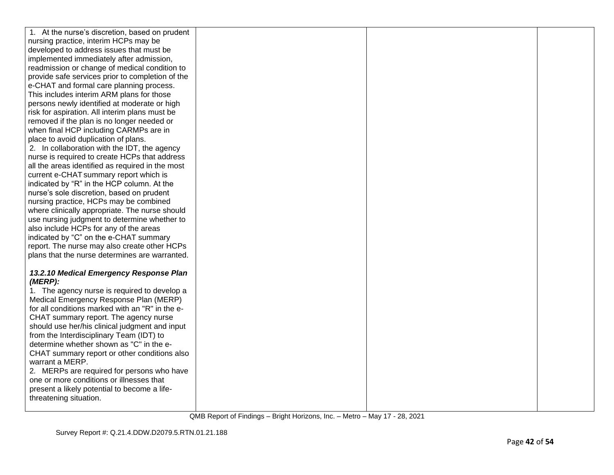| 1. At the nurse's discretion, based on prudent                                            |  |  |
|-------------------------------------------------------------------------------------------|--|--|
| nursing practice, interim HCPs may be                                                     |  |  |
| developed to address issues that must be                                                  |  |  |
| implemented immediately after admission,                                                  |  |  |
| readmission or change of medical condition to                                             |  |  |
| provide safe services prior to completion of the                                          |  |  |
| e-CHAT and formal care planning process.                                                  |  |  |
| This includes interim ARM plans for those                                                 |  |  |
| persons newly identified at moderate or high                                              |  |  |
| risk for aspiration. All interim plans must be                                            |  |  |
| removed if the plan is no longer needed or                                                |  |  |
| when final HCP including CARMPs are in                                                    |  |  |
| place to avoid duplication of plans.                                                      |  |  |
| 2. In collaboration with the IDT, the agency                                              |  |  |
| nurse is required to create HCPs that address                                             |  |  |
| all the areas identified as required in the most                                          |  |  |
| current e-CHAT summary report which is                                                    |  |  |
| indicated by "R" in the HCP column. At the                                                |  |  |
| nurse's sole discretion, based on prudent                                                 |  |  |
| nursing practice, HCPs may be combined                                                    |  |  |
| where clinically appropriate. The nurse should                                            |  |  |
| use nursing judgment to determine whether to                                              |  |  |
| also include HCPs for any of the areas                                                    |  |  |
| indicated by "C" on the e-CHAT summary                                                    |  |  |
| report. The nurse may also create other HCPs                                              |  |  |
| plans that the nurse determines are warranted.                                            |  |  |
|                                                                                           |  |  |
| 13.2.10 Medical Emergency Response Plan                                                   |  |  |
| (MERP):                                                                                   |  |  |
| 1. The agency nurse is required to develop a                                              |  |  |
| Medical Emergency Response Plan (MERP)<br>for all conditions marked with an "R" in the e- |  |  |
| CHAT summary report. The agency nurse                                                     |  |  |
| should use her/his clinical judgment and input                                            |  |  |
| from the Interdisciplinary Team (IDT) to                                                  |  |  |
| determine whether shown as "C" in the e-                                                  |  |  |
| CHAT summary report or other conditions also                                              |  |  |
| warrant a MERP.                                                                           |  |  |
| 2. MERPs are required for persons who have                                                |  |  |
| one or more conditions or illnesses that                                                  |  |  |
| present a likely potential to become a life-                                              |  |  |
| threatening situation.                                                                    |  |  |
|                                                                                           |  |  |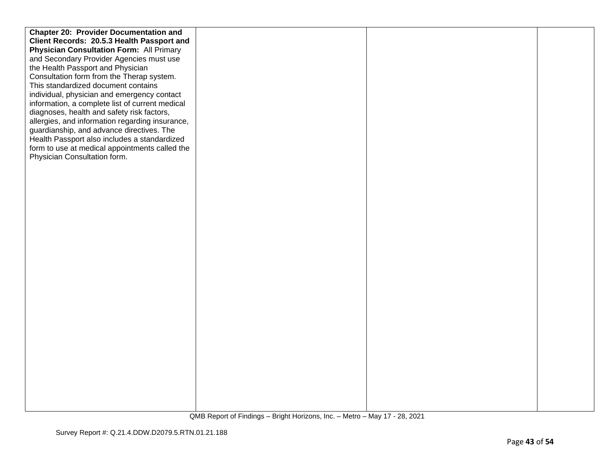| <b>Chapter 20: Provider Documentation and</b>   |  |  |
|-------------------------------------------------|--|--|
| Client Records: 20.5.3 Health Passport and      |  |  |
| <b>Physician Consultation Form: All Primary</b> |  |  |
| and Secondary Provider Agencies must use        |  |  |
| the Health Passport and Physician               |  |  |
| Consultation form from the Therap system.       |  |  |
| This standardized document contains             |  |  |
| individual, physician and emergency contact     |  |  |
|                                                 |  |  |
| information, a complete list of current medical |  |  |
| diagnoses, health and safety risk factors,      |  |  |
| allergies, and information regarding insurance, |  |  |
| guardianship, and advance directives. The       |  |  |
| Health Passport also includes a standardized    |  |  |
| form to use at medical appointments called the  |  |  |
| Physician Consultation form.                    |  |  |
|                                                 |  |  |
|                                                 |  |  |
|                                                 |  |  |
|                                                 |  |  |
|                                                 |  |  |
|                                                 |  |  |
|                                                 |  |  |
|                                                 |  |  |
|                                                 |  |  |
|                                                 |  |  |
|                                                 |  |  |
|                                                 |  |  |
|                                                 |  |  |
|                                                 |  |  |
|                                                 |  |  |
|                                                 |  |  |
|                                                 |  |  |
|                                                 |  |  |
|                                                 |  |  |
|                                                 |  |  |
|                                                 |  |  |
|                                                 |  |  |
|                                                 |  |  |
|                                                 |  |  |
|                                                 |  |  |
|                                                 |  |  |
|                                                 |  |  |
|                                                 |  |  |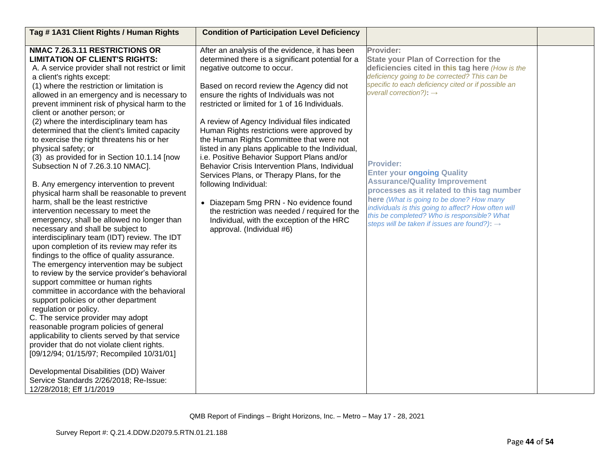| Tag #1A31 Client Rights / Human Rights                                                                                                                                                                                                                                                                                                                                                                                                                                                                                                                                                                                                                                                                                                                                                                                                                                                                                                                                                                                                                                                                                                                                                                                                                                                                                                                                                                                                                                                     | <b>Condition of Participation Level Deficiency</b>                                                                                                                                                                                                                                                                                                                                                                                                                                                                                                                                                                                                                                                                                                                                                                       |                                                                                                                                                                                                                                                                                                                                                                                                                                                                                                                                                                                                                          |  |
|--------------------------------------------------------------------------------------------------------------------------------------------------------------------------------------------------------------------------------------------------------------------------------------------------------------------------------------------------------------------------------------------------------------------------------------------------------------------------------------------------------------------------------------------------------------------------------------------------------------------------------------------------------------------------------------------------------------------------------------------------------------------------------------------------------------------------------------------------------------------------------------------------------------------------------------------------------------------------------------------------------------------------------------------------------------------------------------------------------------------------------------------------------------------------------------------------------------------------------------------------------------------------------------------------------------------------------------------------------------------------------------------------------------------------------------------------------------------------------------------|--------------------------------------------------------------------------------------------------------------------------------------------------------------------------------------------------------------------------------------------------------------------------------------------------------------------------------------------------------------------------------------------------------------------------------------------------------------------------------------------------------------------------------------------------------------------------------------------------------------------------------------------------------------------------------------------------------------------------------------------------------------------------------------------------------------------------|--------------------------------------------------------------------------------------------------------------------------------------------------------------------------------------------------------------------------------------------------------------------------------------------------------------------------------------------------------------------------------------------------------------------------------------------------------------------------------------------------------------------------------------------------------------------------------------------------------------------------|--|
| NMAC 7.26.3.11 RESTRICTIONS OR<br><b>LIMITATION OF CLIENT'S RIGHTS:</b><br>A. A service provider shall not restrict or limit<br>a client's rights except:<br>(1) where the restriction or limitation is<br>allowed in an emergency and is necessary to<br>prevent imminent risk of physical harm to the<br>client or another person; or<br>(2) where the interdisciplinary team has<br>determined that the client's limited capacity<br>to exercise the right threatens his or her<br>physical safety; or<br>(3) as provided for in Section 10.1.14 [now<br>Subsection N of 7.26.3.10 NMAC].<br>B. Any emergency intervention to prevent<br>physical harm shall be reasonable to prevent<br>harm, shall be the least restrictive<br>intervention necessary to meet the<br>emergency, shall be allowed no longer than<br>necessary and shall be subject to<br>interdisciplinary team (IDT) review. The IDT<br>upon completion of its review may refer its<br>findings to the office of quality assurance.<br>The emergency intervention may be subject<br>to review by the service provider's behavioral<br>support committee or human rights<br>committee in accordance with the behavioral<br>support policies or other department<br>regulation or policy.<br>C. The service provider may adopt<br>reasonable program policies of general<br>applicability to clients served by that service<br>provider that do not violate client rights.<br>[09/12/94; 01/15/97; Recompiled 10/31/01] | After an analysis of the evidence, it has been<br>determined there is a significant potential for a<br>negative outcome to occur.<br>Based on record review the Agency did not<br>ensure the rights of Individuals was not<br>restricted or limited for 1 of 16 Individuals.<br>A review of Agency Individual files indicated<br>Human Rights restrictions were approved by<br>the Human Rights Committee that were not<br>listed in any plans applicable to the Individual,<br>i.e. Positive Behavior Support Plans and/or<br>Behavior Crisis Intervention Plans, Individual<br>Services Plans, or Therapy Plans, for the<br>following Individual:<br>• Diazepam 5mg PRN - No evidence found<br>the restriction was needed / required for the<br>Individual, with the exception of the HRC<br>approval. (Individual #6) | Provider:<br><b>State your Plan of Correction for the</b><br>deficiencies cited in this tag here (How is the<br>deficiency going to be corrected? This can be<br>specific to each deficiency cited or if possible an<br>overall correction?): $\rightarrow$<br><b>Provider:</b><br><b>Enter your ongoing Quality</b><br><b>Assurance/Quality Improvement</b><br>processes as it related to this tag number<br>here (What is going to be done? How many<br>individuals is this going to affect? How often will<br>this be completed? Who is responsible? What<br>steps will be taken if issues are found?): $\rightarrow$ |  |
| Developmental Disabilities (DD) Waiver<br>Service Standards 2/26/2018; Re-Issue:<br>12/28/2018; Eff 1/1/2019                                                                                                                                                                                                                                                                                                                                                                                                                                                                                                                                                                                                                                                                                                                                                                                                                                                                                                                                                                                                                                                                                                                                                                                                                                                                                                                                                                               |                                                                                                                                                                                                                                                                                                                                                                                                                                                                                                                                                                                                                                                                                                                                                                                                                          |                                                                                                                                                                                                                                                                                                                                                                                                                                                                                                                                                                                                                          |  |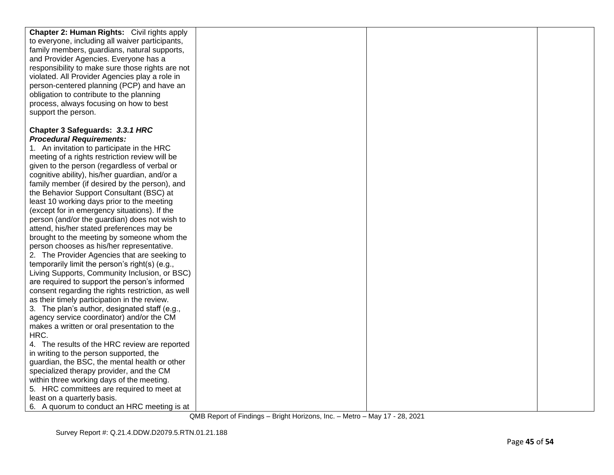| <b>Chapter 2: Human Rights:</b> Civil rights apply                                                                                                                                                                                                                                                                                                                                                                                                                |  |  |
|-------------------------------------------------------------------------------------------------------------------------------------------------------------------------------------------------------------------------------------------------------------------------------------------------------------------------------------------------------------------------------------------------------------------------------------------------------------------|--|--|
| to everyone, including all waiver participants,                                                                                                                                                                                                                                                                                                                                                                                                                   |  |  |
| family members, guardians, natural supports,                                                                                                                                                                                                                                                                                                                                                                                                                      |  |  |
| and Provider Agencies. Everyone has a                                                                                                                                                                                                                                                                                                                                                                                                                             |  |  |
| responsibility to make sure those rights are not                                                                                                                                                                                                                                                                                                                                                                                                                  |  |  |
| violated. All Provider Agencies play a role in                                                                                                                                                                                                                                                                                                                                                                                                                    |  |  |
| person-centered planning (PCP) and have an                                                                                                                                                                                                                                                                                                                                                                                                                        |  |  |
| obligation to contribute to the planning                                                                                                                                                                                                                                                                                                                                                                                                                          |  |  |
| process, always focusing on how to best                                                                                                                                                                                                                                                                                                                                                                                                                           |  |  |
| support the person.                                                                                                                                                                                                                                                                                                                                                                                                                                               |  |  |
|                                                                                                                                                                                                                                                                                                                                                                                                                                                                   |  |  |
| Chapter 3 Safeguards: 3.3.1 HRC                                                                                                                                                                                                                                                                                                                                                                                                                                   |  |  |
| <b>Procedural Requirements:</b>                                                                                                                                                                                                                                                                                                                                                                                                                                   |  |  |
| 1. An invitation to participate in the HRC                                                                                                                                                                                                                                                                                                                                                                                                                        |  |  |
| meeting of a rights restriction review will be                                                                                                                                                                                                                                                                                                                                                                                                                    |  |  |
| given to the person (regardless of verbal or                                                                                                                                                                                                                                                                                                                                                                                                                      |  |  |
| cognitive ability), his/her guardian, and/or a                                                                                                                                                                                                                                                                                                                                                                                                                    |  |  |
| family member (if desired by the person), and                                                                                                                                                                                                                                                                                                                                                                                                                     |  |  |
| the Behavior Support Consultant (BSC) at                                                                                                                                                                                                                                                                                                                                                                                                                          |  |  |
| least 10 working days prior to the meeting                                                                                                                                                                                                                                                                                                                                                                                                                        |  |  |
| (except for in emergency situations). If the                                                                                                                                                                                                                                                                                                                                                                                                                      |  |  |
| person (and/or the guardian) does not wish to                                                                                                                                                                                                                                                                                                                                                                                                                     |  |  |
| attend, his/her stated preferences may be                                                                                                                                                                                                                                                                                                                                                                                                                         |  |  |
| brought to the meeting by someone whom the                                                                                                                                                                                                                                                                                                                                                                                                                        |  |  |
| person chooses as his/her representative.                                                                                                                                                                                                                                                                                                                                                                                                                         |  |  |
| 2. The Provider Agencies that are seeking to                                                                                                                                                                                                                                                                                                                                                                                                                      |  |  |
| temporarily limit the person's right(s) (e.g.,                                                                                                                                                                                                                                                                                                                                                                                                                    |  |  |
| Living Supports, Community Inclusion, or BSC)                                                                                                                                                                                                                                                                                                                                                                                                                     |  |  |
| are required to support the person's informed                                                                                                                                                                                                                                                                                                                                                                                                                     |  |  |
| consent regarding the rights restriction, as well                                                                                                                                                                                                                                                                                                                                                                                                                 |  |  |
| as their timely participation in the review.                                                                                                                                                                                                                                                                                                                                                                                                                      |  |  |
| 3. The plan's author, designated staff (e.g.,                                                                                                                                                                                                                                                                                                                                                                                                                     |  |  |
|                                                                                                                                                                                                                                                                                                                                                                                                                                                                   |  |  |
|                                                                                                                                                                                                                                                                                                                                                                                                                                                                   |  |  |
|                                                                                                                                                                                                                                                                                                                                                                                                                                                                   |  |  |
|                                                                                                                                                                                                                                                                                                                                                                                                                                                                   |  |  |
|                                                                                                                                                                                                                                                                                                                                                                                                                                                                   |  |  |
|                                                                                                                                                                                                                                                                                                                                                                                                                                                                   |  |  |
|                                                                                                                                                                                                                                                                                                                                                                                                                                                                   |  |  |
|                                                                                                                                                                                                                                                                                                                                                                                                                                                                   |  |  |
|                                                                                                                                                                                                                                                                                                                                                                                                                                                                   |  |  |
|                                                                                                                                                                                                                                                                                                                                                                                                                                                                   |  |  |
| agency service coordinator) and/or the CM<br>makes a written or oral presentation to the<br>HRC.<br>4. The results of the HRC review are reported<br>in writing to the person supported, the<br>guardian, the BSC, the mental health or other<br>specialized therapy provider, and the CM<br>within three working days of the meeting.<br>5. HRC committees are required to meet at<br>least on a quarterly basis.<br>6. A quorum to conduct an HRC meeting is at |  |  |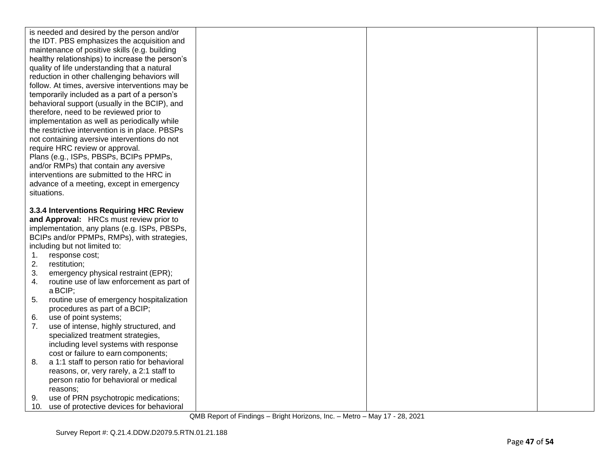|    | is needed and desired by the person and/or                                       |  |  |
|----|----------------------------------------------------------------------------------|--|--|
|    | the IDT. PBS emphasizes the acquisition and                                      |  |  |
|    | maintenance of positive skills (e.g. building                                    |  |  |
|    | healthy relationships) to increase the person's                                  |  |  |
|    | quality of life understanding that a natural                                     |  |  |
|    | reduction in other challenging behaviors will                                    |  |  |
|    | follow. At times, aversive interventions may be                                  |  |  |
|    | temporarily included as a part of a person's                                     |  |  |
|    | behavioral support (usually in the BCIP), and                                    |  |  |
|    | therefore, need to be reviewed prior to                                          |  |  |
|    | implementation as well as periodically while                                     |  |  |
|    | the restrictive intervention is in place. PBSPs                                  |  |  |
|    | not containing aversive interventions do not                                     |  |  |
|    | require HRC review or approval.                                                  |  |  |
|    | Plans (e.g., ISPs, PBSPs, BCIPs PPMPs,                                           |  |  |
|    | and/or RMPs) that contain any aversive                                           |  |  |
|    | interventions are submitted to the HRC in                                        |  |  |
|    | advance of a meeting, except in emergency                                        |  |  |
|    | situations.                                                                      |  |  |
|    |                                                                                  |  |  |
|    | 3.3.4 Interventions Requiring HRC Review                                         |  |  |
|    |                                                                                  |  |  |
|    | and Approval: HRCs must review prior to                                          |  |  |
|    | implementation, any plans (e.g. ISPs, PBSPs,                                     |  |  |
|    | BCIPs and/or PPMPs, RMPs), with strategies,                                      |  |  |
|    | including but not limited to:                                                    |  |  |
| 1. | response cost;                                                                   |  |  |
| 2. | restitution;                                                                     |  |  |
| 3. | emergency physical restraint (EPR);                                              |  |  |
| 4. | routine use of law enforcement as part of                                        |  |  |
|    | a BCIP;                                                                          |  |  |
| 5. | routine use of emergency hospitalization                                         |  |  |
|    | procedures as part of a BCIP;                                                    |  |  |
| 6. | use of point systems;                                                            |  |  |
| 7. | use of intense, highly structured, and                                           |  |  |
|    | specialized treatment strategies,                                                |  |  |
|    | including level systems with response                                            |  |  |
|    | cost or failure to earn components;                                              |  |  |
| 8. | a 1:1 staff to person ratio for behavioral                                       |  |  |
|    | reasons, or, very rarely, a 2:1 staff to                                         |  |  |
|    | person ratio for behavioral or medical                                           |  |  |
|    | reasons;                                                                         |  |  |
| 9. | use of PRN psychotropic medications;<br>use of protective devices for behavioral |  |  |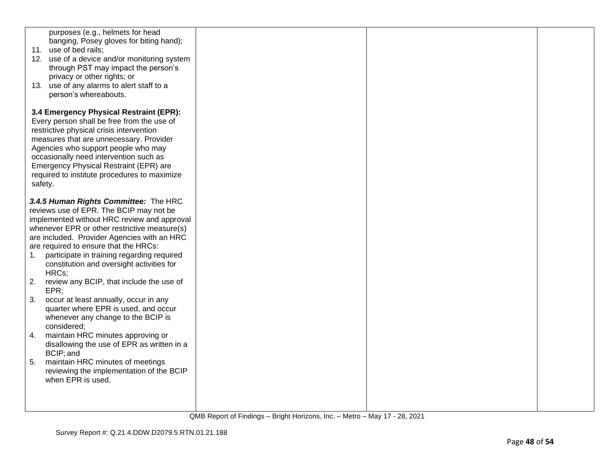| purposes (e.g., helmets for head<br>banging, Posey gloves for biting hand);<br>11. use of bed rails;<br>12. use of a device and/or monitoring system<br>through PST may impact the person's<br>privacy or other rights; or<br>13. use of any alarms to alert staff to a<br>person's whereabouts.                                                                                  |  |  |
|-----------------------------------------------------------------------------------------------------------------------------------------------------------------------------------------------------------------------------------------------------------------------------------------------------------------------------------------------------------------------------------|--|--|
| 3.4 Emergency Physical Restraint (EPR):<br>Every person shall be free from the use of<br>restrictive physical crisis intervention<br>measures that are unnecessary. Provider<br>Agencies who support people who may<br>occasionally need intervention such as<br>Emergency Physical Restraint (EPR) are<br>required to institute procedures to maximize<br>safety.                |  |  |
| 3.4.5 Human Rights Committee: The HRC<br>reviews use of EPR. The BCIP may not be<br>implemented without HRC review and approval<br>whenever EPR or other restrictive measure(s)<br>are included. Provider Agencies with an HRC<br>are required to ensure that the HRCs:<br>participate in training regarding required<br>1.<br>constitution and oversight activities for<br>HRCs; |  |  |
| 2.<br>review any BCIP, that include the use of<br>EPR:                                                                                                                                                                                                                                                                                                                            |  |  |
| 3.<br>occur at least annually, occur in any<br>quarter where EPR is used, and occur<br>whenever any change to the BCIP is<br>considered:                                                                                                                                                                                                                                          |  |  |
| maintain HRC minutes approving or<br>4.<br>disallowing the use of EPR as written in a<br>BCIP; and                                                                                                                                                                                                                                                                                |  |  |
| 5.<br>maintain HRC minutes of meetings<br>reviewing the implementation of the BCIP<br>when EPR is used.                                                                                                                                                                                                                                                                           |  |  |
|                                                                                                                                                                                                                                                                                                                                                                                   |  |  |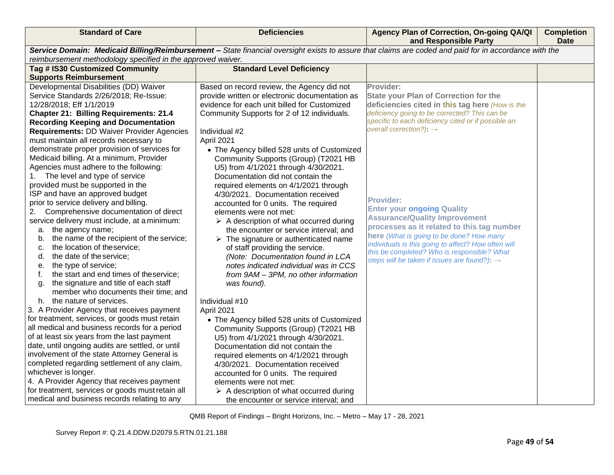| <b>Standard of Care</b>                                                                                                                                                                                              | <b>Deficiencies</b>                                                      | Agency Plan of Correction, On-going QA/QI<br>and Responsible Party | <b>Completion</b><br><b>Date</b> |
|----------------------------------------------------------------------------------------------------------------------------------------------------------------------------------------------------------------------|--------------------------------------------------------------------------|--------------------------------------------------------------------|----------------------------------|
| Service Domain: Medicaid Billing/Reimbursement - State financial oversight exists to assure that claims are coded and paid for in accordance with the<br>reimbursement methodology specified in the approved waiver. |                                                                          |                                                                    |                                  |
| Tag # IS30 Customized Community                                                                                                                                                                                      | <b>Standard Level Deficiency</b>                                         |                                                                    |                                  |
| <b>Supports Reimbursement</b>                                                                                                                                                                                        |                                                                          |                                                                    |                                  |
| Developmental Disabilities (DD) Waiver                                                                                                                                                                               | Based on record review, the Agency did not                               | Provider:                                                          |                                  |
| Service Standards 2/26/2018; Re-Issue:                                                                                                                                                                               | provide written or electronic documentation as                           | <b>State your Plan of Correction for the</b>                       |                                  |
| 12/28/2018; Eff 1/1/2019                                                                                                                                                                                             | evidence for each unit billed for Customized                             | deficiencies cited in this tag here (How is the                    |                                  |
| <b>Chapter 21: Billing Requirements: 21.4</b>                                                                                                                                                                        | Community Supports for 2 of 12 individuals.                              | deficiency going to be corrected? This can be                      |                                  |
| <b>Recording Keeping and Documentation</b>                                                                                                                                                                           |                                                                          | specific to each deficiency cited or if possible an                |                                  |
| <b>Requirements: DD Waiver Provider Agencies</b>                                                                                                                                                                     | Individual #2                                                            | overall correction?): $\rightarrow$                                |                                  |
| must maintain all records necessary to                                                                                                                                                                               | April 2021                                                               |                                                                    |                                  |
| demonstrate proper provision of services for                                                                                                                                                                         | • The Agency billed 528 units of Customized                              |                                                                    |                                  |
| Medicaid billing. At a minimum, Provider                                                                                                                                                                             | Community Supports (Group) (T2021 HB                                     |                                                                    |                                  |
| Agencies must adhere to the following:                                                                                                                                                                               | U5) from 4/1/2021 through 4/30/2021.                                     |                                                                    |                                  |
| The level and type of service<br>1.                                                                                                                                                                                  | Documentation did not contain the                                        |                                                                    |                                  |
| provided must be supported in the<br>ISP and have an approved budget                                                                                                                                                 | required elements on 4/1/2021 through                                    |                                                                    |                                  |
| prior to service delivery and billing.                                                                                                                                                                               | 4/30/2021. Documentation received<br>accounted for 0 units. The required | <b>Provider:</b>                                                   |                                  |
| Comprehensive documentation of direct<br>2.                                                                                                                                                                          | elements were not met:                                                   | <b>Enter your ongoing Quality</b>                                  |                                  |
| service delivery must include, at a minimum:                                                                                                                                                                         | $\triangleright$ A description of what occurred during                   | <b>Assurance/Quality Improvement</b>                               |                                  |
| the agency name;<br>a.                                                                                                                                                                                               | the encounter or service interval; and                                   | processes as it related to this tag number                         |                                  |
| the name of the recipient of the service;<br>b.                                                                                                                                                                      | $\triangleright$ The signature or authenticated name                     | here (What is going to be done? How many                           |                                  |
| the location of theservice;<br>c.                                                                                                                                                                                    | of staff providing the service.                                          | individuals is this going to affect? How often will                |                                  |
| the date of the service;<br>d.                                                                                                                                                                                       | (Note: Documentation found in LCA                                        | this be completed? Who is responsible? What                        |                                  |
| the type of service;<br>е.                                                                                                                                                                                           | notes indicated individual was in CCS                                    | steps will be taken if issues are found?): $\rightarrow$           |                                  |
| the start and end times of theservice;<br>f.                                                                                                                                                                         | from 9AM - 3PM, no other information                                     |                                                                    |                                  |
| the signature and title of each staff<br>g.                                                                                                                                                                          | was found).                                                              |                                                                    |                                  |
| member who documents their time; and                                                                                                                                                                                 |                                                                          |                                                                    |                                  |
| the nature of services.<br>h.                                                                                                                                                                                        | Individual #10                                                           |                                                                    |                                  |
| 3. A Provider Agency that receives payment                                                                                                                                                                           | April 2021                                                               |                                                                    |                                  |
| for treatment, services, or goods must retain                                                                                                                                                                        | • The Agency billed 528 units of Customized                              |                                                                    |                                  |
| all medical and business records for a period                                                                                                                                                                        | Community Supports (Group) (T2021 HB                                     |                                                                    |                                  |
| of at least six years from the last payment                                                                                                                                                                          | U5) from 4/1/2021 through 4/30/2021.                                     |                                                                    |                                  |
| date, until ongoing audits are settled, or until                                                                                                                                                                     | Documentation did not contain the                                        |                                                                    |                                  |
| involvement of the state Attorney General is                                                                                                                                                                         | required elements on 4/1/2021 through                                    |                                                                    |                                  |
| completed regarding settlement of any claim,                                                                                                                                                                         | 4/30/2021. Documentation received                                        |                                                                    |                                  |
| whichever is longer.                                                                                                                                                                                                 | accounted for 0 units. The required                                      |                                                                    |                                  |
| 4. A Provider Agency that receives payment<br>for treatment, services or goods must retain all                                                                                                                       | elements were not met:                                                   |                                                                    |                                  |
| medical and business records relating to any                                                                                                                                                                         | $\triangleright$ A description of what occurred during                   |                                                                    |                                  |
|                                                                                                                                                                                                                      | the encounter or service interval; and                                   |                                                                    |                                  |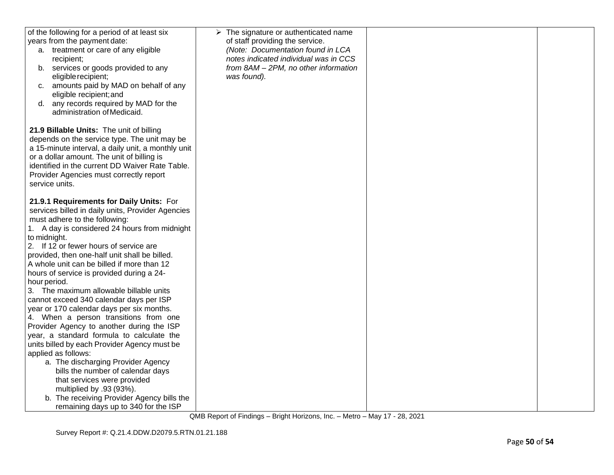| of the following for a period of at least six<br>years from the payment date:<br>a. treatment or care of any eligible<br>recipient;<br>b. services or goods provided to any<br>eligible recipient;<br>amounts paid by MAD on behalf of any<br>C.<br>eligible recipient; and<br>any records required by MAD for the<br>d.<br>administration of Medicaid.                                                                                                                                                                                                                                                                                                                                                                                                                                                                                                                                                                                                                        | $\triangleright$ The signature or authenticated name<br>of staff providing the service.<br>(Note: Documentation found in LCA<br>notes indicated individual was in CCS<br>from 8AM - 2PM, no other information<br>was found). |  |
|--------------------------------------------------------------------------------------------------------------------------------------------------------------------------------------------------------------------------------------------------------------------------------------------------------------------------------------------------------------------------------------------------------------------------------------------------------------------------------------------------------------------------------------------------------------------------------------------------------------------------------------------------------------------------------------------------------------------------------------------------------------------------------------------------------------------------------------------------------------------------------------------------------------------------------------------------------------------------------|------------------------------------------------------------------------------------------------------------------------------------------------------------------------------------------------------------------------------|--|
| 21.9 Billable Units: The unit of billing<br>depends on the service type. The unit may be<br>a 15-minute interval, a daily unit, a monthly unit<br>or a dollar amount. The unit of billing is<br>identified in the current DD Waiver Rate Table.<br>Provider Agencies must correctly report<br>service units.                                                                                                                                                                                                                                                                                                                                                                                                                                                                                                                                                                                                                                                                   |                                                                                                                                                                                                                              |  |
| 21.9.1 Requirements for Daily Units: For<br>services billed in daily units, Provider Agencies<br>must adhere to the following:<br>1. A day is considered 24 hours from midnight<br>to midnight.<br>2. If 12 or fewer hours of service are<br>provided, then one-half unit shall be billed.<br>A whole unit can be billed if more than 12<br>hours of service is provided during a 24-<br>hour period.<br>3. The maximum allowable billable units<br>cannot exceed 340 calendar days per ISP<br>year or 170 calendar days per six months.<br>4. When a person transitions from one<br>Provider Agency to another during the ISP<br>year, a standard formula to calculate the<br>units billed by each Provider Agency must be<br>applied as follows:<br>a. The discharging Provider Agency<br>bills the number of calendar days<br>that services were provided<br>multiplied by .93 (93%).<br>b. The receiving Provider Agency bills the<br>remaining days up to 340 for the ISP |                                                                                                                                                                                                                              |  |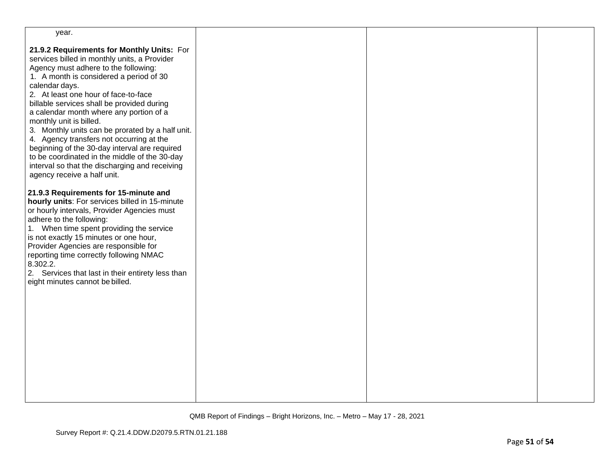| year.                                                                                                                                                                                                                                                                                                                                                                                                                                                                                                                                                                                                                                          |  |  |
|------------------------------------------------------------------------------------------------------------------------------------------------------------------------------------------------------------------------------------------------------------------------------------------------------------------------------------------------------------------------------------------------------------------------------------------------------------------------------------------------------------------------------------------------------------------------------------------------------------------------------------------------|--|--|
| 21.9.2 Requirements for Monthly Units: For<br>services billed in monthly units, a Provider<br>Agency must adhere to the following:<br>1. A month is considered a period of 30<br>calendar days.<br>2. At least one hour of face-to-face<br>billable services shall be provided during<br>a calendar month where any portion of a<br>monthly unit is billed.<br>3. Monthly units can be prorated by a half unit.<br>4. Agency transfers not occurring at the<br>beginning of the 30-day interval are required<br>to be coordinated in the middle of the 30-day<br>interval so that the discharging and receiving<br>agency receive a half unit. |  |  |
| 21.9.3 Requirements for 15-minute and<br>hourly units: For services billed in 15-minute<br>or hourly intervals, Provider Agencies must<br>adhere to the following:<br>1. When time spent providing the service<br>is not exactly 15 minutes or one hour,<br>Provider Agencies are responsible for<br>reporting time correctly following NMAC<br>8.302.2.<br>2. Services that last in their entirety less than<br>eight minutes cannot be billed.                                                                                                                                                                                               |  |  |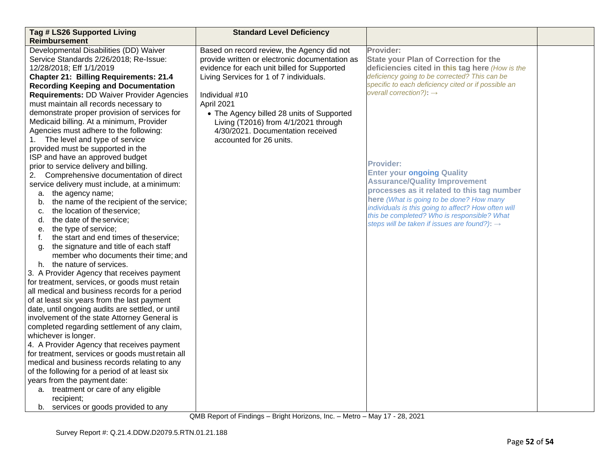| Tag # LS26 Supported Living<br><b>Reimbursement</b> | <b>Standard Level Deficiency</b>                                                  |                                                          |  |
|-----------------------------------------------------|-----------------------------------------------------------------------------------|----------------------------------------------------------|--|
| Developmental Disabilities (DD) Waiver              | Based on record review, the Agency did not                                        | Provider:                                                |  |
| Service Standards 2/26/2018; Re-Issue:              | provide written or electronic documentation as                                    | <b>State your Plan of Correction for the</b>             |  |
| 12/28/2018; Eff 1/1/2019                            | evidence for each unit billed for Supported                                       | deficiencies cited in this tag here (How is the          |  |
| <b>Chapter 21: Billing Requirements: 21.4</b>       | Living Services for 1 of 7 individuals.                                           | deficiency going to be corrected? This can be            |  |
| <b>Recording Keeping and Documentation</b>          |                                                                                   | specific to each deficiency cited or if possible an      |  |
| <b>Requirements: DD Waiver Provider Agencies</b>    | Individual #10                                                                    | overall correction?): $\rightarrow$                      |  |
| must maintain all records necessary to              | April 2021                                                                        |                                                          |  |
| demonstrate proper provision of services for        |                                                                                   |                                                          |  |
| Medicaid billing. At a minimum, Provider            | • The Agency billed 28 units of Supported<br>Living (T2016) from 4/1/2021 through |                                                          |  |
| Agencies must adhere to the following:              | 4/30/2021. Documentation received                                                 |                                                          |  |
| The level and type of service<br>1.                 | accounted for 26 units.                                                           |                                                          |  |
| provided must be supported in the                   |                                                                                   |                                                          |  |
| ISP and have an approved budget                     |                                                                                   |                                                          |  |
| prior to service delivery and billing.              |                                                                                   | <b>Provider:</b>                                         |  |
| 2. Comprehensive documentation of direct            |                                                                                   | <b>Enter your ongoing Quality</b>                        |  |
| service delivery must include, at a minimum:        |                                                                                   | <b>Assurance/Quality Improvement</b>                     |  |
| a. the agency name;                                 |                                                                                   | processes as it related to this tag number               |  |
| the name of the recipient of the service;<br>b.     |                                                                                   | here (What is going to be done? How many                 |  |
| the location of theservice;<br>C.                   |                                                                                   | individuals is this going to affect? How often will      |  |
| the date of the service;<br>d.                      |                                                                                   | this be completed? Who is responsible? What              |  |
| the type of service;<br>е.                          |                                                                                   | steps will be taken if issues are found?): $\rightarrow$ |  |
| the start and end times of theservice;<br>f.        |                                                                                   |                                                          |  |
| the signature and title of each staff<br>g.         |                                                                                   |                                                          |  |
| member who documents their time; and                |                                                                                   |                                                          |  |
| h. the nature of services.                          |                                                                                   |                                                          |  |
| 3. A Provider Agency that receives payment          |                                                                                   |                                                          |  |
| for treatment, services, or goods must retain       |                                                                                   |                                                          |  |
| all medical and business records for a period       |                                                                                   |                                                          |  |
| of at least six years from the last payment         |                                                                                   |                                                          |  |
| date, until ongoing audits are settled, or until    |                                                                                   |                                                          |  |
| involvement of the state Attorney General is        |                                                                                   |                                                          |  |
| completed regarding settlement of any claim,        |                                                                                   |                                                          |  |
| whichever is longer.                                |                                                                                   |                                                          |  |
| 4. A Provider Agency that receives payment          |                                                                                   |                                                          |  |
| for treatment, services or goods must retain all    |                                                                                   |                                                          |  |
| medical and business records relating to any        |                                                                                   |                                                          |  |
| of the following for a period of at least six       |                                                                                   |                                                          |  |
| years from the payment date:                        |                                                                                   |                                                          |  |
| a. treatment or care of any eligible                |                                                                                   |                                                          |  |
| recipient;                                          |                                                                                   |                                                          |  |
| b. services or goods provided to any                |                                                                                   |                                                          |  |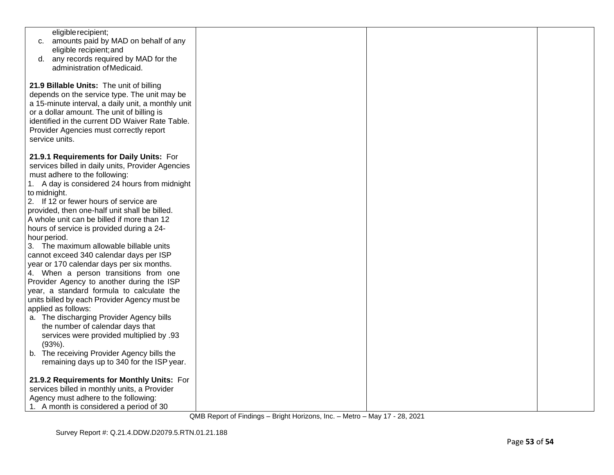| eligible recipient;<br>amounts paid by MAD on behalf of any<br>C.<br>eligible recipient; and<br>any records required by MAD for the<br>d.<br>administration of Medicaid.                                                                                                                                                                                                                                                                                                                                                                                                                                                                                                                                                                                                                                                                                                                                                                  |  |  |
|-------------------------------------------------------------------------------------------------------------------------------------------------------------------------------------------------------------------------------------------------------------------------------------------------------------------------------------------------------------------------------------------------------------------------------------------------------------------------------------------------------------------------------------------------------------------------------------------------------------------------------------------------------------------------------------------------------------------------------------------------------------------------------------------------------------------------------------------------------------------------------------------------------------------------------------------|--|--|
| 21.9 Billable Units: The unit of billing<br>depends on the service type. The unit may be<br>a 15-minute interval, a daily unit, a monthly unit<br>or a dollar amount. The unit of billing is<br>identified in the current DD Waiver Rate Table.<br>Provider Agencies must correctly report<br>service units.                                                                                                                                                                                                                                                                                                                                                                                                                                                                                                                                                                                                                              |  |  |
| 21.9.1 Requirements for Daily Units: For<br>services billed in daily units, Provider Agencies<br>must adhere to the following:<br>1. A day is considered 24 hours from midnight<br>to midnight.<br>2. If 12 or fewer hours of service are<br>provided, then one-half unit shall be billed.<br>A whole unit can be billed if more than 12<br>hours of service is provided during a 24-<br>hour period.<br>3. The maximum allowable billable units<br>cannot exceed 340 calendar days per ISP<br>year or 170 calendar days per six months.<br>4. When a person transitions from one<br>Provider Agency to another during the ISP<br>year, a standard formula to calculate the<br>units billed by each Provider Agency must be<br>applied as follows:<br>a. The discharging Provider Agency bills<br>the number of calendar days that<br>services were provided multiplied by .93<br>$(93%)$ .<br>b. The receiving Provider Agency bills the |  |  |
| remaining days up to 340 for the ISP year.<br>21.9.2 Requirements for Monthly Units: For<br>services billed in monthly units, a Provider<br>Agency must adhere to the following:<br>1. A month is considered a period of 30                                                                                                                                                                                                                                                                                                                                                                                                                                                                                                                                                                                                                                                                                                               |  |  |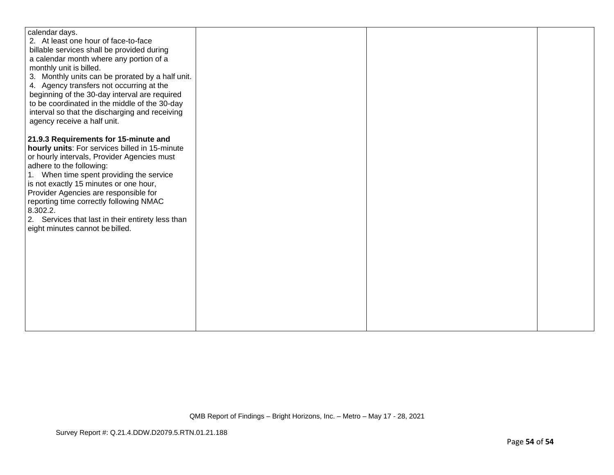| calendar days.                                    |  |  |
|---------------------------------------------------|--|--|
| 2. At least one hour of face-to-face              |  |  |
| billable services shall be provided during        |  |  |
| a calendar month where any portion of a           |  |  |
| monthly unit is billed.                           |  |  |
| 3. Monthly units can be prorated by a half unit.  |  |  |
| 4. Agency transfers not occurring at the          |  |  |
| beginning of the 30-day interval are required     |  |  |
| to be coordinated in the middle of the 30-day     |  |  |
| interval so that the discharging and receiving    |  |  |
| agency receive a half unit.                       |  |  |
| 21.9.3 Requirements for 15-minute and             |  |  |
| hourly units: For services billed in 15-minute    |  |  |
| or hourly intervals, Provider Agencies must       |  |  |
| adhere to the following:                          |  |  |
| 1. When time spent providing the service          |  |  |
| is not exactly 15 minutes or one hour,            |  |  |
| Provider Agencies are responsible for             |  |  |
| reporting time correctly following NMAC           |  |  |
| 8.302.2.                                          |  |  |
| 2. Services that last in their entirety less than |  |  |
| eight minutes cannot be billed.                   |  |  |
|                                                   |  |  |
|                                                   |  |  |
|                                                   |  |  |
|                                                   |  |  |
|                                                   |  |  |
|                                                   |  |  |
|                                                   |  |  |
|                                                   |  |  |
|                                                   |  |  |
|                                                   |  |  |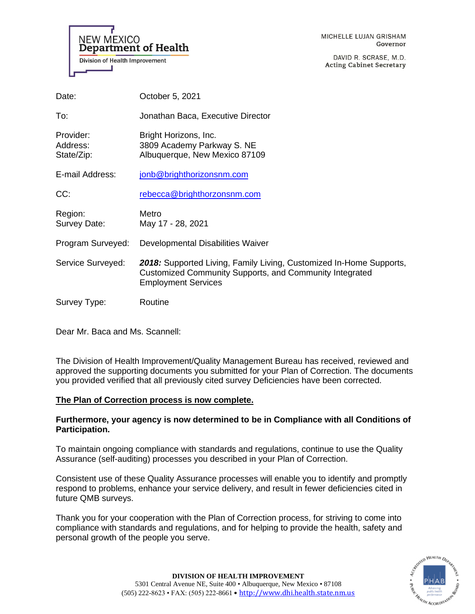**NEW MEXICO Department of Health Division of Health Improvement** 

DAVID R. SCRASE, M.D. **Acting Cabinet Secretary** 

| Date:                               | October 5, 2021                                                                                                                                              |
|-------------------------------------|--------------------------------------------------------------------------------------------------------------------------------------------------------------|
| To:                                 | Jonathan Baca, Executive Director                                                                                                                            |
| Provider:<br>Address:<br>State/Zip: | Bright Horizons, Inc.<br>3809 Academy Parkway S. NE<br>Albuquerque, New Mexico 87109                                                                         |
| E-mail Address:                     | jonb@brighthorizonsnm.com                                                                                                                                    |
| CC:                                 | rebecca@brighthorzonsnm.com                                                                                                                                  |
| Region:<br>Survey Date:             | Metro<br>May 17 - 28, 2021                                                                                                                                   |
| Program Surveyed:                   | Developmental Disabilities Waiver                                                                                                                            |
| Service Surveyed:                   | 2018: Supported Living, Family Living, Customized In-Home Supports,<br>Customized Community Supports, and Community Integrated<br><b>Employment Services</b> |
| Survey Type:                        | Routine                                                                                                                                                      |

Dear Mr. Baca and Ms. Scannell:

The Division of Health Improvement/Quality Management Bureau has received, reviewed and approved the supporting documents you submitted for your Plan of Correction. The documents you provided verified that all previously cited survey Deficiencies have been corrected.

# **The Plan of Correction process is now complete.**

## **Furthermore, your agency is now determined to be in Compliance with all Conditions of Participation.**

To maintain ongoing compliance with standards and regulations, continue to use the Quality Assurance (self-auditing) processes you described in your Plan of Correction.

Consistent use of these Quality Assurance processes will enable you to identify and promptly respond to problems, enhance your service delivery, and result in fewer deficiencies cited in future QMB surveys.

Thank you for your cooperation with the Plan of Correction process, for striving to come into compliance with standards and regulations, and for helping to provide the health, safety and personal growth of the people you serve.